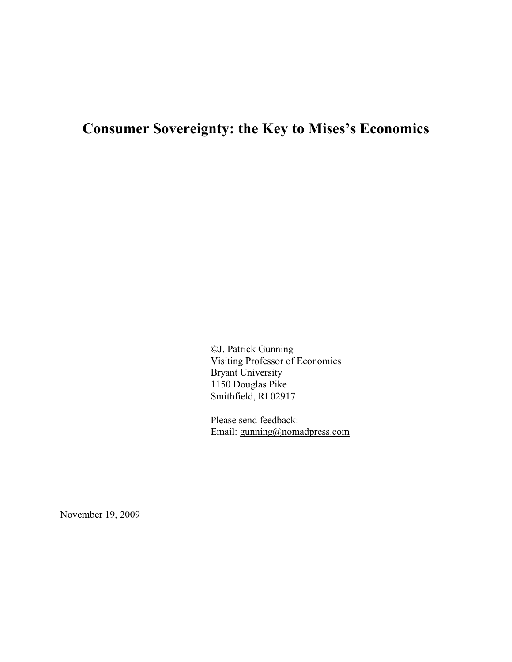# **Consumer Sovereignty: the Key to Mises's Economics**

©J. Patrick Gunning Visiting Professor of Economics Bryant University 1150 Douglas Pike Smithfield, RI 02917

Please send feedback: Email: gunning@nomadpress.com

November 19, 2009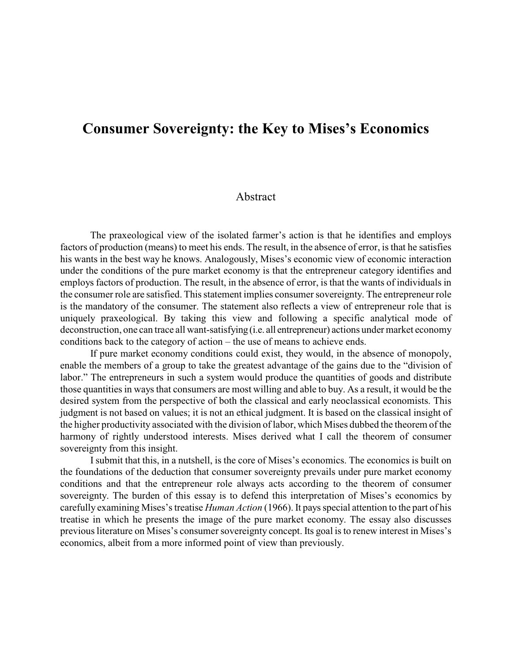# **Consumer Sovereignty: the Key to Mises's Economics**

### Abstract

The praxeological view of the isolated farmer's action is that he identifies and employs factors of production (means) to meet his ends. The result, in the absence of error, is that he satisfies his wants in the best way he knows. Analogously, Mises's economic view of economic interaction under the conditions of the pure market economy is that the entrepreneur category identifies and employs factors of production. The result, in the absence of error, is that the wants of individuals in the consumer role are satisfied. This statement implies consumer sovereignty. The entrepreneur role is the mandatory of the consumer. The statement also reflects a view of entrepreneur role that is uniquely praxeological. By taking this view and following a specific analytical mode of deconstruction, one can trace all want-satisfying (i.e. all entrepreneur) actions under market economy conditions back to the category of action – the use of means to achieve ends.

If pure market economy conditions could exist, they would, in the absence of monopoly, enable the members of a group to take the greatest advantage of the gains due to the "division of labor." The entrepreneurs in such a system would produce the quantities of goods and distribute those quantities in ways that consumers are most willing and able to buy. As a result, it would be the desired system from the perspective of both the classical and early neoclassical economists. This judgment is not based on values; it is not an ethical judgment. It is based on the classical insight of the higher productivity associated with the division of labor, which Mises dubbed the theorem of the harmony of rightly understood interests. Mises derived what I call the theorem of consumer sovereignty from this insight.

I submit that this, in a nutshell, is the core of Mises's economics. The economics is built on the foundations of the deduction that consumer sovereignty prevails under pure market economy conditions and that the entrepreneur role always acts according to the theorem of consumer sovereignty. The burden of this essay is to defend this interpretation of Mises's economics by carefully examining Mises's treatise *Human Action* (1966). It pays special attention to the part of his treatise in which he presents the image of the pure market economy. The essay also discusses previous literature on Mises's consumer sovereignty concept. Its goal is to renew interest in Mises's economics, albeit from a more informed point of view than previously.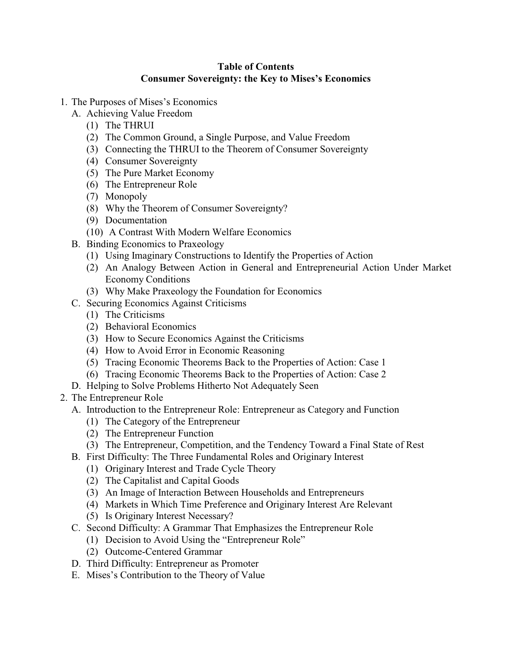# **Table of Contents Consumer Sovereignty: the Key to Mises's Economics**

- 1. The Purposes of Mises's Economics
	- A. Achieving Value Freedom
		- (1) The THRUI
		- (2) The Common Ground, a Single Purpose, and Value Freedom
		- (3) Connecting the THRUI to the Theorem of Consumer Sovereignty
		- (4) Consumer Sovereignty
		- (5) The Pure Market Economy
		- (6) The Entrepreneur Role
		- (7) Monopoly
		- (8) Why the Theorem of Consumer Sovereignty?
		- (9) Documentation
		- (10) A Contrast With Modern Welfare Economics
	- B. Binding Economics to Praxeology
		- (1) Using Imaginary Constructions to Identify the Properties of Action
		- (2) An Analogy Between Action in General and Entrepreneurial Action Under Market Economy Conditions
		- (3) Why Make Praxeology the Foundation for Economics
	- C. Securing Economics Against Criticisms
		- (1) The Criticisms
		- (2) Behavioral Economics
		- (3) How to Secure Economics Against the Criticisms
		- (4) How to Avoid Error in Economic Reasoning
		- (5) Tracing Economic Theorems Back to the Properties of Action: Case 1
		- (6) Tracing Economic Theorems Back to the Properties of Action: Case 2
	- D. Helping to Solve Problems Hitherto Not Adequately Seen
- 2. The Entrepreneur Role
	- A. Introduction to the Entrepreneur Role: Entrepreneur as Category and Function
		- (1) The Category of the Entrepreneur
		- (2) The Entrepreneur Function
		- (3) The Entrepreneur, Competition, and the Tendency Toward a Final State of Rest
	- B. First Difficulty: The Three Fundamental Roles and Originary Interest
		- (1) Originary Interest and Trade Cycle Theory
		- (2) The Capitalist and Capital Goods
		- (3) An Image of Interaction Between Households and Entrepreneurs
		- (4) Markets in Which Time Preference and Originary Interest Are Relevant
		- (5) Is Originary Interest Necessary?
	- C. Second Difficulty: A Grammar That Emphasizes the Entrepreneur Role
		- (1) Decision to Avoid Using the "Entrepreneur Role"
		- (2) Outcome-Centered Grammar
	- D. Third Difficulty: Entrepreneur as Promoter
	- E. Mises's Contribution to the Theory of Value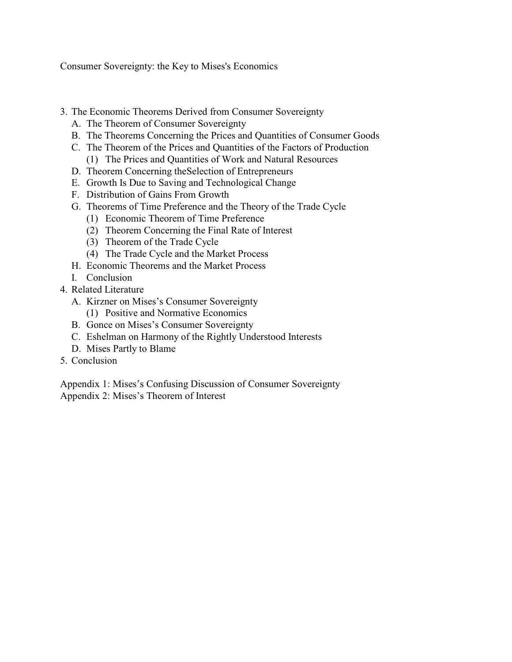Consumer Sovereignty: the Key to Mises's Economics

- 3. The Economic Theorems Derived from Consumer Sovereignty
	- A. The Theorem of Consumer Sovereignty
	- B. The Theorems Concerning the Prices and Quantities of Consumer Goods
	- C. The Theorem of the Prices and Quantities of the Factors of Production
		- (1) The Prices and Quantities of Work and Natural Resources
	- D. Theorem Concerning theSelection of Entrepreneurs
	- E. Growth Is Due to Saving and Technological Change
	- F. Distribution of Gains From Growth
	- G. Theorems of Time Preference and the Theory of the Trade Cycle
		- (1) Economic Theorem of Time Preference
		- (2) Theorem Concerning the Final Rate of Interest
		- (3) Theorem of the Trade Cycle
		- (4) The Trade Cycle and the Market Process
	- H. Economic Theorems and the Market Process
	- I. Conclusion
- 4. Related Literature
	- A. Kirzner on Mises's Consumer Sovereignty
		- (1) Positive and Normative Economics
	- B. Gonce on Mises's Consumer Sovereignty
	- C. Eshelman on Harmony of the Rightly Understood Interests
	- D. Mises Partly to Blame
- 5. Conclusion

Appendix 1: Mises's Confusing Discussion of Consumer Sovereignty Appendix 2: Mises's Theorem of Interest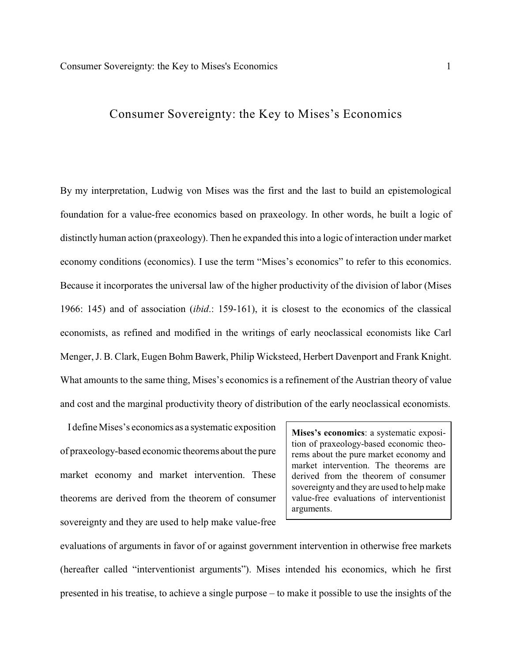# Consumer Sovereignty: the Key to Mises's Economics

By my interpretation, Ludwig von Mises was the first and the last to build an epistemological foundation for a value-free economics based on praxeology. In other words, he built a logic of distinctly human action (praxeology). Then he expanded this into a logic of interaction under market economy conditions (economics). I use the term "Mises's economics" to refer to this economics. Because it incorporates the universal law of the higher productivity of the division of labor (Mises 1966: 145) and of association (*ibid*.: 159-161), it is closest to the economics of the classical economists, as refined and modified in the writings of early neoclassical economists like Carl Menger,J. B. Clark, Eugen Bohm Bawerk, Philip Wicksteed, Herbert Davenport and Frank Knight. What amounts to the same thing, Mises's economics is a refinement of the Austrian theory of value and cost and the marginal productivity theory of distribution of the early neoclassical economists.

I define Mises's economics as a systematic exposition of praxeology-based economic theorems about the pure market economy and market intervention. These theorems are derived from the theorem of consumer sovereignty and they are used to help make value-free

**Mises's economics**: a systematic exposition of praxeology-based economic theorems about the pure market economy and market intervention. The theorems are derived from the theorem of consumer sovereignty and they are used to help make value-free evaluations of interventionist arguments.

evaluations of arguments in favor of or against government intervention in otherwise free markets (hereafter called "interventionist arguments"). Mises intended his economics, which he first presented in his treatise, to achieve a single purpose – to make it possible to use the insights of the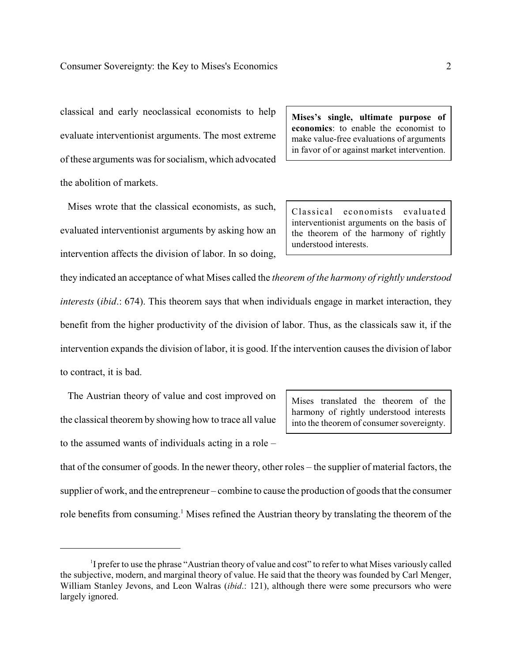classical and early neoclassical economists to help evaluate interventionist arguments. The most extreme of these arguments was for socialism, which advocated the abolition of markets.

Mises wrote that the classical economists, as such, evaluated interventionist arguments by asking how an intervention affects the division of labor. In so doing,

**Mises's single, ultimate purpose of economics**: to enable the economist to make value-free evaluations of arguments in favor of or against market intervention.

Classical economists evaluated interventionist arguments on the basis of the theorem of the harmony of rightly understood interests.

they indicated an acceptance of what Mises called the *theorem of the harmony of rightly understood interests* (*ibid*.: 674). This theorem says that when individuals engage in market interaction, they benefit from the higher productivity of the division of labor. Thus, as the classicals saw it, if the intervention expands the division of labor, it is good. If the intervention causes the division of labor to contract, it is bad.

The Austrian theory of value and cost improved on the classical theorem by showing how to trace all value to the assumed wants of individuals acting in a role –

Mises translated the theorem of the harmony of rightly understood interests into the theorem of consumer sovereignty.

that of the consumer of goods. In the newer theory, other roles – the supplier of material factors, the supplier of work, and the entrepreneur – combine to cause the production of goods that the consumer role benefits from consuming.<sup>1</sup> Mises refined the Austrian theory by translating the theorem of the

<sup>&</sup>lt;sup>1</sup>I prefer to use the phrase "Austrian theory of value and cost" to refer to what Mises variously called the subjective, modern, and marginal theory of value. He said that the theory was founded by Carl Menger, William Stanley Jevons, and Leon Walras (*ibid*.: 121), although there were some precursors who were largely ignored.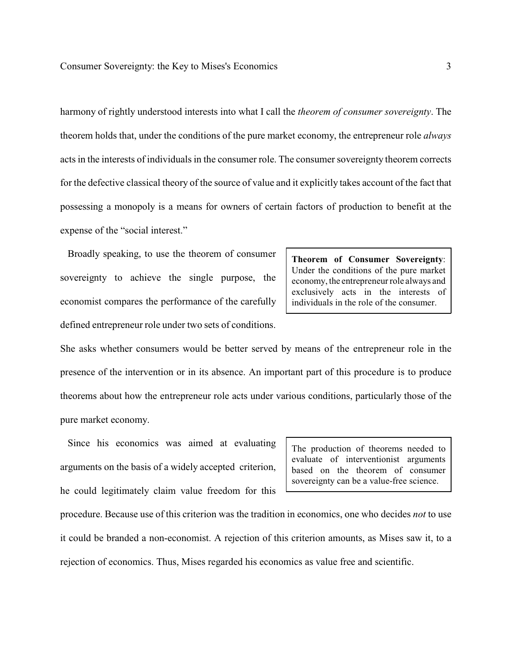harmony of rightly understood interests into what I call the *theorem of consumer sovereignty*. The theorem holds that, under the conditions of the pure market economy, the entrepreneur role *always* acts in the interests of individuals in the consumer role. The consumer sovereignty theorem corrects for the defective classical theory of the source of value and it explicitly takes account of the fact that possessing a monopoly is a means for owners of certain factors of production to benefit at the expense of the "social interest."

Broadly speaking, to use the theorem of consumer sovereignty to achieve the single purpose, the economist compares the performance of the carefully defined entrepreneur role under two sets of conditions.

**Theorem of Consumer Sovereignty**: Under the conditions of the pure market economy, the entrepreneur role always and exclusively acts in the interests of individuals in the role of the consumer.

She asks whether consumers would be better served by means of the entrepreneur role in the presence of the intervention or in its absence. An important part of this procedure is to produce theorems about how the entrepreneur role acts under various conditions, particularly those of the pure market economy.

Since his economics was aimed at evaluating arguments on the basis of a widely accepted criterion, he could legitimately claim value freedom for this

The production of theorems needed to evaluate of interventionist arguments based on the theorem of consumer sovereignty can be a value-free science.

procedure. Because use of this criterion was the tradition in economics, one who decides *not* to use it could be branded a non-economist. A rejection of this criterion amounts, as Mises saw it, to a rejection of economics. Thus, Mises regarded his economics as value free and scientific.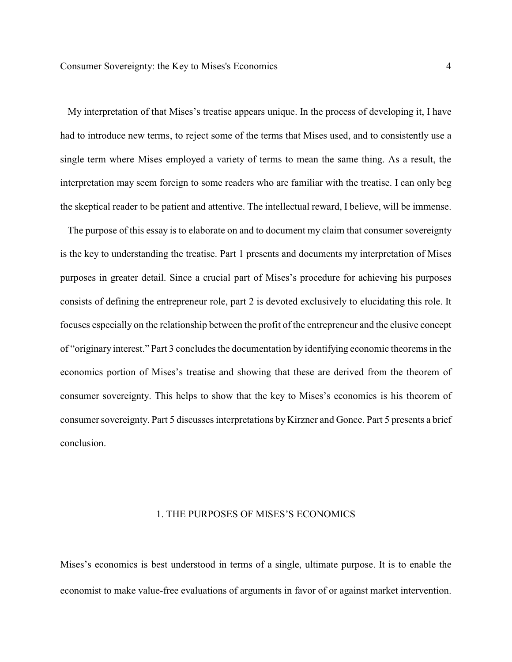My interpretation of that Mises's treatise appears unique. In the process of developing it, I have had to introduce new terms, to reject some of the terms that Mises used, and to consistently use a single term where Mises employed a variety of terms to mean the same thing. As a result, the interpretation may seem foreign to some readers who are familiar with the treatise. I can only beg the skeptical reader to be patient and attentive. The intellectual reward, I believe, will be immense.

The purpose of this essay is to elaborate on and to document my claim that consumer sovereignty is the key to understanding the treatise. Part 1 presents and documents my interpretation of Mises purposes in greater detail. Since a crucial part of Mises's procedure for achieving his purposes consists of defining the entrepreneur role, part 2 is devoted exclusively to elucidating this role. It focuses especially on the relationship between the profit of the entrepreneur and the elusive concept of "originary interest." Part 3 concludes the documentation by identifying economic theorems in the economics portion of Mises's treatise and showing that these are derived from the theorem of consumer sovereignty. This helps to show that the key to Mises's economics is his theorem of consumer sovereignty. Part 5 discusses interpretations by Kirzner and Gonce. Part 5 presents a brief conclusion.

#### 1. THE PURPOSES OF MISES'S ECONOMICS

Mises's economics is best understood in terms of a single, ultimate purpose. It is to enable the economist to make value-free evaluations of arguments in favor of or against market intervention.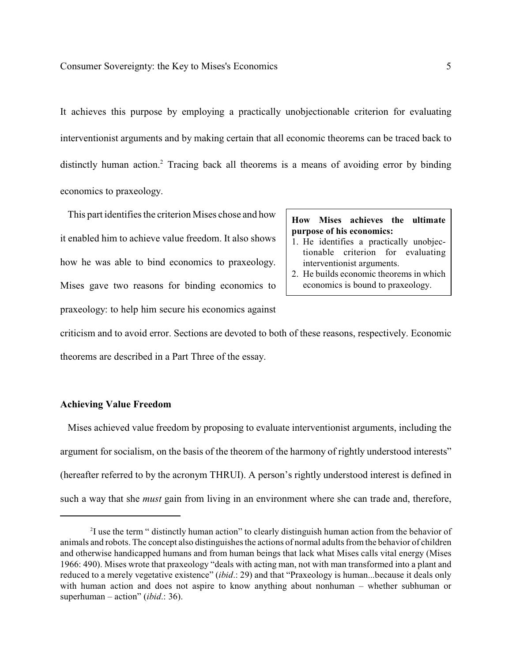It achieves this purpose by employing a practically unobjectionable criterion for evaluating interventionist arguments and by making certain that all economic theorems can be traced back to distinctly human action.<sup>2</sup> Tracing back all theorems is a means of avoiding error by binding economics to praxeology.

This part identifies the criterion Mises chose and how it enabled him to achieve value freedom. It also shows how he was able to bind economics to praxeology. Mises gave two reasons for binding economics to praxeology: to help him secure his economics against

#### **How Mises achieves the ultimate purpose of his economics:**

- 1. He identifies a practically unobjectionable criterion for evaluating interventionist arguments.
- 2. He builds economic theorems in which economics is bound to praxeology.

criticism and to avoid error. Sections are devoted to both of these reasons, respectively. Economic theorems are described in a Part Three of the essay.

#### **Achieving Value Freedom**

Mises achieved value freedom by proposing to evaluate interventionist arguments, including the argument for socialism, on the basis of the theorem of the harmony of rightly understood interests" (hereafter referred to by the acronym THRUI). A person's rightly understood interest is defined in such a way that she *must* gain from living in an environment where she can trade and, therefore,

<sup>&</sup>lt;sup>2</sup>I use the term " distinctly human action" to clearly distinguish human action from the behavior of animals and robots. The concept also distinguishes the actions of normal adults from the behavior of children and otherwise handicapped humans and from human beings that lack what Mises calls vital energy (Mises 1966: 490). Mises wrote that praxeology "deals with acting man, not with man transformed into a plant and reduced to a merely vegetative existence" (*ibid*.: 29) and that "Praxeology is human...because it deals only with human action and does not aspire to know anything about nonhuman – whether subhuman or superhuman – action" (*ibid*.: 36).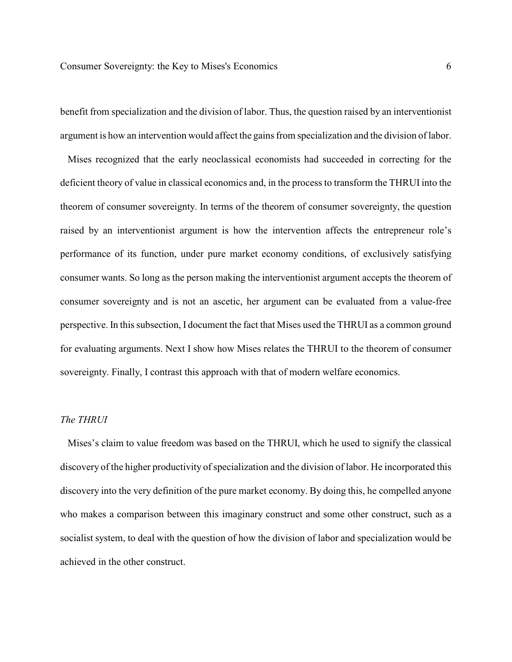benefit from specialization and the division of labor. Thus, the question raised by an interventionist argument is how an intervention would affect the gains from specialization and the division of labor.

Mises recognized that the early neoclassical economists had succeeded in correcting for the deficient theory of value in classical economics and, in the process to transform the THRUI into the theorem of consumer sovereignty. In terms of the theorem of consumer sovereignty, the question raised by an interventionist argument is how the intervention affects the entrepreneur role's performance of its function, under pure market economy conditions, of exclusively satisfying consumer wants. So long as the person making the interventionist argument accepts the theorem of consumer sovereignty and is not an ascetic, her argument can be evaluated from a value-free perspective. In this subsection, I document the fact that Mises used the THRUI as a common ground for evaluating arguments. Next I show how Mises relates the THRUI to the theorem of consumer sovereignty. Finally, I contrast this approach with that of modern welfare economics.

#### *The THRUI*

Mises's claim to value freedom was based on the THRUI, which he used to signify the classical discovery of the higher productivity of specialization and the division of labor. He incorporated this discovery into the very definition of the pure market economy. By doing this, he compelled anyone who makes a comparison between this imaginary construct and some other construct, such as a socialist system, to deal with the question of how the division of labor and specialization would be achieved in the other construct.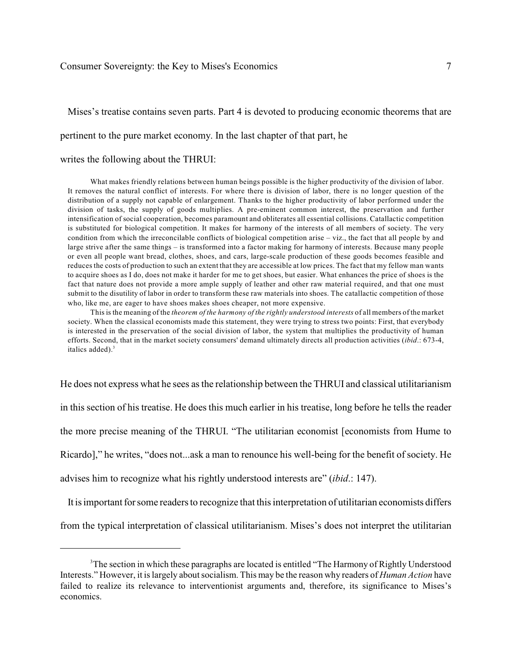Mises's treatise contains seven parts. Part 4 is devoted to producing economic theorems that are pertinent to the pure market economy. In the last chapter of that part, he

#### writes the following about the THRUI:

What makes friendly relations between human beings possible is the higher productivity of the division of labor. It removes the natural conflict of interests. For where there is division of labor, there is no longer question of the distribution of a supply not capable of enlargement. Thanks to the higher productivity of labor performed under the division of tasks, the supply of goods multiplies. A pre-eminent common interest, the preservation and further intensification of social cooperation, becomes paramount and obliterates all essential collisions. Catallactic competition is substituted for biological competition. It makes for harmony of the interests of all members of society. The very condition from which the irreconcilable conflicts of biological competition arise – viz., the fact that all people by and large strive after the same things – is transformed into a factor making for harmony of interests. Because many people or even all people want bread, clothes, shoes, and cars, large-scale production of these goods becomes feasible and reduces the costs of production to such an extent that they are accessible at low prices. The fact that my fellow man wants to acquire shoes as I do, does not make it harder for me to get shoes, but easier. What enhances the price of shoes is the fact that nature does not provide a more ample supply of leather and other raw material required, and that one must submit to the disutility of labor in order to transform these raw materials into shoes. The catallactic competition of those who, like me, are eager to have shoes makes shoes cheaper, not more expensive.

This is the meaning of the *theorem of the harmony of the rightly understood interests* of all members of the market society. When the classical economists made this statement, they were trying to stress two points: First, that everybody is interested in the preservation of the social division of labor, the system that multiplies the productivity of human efforts. Second, that in the market society consumers' demand ultimately directs all production activities (*ibid*.: 673-4, italics added). $3$ 

He does not express what he sees as the relationship between the THRUI and classical utilitarianism in this section of his treatise. He does this much earlier in his treatise, long before he tells the reader the more precise meaning of the THRUI. "The utilitarian economist [economists from Hume to Ricardo]," he writes, "does not...ask a man to renounce his well-being for the benefit of society. He advises him to recognize what his rightly understood interests are" (*ibid*.: 147).

It is important for some readers to recognize that this interpretation of utilitarian economists differs

from the typical interpretation of classical utilitarianism. Mises's does not interpret the utilitarian

<sup>&</sup>lt;sup>3</sup>The section in which these paragraphs are located is entitled "The Harmony of Rightly Understood" Interests." However, it is largely about socialism. This may be the reason why readers of *Human Action* have failed to realize its relevance to interventionist arguments and, therefore, its significance to Mises's economics.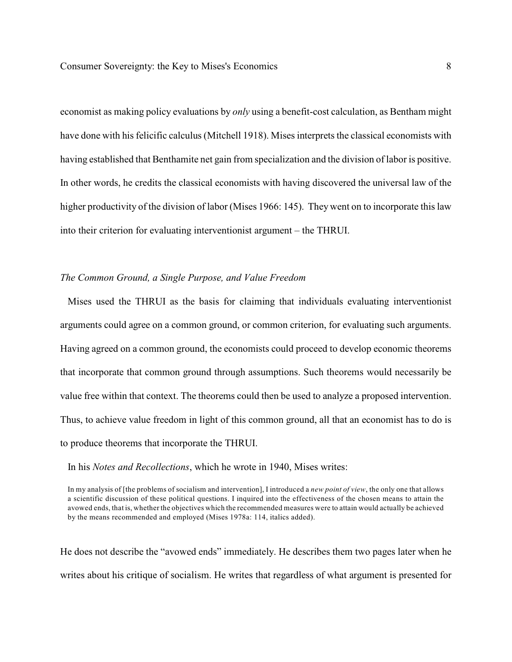economist as making policy evaluations by *only* using a benefit-cost calculation, as Bentham might have done with his felicific calculus (Mitchell 1918). Mises interprets the classical economists with having established that Benthamite net gain from specialization and the division of labor is positive. In other words, he credits the classical economists with having discovered the universal law of the higher productivity of the division of labor (Mises 1966: 145). They went on to incorporate this law into their criterion for evaluating interventionist argument – the THRUI.

#### *The Common Ground, a Single Purpose, and Value Freedom*

Mises used the THRUI as the basis for claiming that individuals evaluating interventionist arguments could agree on a common ground, or common criterion, for evaluating such arguments. Having agreed on a common ground, the economists could proceed to develop economic theorems that incorporate that common ground through assumptions. Such theorems would necessarily be value free within that context. The theorems could then be used to analyze a proposed intervention. Thus, to achieve value freedom in light of this common ground, all that an economist has to do is to produce theorems that incorporate the THRUI.

In his *Notes and Recollections*, which he wrote in 1940, Mises writes:

In my analysis of [the problems of socialism and intervention], I introduced a *new point of view*, the only one that allows a scientific discussion of these political questions. I inquired into the effectiveness of the chosen means to attain the avowed ends, that is, whether the objectives which the recommended measures were to attain would actually be achieved by the means recommended and employed (Mises 1978a: 114, italics added).

He does not describe the "avowed ends" immediately. He describes them two pages later when he writes about his critique of socialism. He writes that regardless of what argument is presented for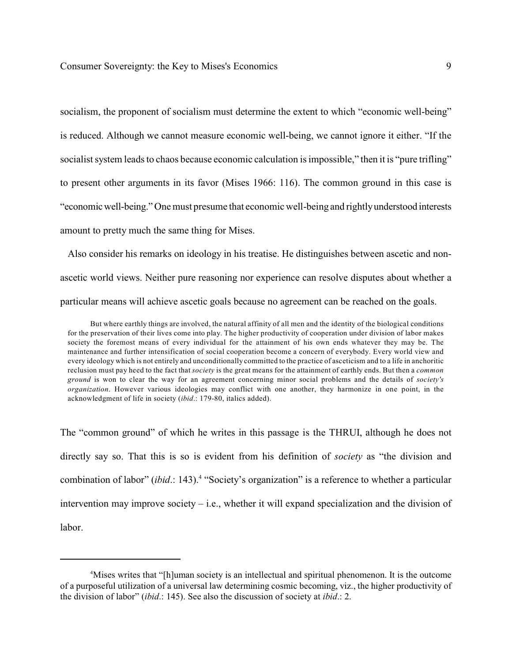socialism, the proponent of socialism must determine the extent to which "economic well-being" is reduced. Although we cannot measure economic well-being, we cannot ignore it either. "If the socialist system leads to chaos because economic calculation is impossible," then it is "pure trifling" to present other arguments in its favor (Mises 1966: 116). The common ground in this case is "economic well-being." One must presume that economic well-being and rightly understood interests amount to pretty much the same thing for Mises.

Also consider his remarks on ideology in his treatise. He distinguishes between ascetic and nonascetic world views. Neither pure reasoning nor experience can resolve disputes about whether a particular means will achieve ascetic goals because no agreement can be reached on the goals.

But where earthly things are involved, the natural affinity of all men and the identity of the biological conditions for the preservation of their lives come into play. The higher productivity of cooperation under division of labor makes society the foremost means of every individual for the attainment of his own ends whatever they may be. The maintenance and further intensification of social cooperation become a concern of everybody. Every world view and every ideology which is not entirely and unconditionally committed to the practice of asceticism and to a life in anchoritic reclusion must pay heed to the fact that *society* is the great means for the attainment of earthly ends. But then a *common ground* is won to clear the way for an agreement concerning minor social problems and the details of *society's organization*. However various ideologies may conflict with one another, they harmonize in one point, in the acknowledgment of life in society (*ibid*.: 179-80, italics added).

The "common ground" of which he writes in this passage is the THRUI, although he does not directly say so. That this is so is evident from his definition of *society* as "the division and combination of labor" *(ibid.*: 143).<sup>4</sup> "Society's organization" is a reference to whether a particular intervention may improve society – i.e., whether it will expand specialization and the division of labor.

<sup>&</sup>lt;sup>4</sup>Mises writes that "[h]uman society is an intellectual and spiritual phenomenon. It is the outcome of a purposeful utilization of a universal law determining cosmic becoming, viz., the higher productivity of the division of labor" (*ibid*.: 145). See also the discussion of society at *ibid*.: 2.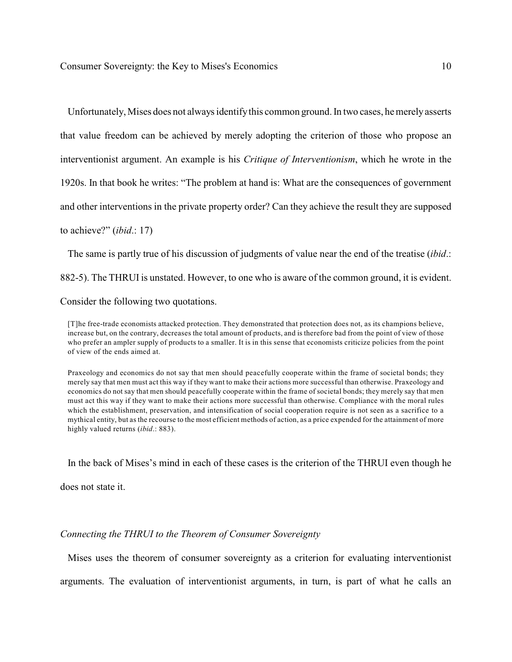Unfortunately, Mises does not always identify this common ground. In two cases, he merely asserts that value freedom can be achieved by merely adopting the criterion of those who propose an interventionist argument. An example is his *Critique of Interventionism*, which he wrote in the 1920s. In that book he writes: "The problem at hand is: What are the consequences of government and other interventions in the private property order? Can they achieve the result they are supposed to achieve?" (*ibid*.: 17)

The same is partly true of his discussion of judgments of value near the end of the treatise (*ibid*.: 882-5). The THRUI is unstated. However, to one who is aware of the common ground, it is evident.

Consider the following two quotations.

[T]he free-trade economists attacked protection. They demonstrated that protection does not, as its champions believe, increase but, on the contrary, decreases the total amount of products, and is therefore bad from the point of view of those who prefer an ampler supply of products to a smaller. It is in this sense that economists criticize policies from the point of view of the ends aimed at.

Praxeology and economics do not say that men should peacefully cooperate within the frame of societal bonds; they merely say that men must act this way if they want to make their actions more successful than otherwise. Praxeology and economics do not say that men should peacefully cooperate within the frame of societal bonds; they merely say that men must act this way if they want to make their actions more successful than otherwise. Compliance with the moral rules which the establishment, preservation, and intensification of social cooperation require is not seen as a sacrifice to a mythical entity, but as the recourse to the most efficient methods of action, as a price expended for the attainment of more highly valued returns (*ibid*.: 883).

In the back of Mises's mind in each of these cases is the criterion of the THRUI even though he does not state it.

#### *Connecting the THRUI to the Theorem of Consumer Sovereignty*

Mises uses the theorem of consumer sovereignty as a criterion for evaluating interventionist arguments. The evaluation of interventionist arguments, in turn, is part of what he calls an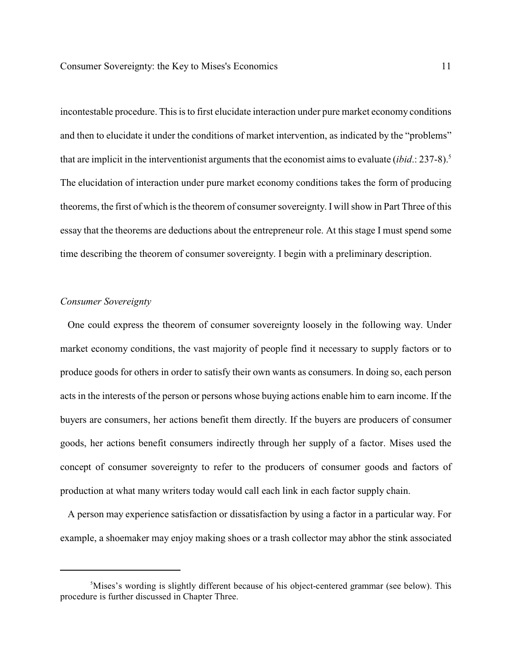incontestable procedure. This is to first elucidate interaction under pure market economy conditions and then to elucidate it under the conditions of market intervention, as indicated by the "problems" that are implicit in the interventionist arguments that the economist aims to evaluate (*ibid*.: 237-8).<sup>5</sup> The elucidation of interaction under pure market economy conditions takes the form of producing theorems, the first of which is the theorem of consumer sovereignty. I will show in Part Three of this essay that the theorems are deductions about the entrepreneur role. At this stage I must spend some time describing the theorem of consumer sovereignty. I begin with a preliminary description.

#### *Consumer Sovereignty*

One could express the theorem of consumer sovereignty loosely in the following way. Under market economy conditions, the vast majority of people find it necessary to supply factors or to produce goods for others in order to satisfy their own wants as consumers. In doing so, each person acts in the interests of the person or persons whose buying actions enable him to earn income. If the buyers are consumers, her actions benefit them directly. If the buyers are producers of consumer goods, her actions benefit consumers indirectly through her supply of a factor. Mises used the concept of consumer sovereignty to refer to the producers of consumer goods and factors of production at what many writers today would call each link in each factor supply chain.

A person may experience satisfaction or dissatisfaction by using a factor in a particular way. For example, a shoemaker may enjoy making shoes or a trash collector may abhor the stink associated

<sup>&</sup>lt;sup>5</sup>Mises's wording is slightly different because of his object-centered grammar (see below). This procedure is further discussed in Chapter Three.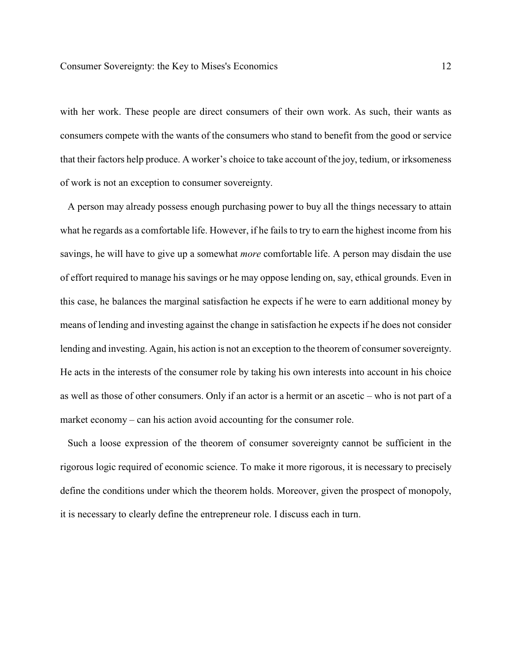with her work. These people are direct consumers of their own work. As such, their wants as consumers compete with the wants of the consumers who stand to benefit from the good or service that their factors help produce. A worker's choice to take account of the joy, tedium, or irksomeness of work is not an exception to consumer sovereignty.

A person may already possess enough purchasing power to buy all the things necessary to attain what he regards as a comfortable life. However, if he fails to try to earn the highest income from his savings, he will have to give up a somewhat *more* comfortable life. A person may disdain the use of effort required to manage his savings or he may oppose lending on, say, ethical grounds. Even in this case, he balances the marginal satisfaction he expects if he were to earn additional money by means of lending and investing against the change in satisfaction he expects if he does not consider lending and investing. Again, his action is not an exception to the theorem of consumer sovereignty. He acts in the interests of the consumer role by taking his own interests into account in his choice as well as those of other consumers. Only if an actor is a hermit or an ascetic – who is not part of a market economy – can his action avoid accounting for the consumer role.

Such a loose expression of the theorem of consumer sovereignty cannot be sufficient in the rigorous logic required of economic science. To make it more rigorous, it is necessary to precisely define the conditions under which the theorem holds. Moreover, given the prospect of monopoly, it is necessary to clearly define the entrepreneur role. I discuss each in turn.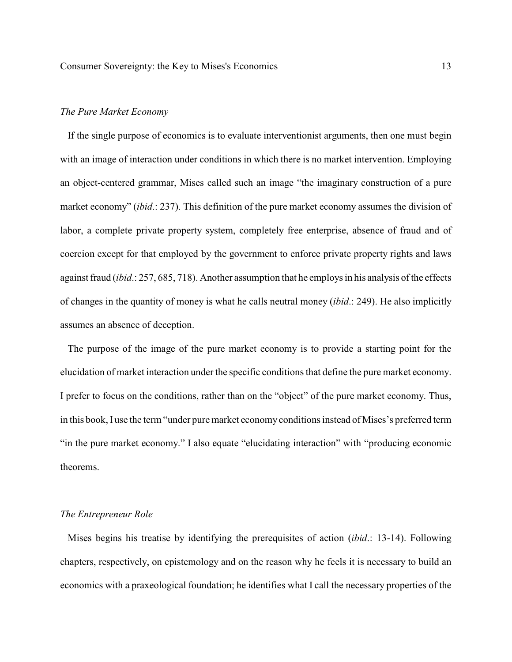#### *The Pure Market Economy*

If the single purpose of economics is to evaluate interventionist arguments, then one must begin with an image of interaction under conditions in which there is no market intervention. Employing an object-centered grammar, Mises called such an image "the imaginary construction of a pure market economy" (*ibid*.: 237). This definition of the pure market economy assumes the division of labor, a complete private property system, completely free enterprise, absence of fraud and of coercion except for that employed by the government to enforce private property rights and laws against fraud (*ibid*.: 257, 685, 718). Another assumption that he employs in his analysis of the effects of changes in the quantity of money is what he calls neutral money (*ibid*.: 249). He also implicitly assumes an absence of deception.

The purpose of the image of the pure market economy is to provide a starting point for the elucidation of market interaction under the specific conditions that define the pure market economy. I prefer to focus on the conditions, rather than on the "object" of the pure market economy. Thus, in this book, I use the term "under pure market economy conditions instead of Mises's preferred term "in the pure market economy." I also equate "elucidating interaction" with "producing economic theorems.

#### *The Entrepreneur Role*

Mises begins his treatise by identifying the prerequisites of action (*ibid*.: 13-14). Following chapters, respectively, on epistemology and on the reason why he feels it is necessary to build an economics with a praxeological foundation; he identifies what I call the necessary properties of the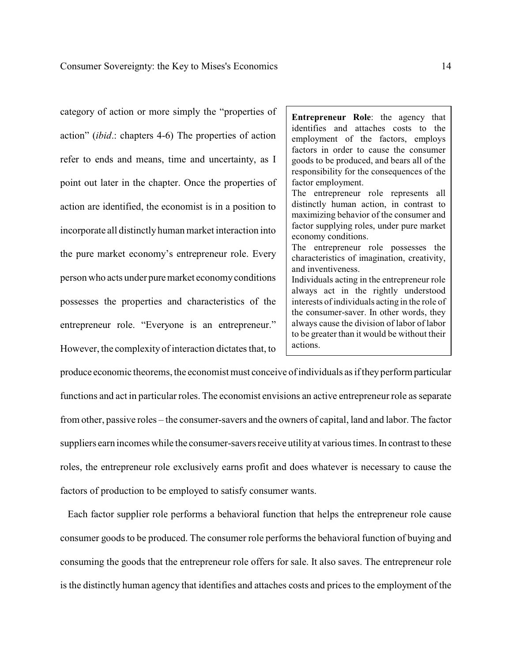category of action or more simply the "properties of action" (*ibid*.: chapters 4-6) The properties of action refer to ends and means, time and uncertainty, as I point out later in the chapter. Once the properties of action are identified, the economist is in a position to incorporate all distinctly human market interaction into the pure market economy's entrepreneur role. Every person who acts under pure market economy conditions possesses the properties and characteristics of the entrepreneur role. "Everyone is an entrepreneur." However, the complexity of interaction dictates that, to

**Entrepreneur Role**: the agency that identifies and attaches costs to the employment of the factors, employs factors in order to cause the consumer goods to be produced, and bears all of the responsibility for the consequences of the factor employment. The entrepreneur role represents all distinctly human action, in contrast to maximizing behavior of the consumer and factor supplying roles, under pure market economy conditions. The entrepreneur role possesses the characteristics of imagination, creativity, and inventiveness. Individuals acting in the entrepreneur role always act in the rightly understood interests of individuals acting in the role of the consumer-saver. In other words, they always cause the division of labor of labor to be greater than it would be without their actions.

produce economic theorems, the economist must conceive of individuals as if they perform particular functions and act in particular roles. The economist envisions an active entrepreneur role as separate from other, passive roles – the consumer-savers and the owners of capital, land and labor. The factor suppliers earn incomes while the consumer-savers receive utility at various times. In contrast to these roles, the entrepreneur role exclusively earns profit and does whatever is necessary to cause the factors of production to be employed to satisfy consumer wants.

Each factor supplier role performs a behavioral function that helps the entrepreneur role cause consumer goods to be produced. The consumer role performs the behavioral function of buying and consuming the goods that the entrepreneur role offers for sale. It also saves. The entrepreneur role is the distinctly human agency that identifies and attaches costs and prices to the employment of the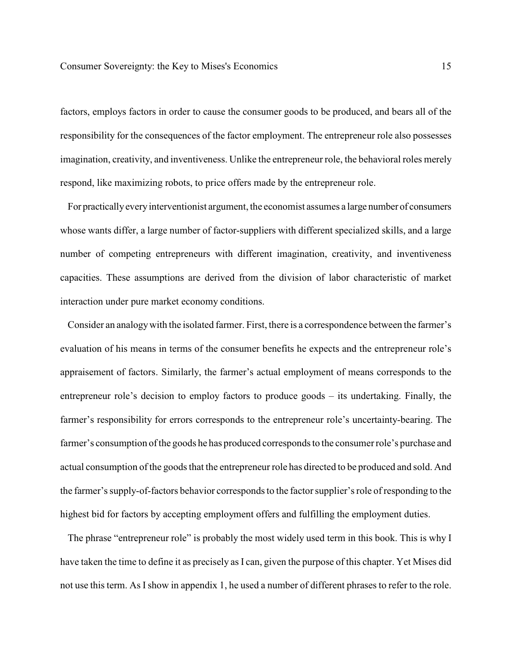factors, employs factors in order to cause the consumer goods to be produced, and bears all of the responsibility for the consequences of the factor employment. The entrepreneur role also possesses imagination, creativity, and inventiveness. Unlike the entrepreneur role, the behavioral roles merely respond, like maximizing robots, to price offers made by the entrepreneur role.

For practically every interventionist argument, the economist assumes a large number of consumers whose wants differ, a large number of factor-suppliers with different specialized skills, and a large number of competing entrepreneurs with different imagination, creativity, and inventiveness capacities. These assumptions are derived from the division of labor characteristic of market interaction under pure market economy conditions.

Consider an analogy with the isolated farmer. First, there is a correspondence between the farmer's evaluation of his means in terms of the consumer benefits he expects and the entrepreneur role's appraisement of factors. Similarly, the farmer's actual employment of means corresponds to the entrepreneur role's decision to employ factors to produce goods – its undertaking. Finally, the farmer's responsibility for errors corresponds to the entrepreneur role's uncertainty-bearing. The farmer's consumption of the goods he has produced corresponds to the consumer role's purchase and actual consumption of the goods that the entrepreneur role has directed to be produced and sold. And the farmer's supply-of-factors behavior corresponds to the factor supplier's role of responding to the highest bid for factors by accepting employment offers and fulfilling the employment duties.

The phrase "entrepreneur role" is probably the most widely used term in this book. This is why I have taken the time to define it as precisely as I can, given the purpose of this chapter. Yet Mises did not use this term. As I show in appendix 1, he used a number of different phrases to refer to the role.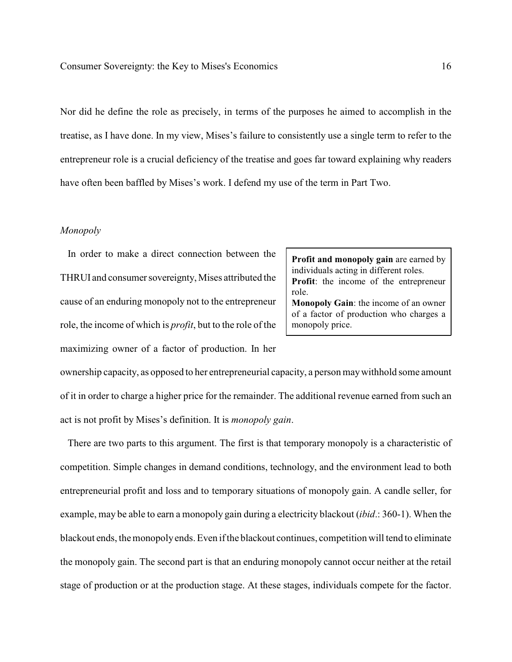Nor did he define the role as precisely, in terms of the purposes he aimed to accomplish in the treatise, as I have done. In my view, Mises's failure to consistently use a single term to refer to the entrepreneur role is a crucial deficiency of the treatise and goes far toward explaining why readers have often been baffled by Mises's work. I defend my use of the term in Part Two.

#### *Monopoly*

In order to make a direct connection between the THRUI and consumer sovereignty, Mises attributed the cause of an enduring monopoly not to the entrepreneur role, the income of which is *profit*, but to the role of the maximizing owner of a factor of production. In her

**Profit and monopoly gain** are earned by individuals acting in different roles. **Profit**: the income of the entrepreneur role. **Monopoly Gain**: the income of an owner of a factor of production who charges a monopoly price.

ownership capacity, as opposed to her entrepreneurial capacity, a person may withhold some amount of it in order to charge a higher price for the remainder. The additional revenue earned from such an act is not profit by Mises's definition. It is *monopoly gain*.

There are two parts to this argument. The first is that temporary monopoly is a characteristic of competition. Simple changes in demand conditions, technology, and the environment lead to both entrepreneurial profit and loss and to temporary situations of monopoly gain. A candle seller, for example, may be able to earn a monopoly gain during a electricity blackout (*ibid*.: 360-1). When the blackout ends, the monopoly ends.Even ifthe blackout continues, competition will tend to eliminate the monopoly gain. The second part is that an enduring monopoly cannot occur neither at the retail stage of production or at the production stage. At these stages, individuals compete for the factor.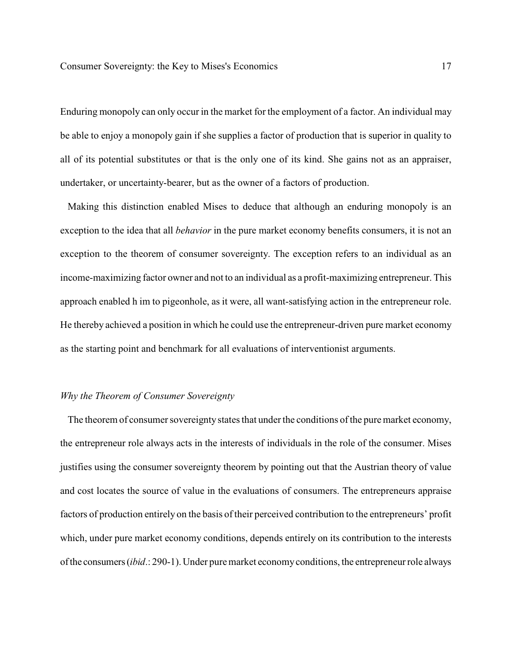Enduring monopoly can only occur in the market for the employment of a factor. An individual may be able to enjoy a monopoly gain if she supplies a factor of production that is superior in quality to all of its potential substitutes or that is the only one of its kind. She gains not as an appraiser, undertaker, or uncertainty-bearer, but as the owner of a factors of production.

Making this distinction enabled Mises to deduce that although an enduring monopoly is an exception to the idea that all *behavior* in the pure market economy benefits consumers, it is not an exception to the theorem of consumer sovereignty. The exception refers to an individual as an income-maximizing factor owner and not to an individual as a profit-maximizing entrepreneur. This approach enabled h im to pigeonhole, as it were, all want-satisfying action in the entrepreneur role. He thereby achieved a position in which he could use the entrepreneur-driven pure market economy as the starting point and benchmark for all evaluations of interventionist arguments.

#### *Why the Theorem of Consumer Sovereignty*

The theorem of consumer sovereignty states that under the conditions of the pure market economy, the entrepreneur role always acts in the interests of individuals in the role of the consumer. Mises justifies using the consumer sovereignty theorem by pointing out that the Austrian theory of value and cost locates the source of value in the evaluations of consumers. The entrepreneurs appraise factors of production entirely on the basis oftheir perceived contribution to the entrepreneurs' profit which, under pure market economy conditions, depends entirely on its contribution to the interests of the consumers (*ibid*.: 290-1). Under pure market economy conditions, the entrepreneur role always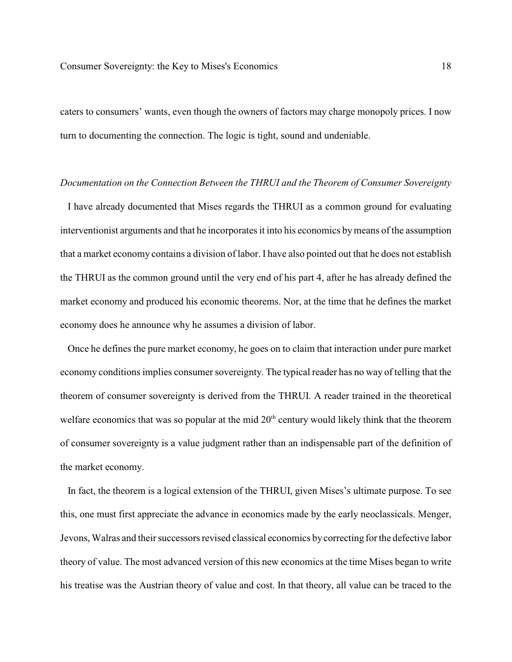caters to consumers' wants, even though the owners of factors may charge monopoly prices. I now turn to documenting the connection. The logic is tight, sound and undeniable.

#### *Documentation on the Connection Between the THRUI and the Theorem of Consumer Sovereignty*

I have already documented that Mises regards the THRUI as a common ground for evaluating interventionist arguments and that he incorporates it into his economics bymeans of the assumption that a market economy contains a division of labor. I have also pointed out that he does not establish the THRUI as the common ground until the very end of his part 4, after he has already defined the market economy and produced his economic theorems. Nor, at the time that he defines the market economy does he announce why he assumes a division of labor.

Once he defines the pure market economy, he goes on to claim that interaction under pure market economy conditions implies consumer sovereignty. The typical reader has no way of telling that the theorem of consumer sovereignty is derived from the THRUI. A reader trained in the theoretical welfare economics that was so popular at the mid  $20<sup>th</sup>$  century would likely think that the theorem of consumer sovereignty is a value judgment rather than an indispensable part of the definition of the market economy.

In fact, the theorem is a logical extension of the THRUI, given Mises's ultimate purpose. To see this, one must first appreciate the advance in economics made by the early neoclassicals. Menger, Jevons, Walras and their successors revised classical economics by correcting for the defective labor theory of value. The most advanced version of this new economics at the time Mises began to write his treatise was the Austrian theory of value and cost. In that theory, all value can be traced to the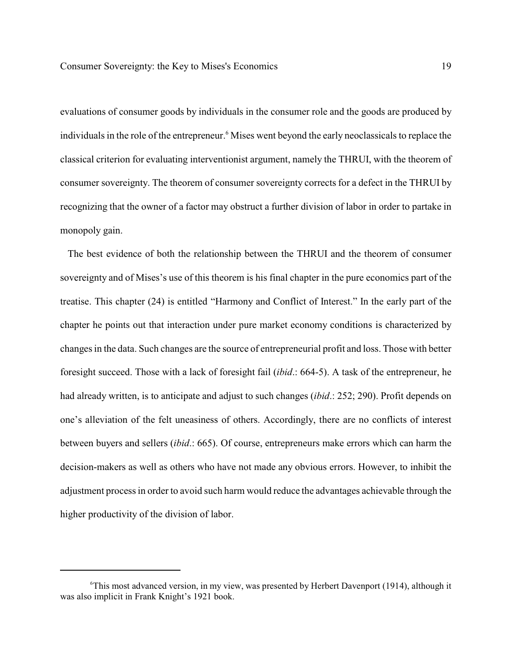evaluations of consumer goods by individuals in the consumer role and the goods are produced by individuals in the role of the entrepreneur.<sup>6</sup> Mises went beyond the early neoclassicals to replace the classical criterion for evaluating interventionist argument, namely the THRUI, with the theorem of consumer sovereignty. The theorem of consumer sovereignty corrects for a defect in the THRUI by recognizing that the owner of a factor may obstruct a further division of labor in order to partake in monopoly gain.

The best evidence of both the relationship between the THRUI and the theorem of consumer sovereignty and of Mises's use of this theorem is his final chapter in the pure economics part of the treatise. This chapter (24) is entitled "Harmony and Conflict of Interest." In the early part of the chapter he points out that interaction under pure market economy conditions is characterized by changes in the data. Such changes are the source of entrepreneurial profit and loss. Those with better foresight succeed. Those with a lack of foresight fail (*ibid*.: 664-5). A task of the entrepreneur, he had already written, is to anticipate and adjust to such changes (*ibid*.: 252; 290). Profit depends on one's alleviation of the felt uneasiness of others. Accordingly, there are no conflicts of interest between buyers and sellers (*ibid*.: 665). Of course, entrepreneurs make errors which can harm the decision-makers as well as others who have not made any obvious errors. However, to inhibit the adjustment process in order to avoid such harm would reduce the advantages achievable through the higher productivity of the division of labor.

 $\delta$ This most advanced version, in my view, was presented by Herbert Davenport (1914), although it was also implicit in Frank Knight's 1921 book.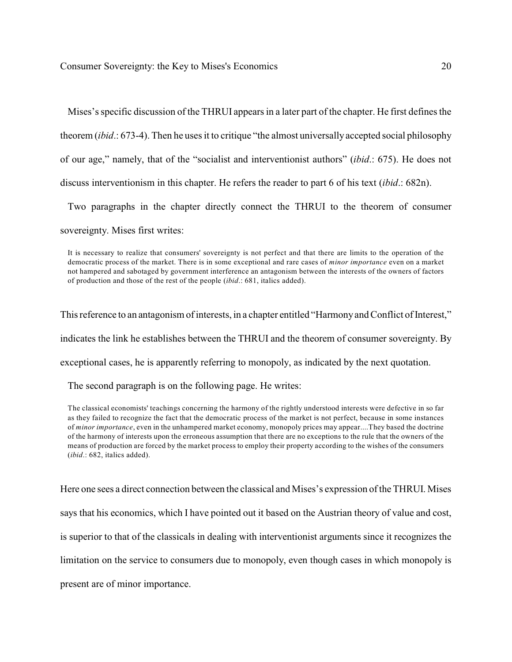Mises's specific discussion of the THRUI appears in a later part of the chapter. He first defines the theorem (*ibid*.: 673-4). Then he uses it to critique "the almost universally accepted social philosophy of our age," namely, that of the "socialist and interventionist authors" (*ibid*.: 675). He does not discuss interventionism in this chapter. He refers the reader to part 6 of his text (*ibid*.: 682n).

Two paragraphs in the chapter directly connect the THRUI to the theorem of consumer sovereignty. Mises first writes:

It is necessary to realize that consumers' sovereignty is not perfect and that there are limits to the operation of the democratic process of the market. There is in some exceptional and rare cases of *minor importance* even on a market not hampered and sabotaged by government interference an antagonism between the interests of the owners of factors of production and those of the rest of the people (*ibid*.: 681, italics added).

This reference to an antagonism of interests, in a chapter entitled "Harmony and Conflict of Interest," indicates the link he establishes between the THRUI and the theorem of consumer sovereignty. By exceptional cases, he is apparently referring to monopoly, as indicated by the next quotation.

The second paragraph is on the following page. He writes:

The classical economists' teachings concerning the harmony of the rightly understood interests were defective in so far as they failed to recognize the fact that the democratic process of the market is not perfect, because in some instances of *minor importance*, even in the unhampered market economy, monopoly prices may appear....They based the doctrine of the harmony of interests upon the erroneous assumption that there are no exceptions to the rule that the owners of the means of production are forced by the market process to employ their property according to the wishes of the consumers (*ibid*.: 682, italics added).

Here one sees a direct connection between the classical and Mises's expression of the THRUI. Mises says that his economics, which I have pointed out it based on the Austrian theory of value and cost, is superior to that of the classicals in dealing with interventionist arguments since it recognizes the limitation on the service to consumers due to monopoly, even though cases in which monopoly is present are of minor importance.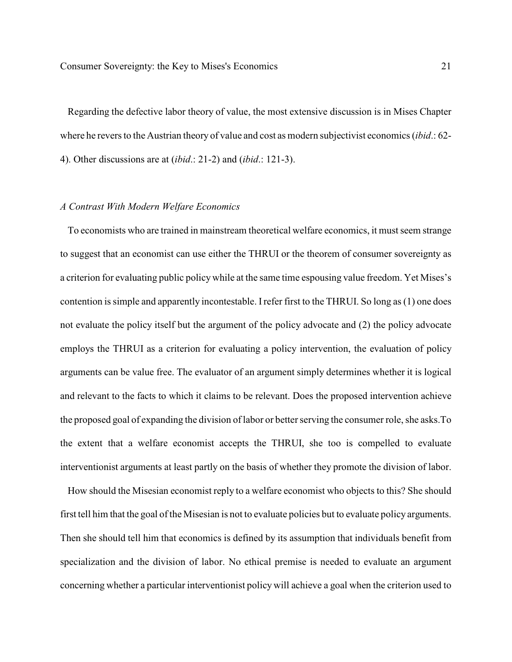Regarding the defective labor theory of value, the most extensive discussion is in Mises Chapter where he revers to the Austrian theory of value and cost as modern subjectivist economics *(ibid.: 62-*4). Other discussions are at (*ibid*.: 21-2) and (*ibid*.: 121-3).

#### *A Contrast With Modern Welfare Economics*

To economists who are trained in mainstream theoretical welfare economics, it must seem strange to suggest that an economist can use either the THRUI or the theorem of consumer sovereignty as a criterion for evaluating public policy while at the same time espousing value freedom. Yet Mises's contention is simple and apparently incontestable. I refer first to the THRUI. So long as (1) one does not evaluate the policy itself but the argument of the policy advocate and (2) the policy advocate employs the THRUI as a criterion for evaluating a policy intervention, the evaluation of policy arguments can be value free. The evaluator of an argument simply determines whether it is logical and relevant to the facts to which it claims to be relevant. Does the proposed intervention achieve the proposed goal of expanding the division of labor or better serving the consumer role, she asks.To the extent that a welfare economist accepts the THRUI, she too is compelled to evaluate interventionist arguments at least partly on the basis of whether they promote the division of labor.

How should the Misesian economist reply to a welfare economist who objects to this? She should first tell him that the goal of the Misesian is not to evaluate policies but to evaluate policy arguments. Then she should tell him that economics is defined by its assumption that individuals benefit from specialization and the division of labor. No ethical premise is needed to evaluate an argument concerning whether a particular interventionist policy will achieve a goal when the criterion used to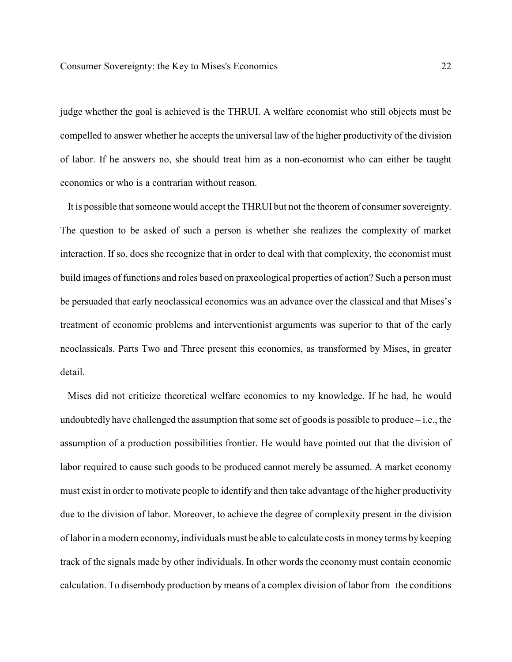judge whether the goal is achieved is the THRUI. A welfare economist who still objects must be compelled to answer whether he accepts the universal law of the higher productivity of the division of labor. If he answers no, she should treat him as a non-economist who can either be taught economics or who is a contrarian without reason.

It is possible that someone would accept the THRUI but not the theorem of consumer sovereignty. The question to be asked of such a person is whether she realizes the complexity of market interaction. If so, does she recognize that in order to deal with that complexity, the economist must build images of functions and roles based on praxeological properties of action? Such a person must be persuaded that early neoclassical economics was an advance over the classical and that Mises's treatment of economic problems and interventionist arguments was superior to that of the early neoclassicals. Parts Two and Three present this economics, as transformed by Mises, in greater detail.

Mises did not criticize theoretical welfare economics to my knowledge. If he had, he would undoubtedly have challenged the assumption that some set of goods is possible to produce – i.e., the assumption of a production possibilities frontier. He would have pointed out that the division of labor required to cause such goods to be produced cannot merely be assumed. A market economy must exist in order to motivate people to identify and then take advantage of the higher productivity due to the division of labor. Moreover, to achieve the degree of complexity present in the division of labor in a modern economy, individuals must be able to calculate costs in money terms by keeping track of the signals made by other individuals. In other words the economy must contain economic calculation. To disembody production by means of a complex division of labor from the conditions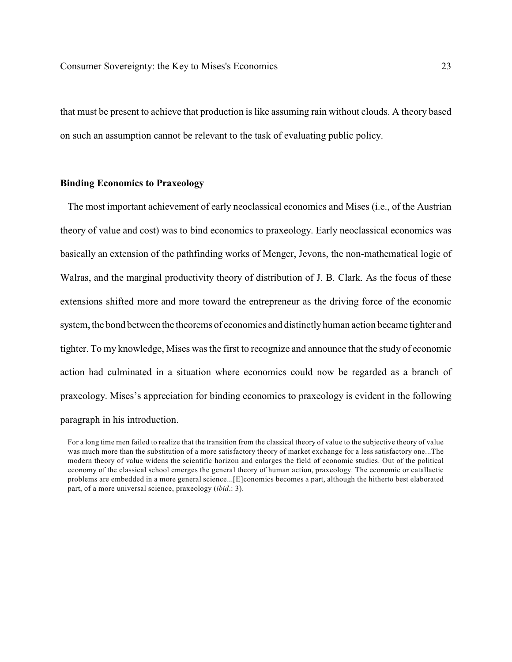that must be present to achieve that production is like assuming rain without clouds. A theory based on such an assumption cannot be relevant to the task of evaluating public policy.

#### **Binding Economics to Praxeology**

The most important achievement of early neoclassical economics and Mises (i.e., of the Austrian theory of value and cost) was to bind economics to praxeology. Early neoclassical economics was basically an extension of the pathfinding works of Menger, Jevons, the non-mathematical logic of Walras, and the marginal productivity theory of distribution of J. B. Clark. As the focus of these extensions shifted more and more toward the entrepreneur as the driving force of the economic system, the bond between the theorems of economics and distinctly human action became tighter and tighter. To my knowledge, Mises was the first to recognize and announce that the study of economic action had culminated in a situation where economics could now be regarded as a branch of praxeology. Mises's appreciation for binding economics to praxeology is evident in the following paragraph in his introduction.

For a long time men failed to realize that the transition from the classical theory of value to the subjective theory of value was much more than the substitution of a more satisfactory theory of market exchange for a less satisfactory one...The modern theory of value widens the scientific horizon and enlarges the field of economic studies. Out of the political economy of the classical school emerges the general theory of human action, praxeology. The economic or catallactic problems are embedded in a more general science...[E]conomics becomes a part, although the hitherto best elaborated part, of a more universal science, praxeology (*ibid*.: 3).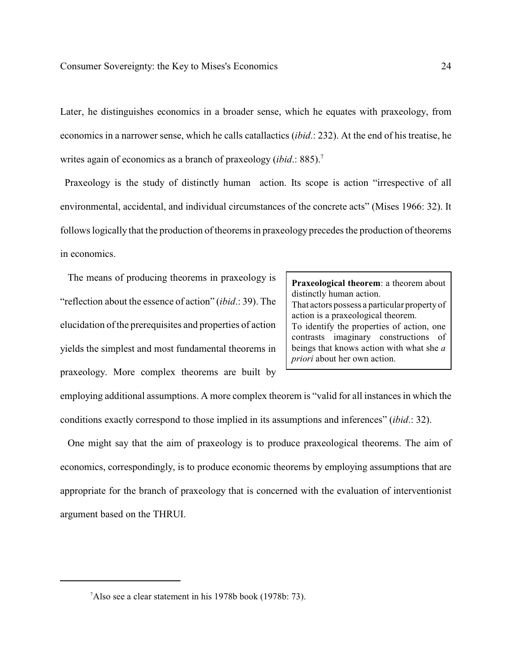Later, he distinguishes economics in a broader sense, which he equates with praxeology, from economics in a narrower sense, which he calls catallactics (*ibid*.: 232). At the end of his treatise, he writes again of economics as a branch of praxeology (*ibid*.: 885).<sup>7</sup>

 Praxeology is the study of distinctly human action. Its scope is action "irrespective of all environmental, accidental, and individual circumstances of the concrete acts" (Mises 1966: 32). It follows logically that the production of theorems in praxeology precedes the production of theorems in economics.

The means of producing theorems in praxeology is "reflection about the essence of action" (*ibid*.: 39). The elucidation of the prerequisites and properties of action yields the simplest and most fundamental theorems in praxeology. More complex theorems are built by

**Praxeological theorem**: a theorem about distinctly human action. That actors possess a particular property of action is a praxeological theorem. To identify the properties of action, one contrasts imaginary constructions of beings that knows action with what she *a priori* about her own action.

employing additional assumptions. A more complex theorem is "valid for all instances in which the conditions exactly correspond to those implied in its assumptions and inferences" (*ibid*.: 32).

One might say that the aim of praxeology is to produce praxeological theorems. The aim of economics, correspondingly, is to produce economic theorems by employing assumptions that are appropriate for the branch of praxeology that is concerned with the evaluation of interventionist argument based on the THRUI.

 $\alpha$ lso see a clear statement in his 1978b book (1978b: 73).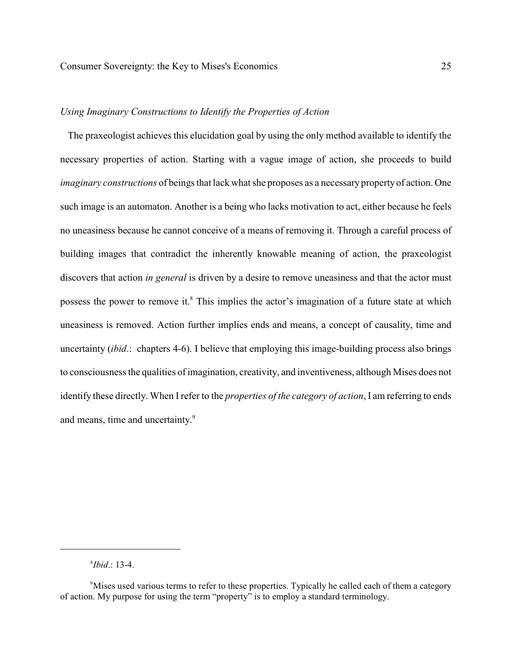## *Using Imaginary Constructions to Identify the Properties of Action*

The praxeologist achieves this elucidation goal by using the only method available to identify the necessary properties of action. Starting with a vague image of action, she proceeds to build *imaginary constructions* of beings that lack what she proposes as a necessary property of action. One such image is an automaton. Another is a being who lacks motivation to act, either because he feels no uneasiness because he cannot conceive of a means of removing it. Through a careful process of building images that contradict the inherently knowable meaning of action, the praxeologist discovers that action *in general* is driven by a desire to remove uneasiness and that the actor must possess the power to remove it.<sup>8</sup> This implies the actor's imagination of a future state at which uneasiness is removed. Action further implies ends and means, a concept of causality, time and uncertainty (*ibid*.: chapters 4-6). I believe that employing this image-building process also brings to consciousness the qualities of imagination, creativity, and inventiveness, although Mises does not identify these directly. When I refer to the *properties of the category of action*, I am referring to ends and means, time and uncertainty.<sup>9</sup>

 $$ 

<sup>&</sup>lt;sup>9</sup>Mises used various terms to refer to these properties. Typically he called each of them a category of action. My purpose for using the term "property" is to employ a standard terminology.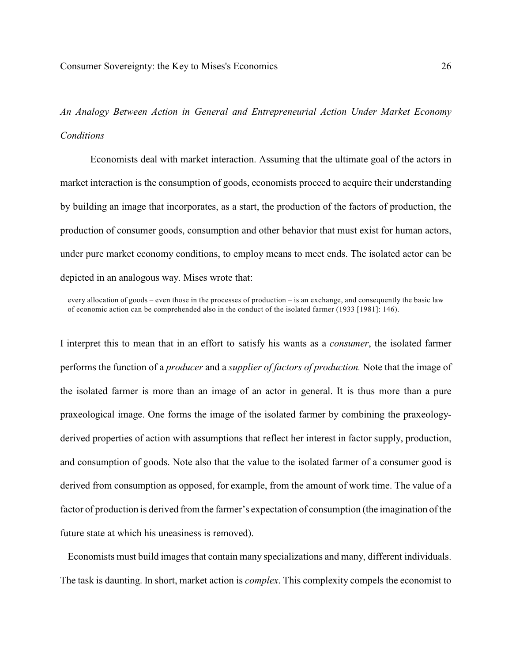*An Analogy Between Action in General and Entrepreneurial Action Under Market Economy Conditions*

Economists deal with market interaction. Assuming that the ultimate goal of the actors in market interaction is the consumption of goods, economists proceed to acquire their understanding by building an image that incorporates, as a start, the production of the factors of production, the production of consumer goods, consumption and other behavior that must exist for human actors, under pure market economy conditions, to employ means to meet ends. The isolated actor can be depicted in an analogous way. Mises wrote that:

every allocation of goods – even those in the processes of production – is an exchange, and consequently the basic law of economic action can be comprehended also in the conduct of the isolated farmer (1933 [1981]: 146).

I interpret this to mean that in an effort to satisfy his wants as a *consumer*, the isolated farmer performs the function of a *producer* and a *supplier of factors of production.* Note that the image of the isolated farmer is more than an image of an actor in general. It is thus more than a pure praxeological image. One forms the image of the isolated farmer by combining the praxeologyderived properties of action with assumptions that reflect her interest in factor supply, production, and consumption of goods. Note also that the value to the isolated farmer of a consumer good is derived from consumption as opposed, for example, from the amount of work time. The value of a factor of production is derived from the farmer's expectation of consumption (the imagination of the future state at which his uneasiness is removed).

Economists must build images that contain many specializations and many, different individuals. The task is daunting. In short, market action is *complex*. This complexity compels the economist to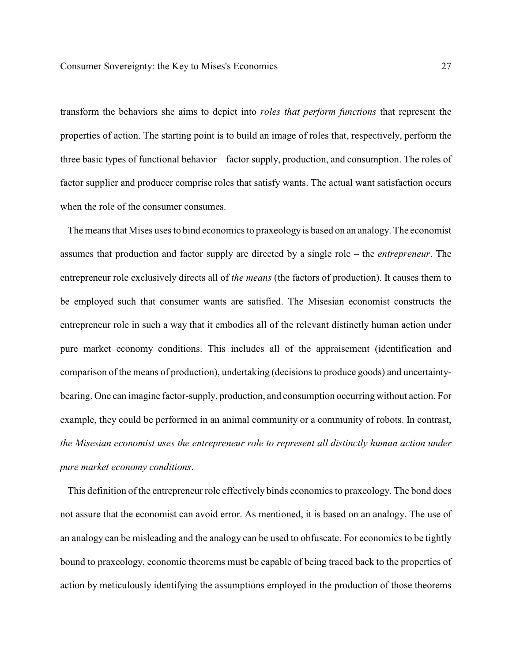transform the behaviors she aims to depict into *roles that perform functions* that represent the properties of action. The starting point is to build an image of roles that, respectively, perform the three basic types of functional behavior – factor supply, production, and consumption. The roles of factor supplier and producer comprise roles that satisfy wants. The actual want satisfaction occurs when the role of the consumer consumes.

The means that Mises uses to bind economics to praxeology is based on an analogy. The economist assumes that production and factor supply are directed by a single role – the *entrepreneur*. The entrepreneur role exclusively directs all of *the means* (the factors of production). It causes them to be employed such that consumer wants are satisfied. The Misesian economist constructs the entrepreneur role in such a way that it embodies all of the relevant distinctly human action under pure market economy conditions. This includes all of the appraisement (identification and comparison of the means of production), undertaking (decisions to produce goods) and uncertaintybearing. One can imagine factor-supply, production, and consumption occurring without action. For example, they could be performed in an animal community or a community of robots. In contrast, *the Misesian economist uses the entrepreneur role to represent all distinctly human action under pure market economy conditions*.

This definition of the entrepreneur role effectively binds economics to praxeology. The bond does not assure that the economist can avoid error. As mentioned, it is based on an analogy. The use of an analogy can be misleading and the analogy can be used to obfuscate. For economics to be tightly bound to praxeology, economic theorems must be capable of being traced back to the properties of action by meticulously identifying the assumptions employed in the production of those theorems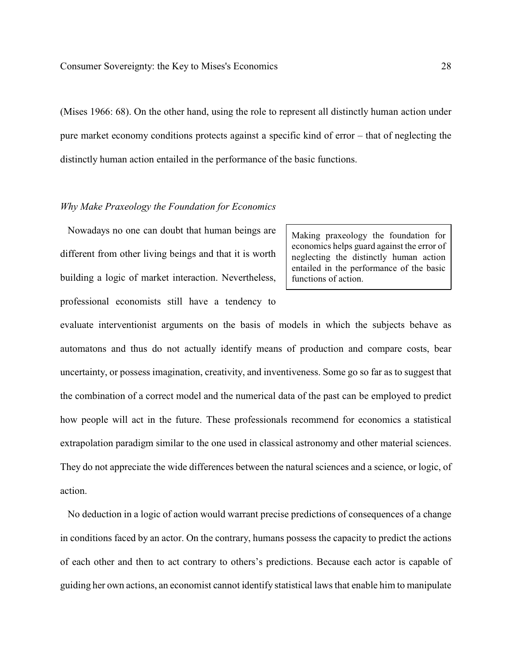(Mises 1966: 68). On the other hand, using the role to represent all distinctly human action under pure market economy conditions protects against a specific kind of error – that of neglecting the distinctly human action entailed in the performance of the basic functions.

#### *Why Make Praxeology the Foundation for Economics*

Nowadays no one can doubt that human beings are different from other living beings and that it is worth building a logic of market interaction. Nevertheless, professional economists still have a tendency to

Making praxeology the foundation for economics helps guard against the error of neglecting the distinctly human action entailed in the performance of the basic functions of action.

evaluate interventionist arguments on the basis of models in which the subjects behave as automatons and thus do not actually identify means of production and compare costs, bear uncertainty, or possess imagination, creativity, and inventiveness. Some go so far as to suggest that the combination of a correct model and the numerical data of the past can be employed to predict how people will act in the future. These professionals recommend for economics a statistical extrapolation paradigm similar to the one used in classical astronomy and other material sciences. They do not appreciate the wide differences between the natural sciences and a science, or logic, of action.

No deduction in a logic of action would warrant precise predictions of consequences of a change in conditions faced by an actor. On the contrary, humans possess the capacity to predict the actions of each other and then to act contrary to others's predictions. Because each actor is capable of guiding her own actions, an economist cannot identify statistical laws that enable him to manipulate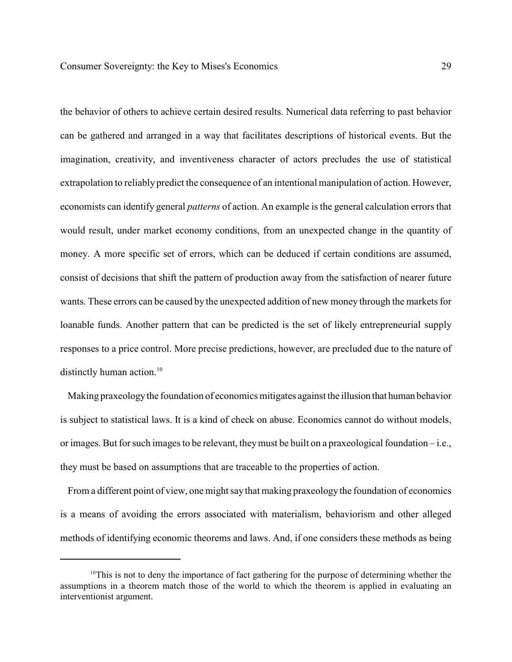the behavior of others to achieve certain desired results. Numerical data referring to past behavior can be gathered and arranged in a way that facilitates descriptions of historical events. But the imagination, creativity, and inventiveness character of actors precludes the use of statistical extrapolation to reliably predict the consequence of an intentional manipulation of action. However, economists can identify general *patterns* of action. An example is the general calculation errors that would result, under market economy conditions, from an unexpected change in the quantity of money. A more specific set of errors, which can be deduced if certain conditions are assumed, consist of decisions that shift the pattern of production away from the satisfaction of nearer future wants. These errors can be caused by the unexpected addition of new money through the markets for loanable funds. Another pattern that can be predicted is the set of likely entrepreneurial supply responses to a price control. More precise predictions, however, are precluded due to the nature of distinctly human action.<sup>10</sup>

Making praxeology the foundation of economics mitigates against the illusion that human behavior is subject to statistical laws. It is a kind of check on abuse. Economics cannot do without models, or images. But for such images to be relevant, they must be built on a praxeological foundation – i.e., they must be based on assumptions that are traceable to the properties of action.

From a different point of view, one might say that making praxeology the foundation of economics is a means of avoiding the errors associated with materialism, behaviorism and other alleged methods of identifying economic theorems and laws. And, if one considers these methods as being

 $10$ <sup>10</sup>This is not to deny the importance of fact gathering for the purpose of determining whether the assumptions in a theorem match those of the world to which the theorem is applied in evaluating an interventionist argument.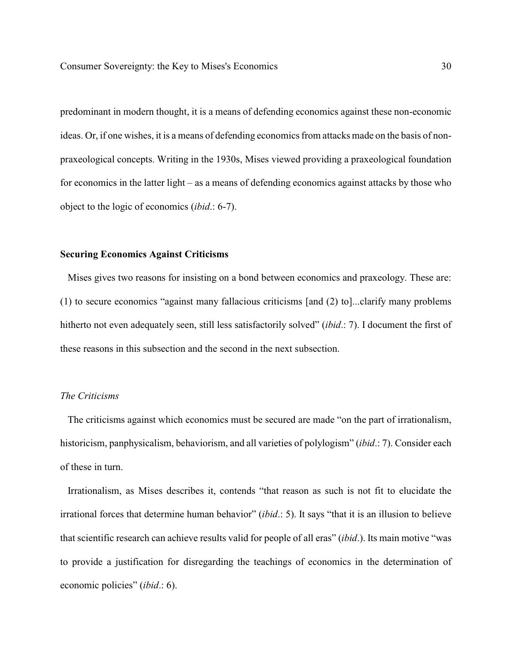predominant in modern thought, it is a means of defending economics against these non-economic ideas. Or, if one wishes, it is a means of defending economics from attacks made on the basis of nonpraxeological concepts. Writing in the 1930s, Mises viewed providing a praxeological foundation for economics in the latter light – as a means of defending economics against attacks by those who object to the logic of economics (*ibid*.: 6-7).

#### **Securing Economics Against Criticisms**

Mises gives two reasons for insisting on a bond between economics and praxeology. These are: (1) to secure economics "against many fallacious criticisms [and (2) to]...clarify many problems hitherto not even adequately seen, still less satisfactorily solved" (*ibid*.: 7). I document the first of these reasons in this subsection and the second in the next subsection.

#### *The Criticisms*

The criticisms against which economics must be secured are made "on the part of irrationalism, historicism, panphysicalism, behaviorism, and all varieties of polylogism" (*ibid*.: 7). Consider each of these in turn.

Irrationalism, as Mises describes it, contends "that reason as such is not fit to elucidate the irrational forces that determine human behavior" (*ibid*.: 5). It says "that it is an illusion to believe that scientific research can achieve results valid for people of all eras" (*ibid*.). Its main motive "was to provide a justification for disregarding the teachings of economics in the determination of economic policies" (*ibid*.: 6).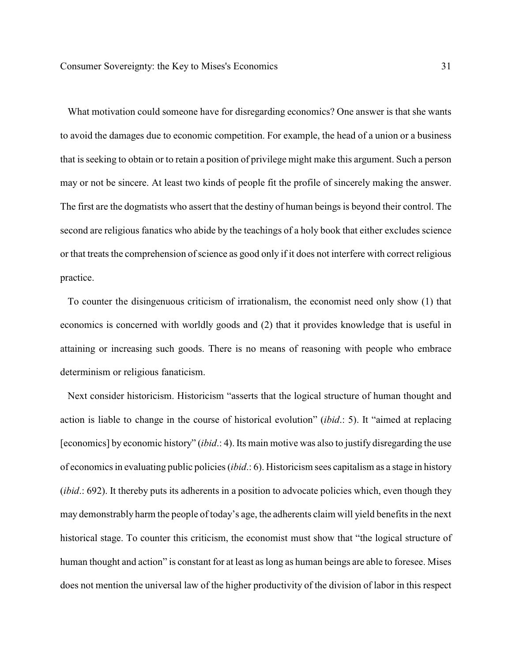What motivation could someone have for disregarding economics? One answer is that she wants to avoid the damages due to economic competition. For example, the head of a union or a business that is seeking to obtain or to retain a position of privilege might make this argument. Such a person may or not be sincere. At least two kinds of people fit the profile of sincerely making the answer. The first are the dogmatists who assert that the destiny of human beings is beyond their control. The second are religious fanatics who abide by the teachings of a holy book that either excludes science or that treats the comprehension of science as good only if it does not interfere with correct religious practice.

To counter the disingenuous criticism of irrationalism, the economist need only show (1) that economics is concerned with worldly goods and (2) that it provides knowledge that is useful in attaining or increasing such goods. There is no means of reasoning with people who embrace determinism or religious fanaticism.

Next consider historicism. Historicism "asserts that the logical structure of human thought and action is liable to change in the course of historical evolution" (*ibid*.: 5). It "aimed at replacing [economics] by economic history" (*ibid*.: 4). Its main motive was also to justify disregarding the use of economics in evaluating public policies (*ibid*.: 6). Historicism sees capitalism as a stage in history (*ibid*.: 692). It thereby puts its adherents in a position to advocate policies which, even though they may demonstrably harm the people of today's age, the adherents claim will yield benefits in the next historical stage. To counter this criticism, the economist must show that "the logical structure of human thought and action" is constant for at least as long as human beings are able to foresee. Mises does not mention the universal law of the higher productivity of the division of labor in this respect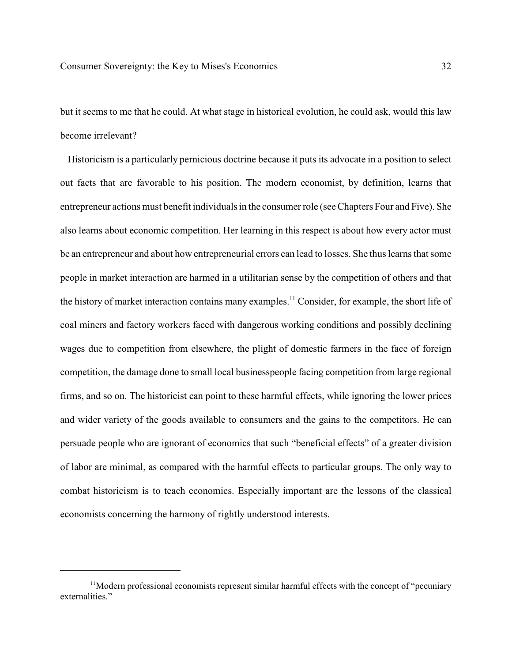but it seems to me that he could. At what stage in historical evolution, he could ask, would this law become irrelevant?

Historicism is a particularly pernicious doctrine because it puts its advocate in a position to select out facts that are favorable to his position. The modern economist, by definition, learns that entrepreneur actions must benefit individuals in the consumer role (see Chapters Four and Five). She also learns about economic competition. Her learning in this respect is about how every actor must be an entrepreneur and about how entrepreneurial errors can lead to losses. She thus learns that some people in market interaction are harmed in a utilitarian sense by the competition of others and that the history of market interaction contains many examples.<sup>11</sup> Consider, for example, the short life of coal miners and factory workers faced with dangerous working conditions and possibly declining wages due to competition from elsewhere, the plight of domestic farmers in the face of foreign competition, the damage done to small local businesspeople facing competition from large regional firms, and so on. The historicist can point to these harmful effects, while ignoring the lower prices and wider variety of the goods available to consumers and the gains to the competitors. He can persuade people who are ignorant of economics that such "beneficial effects" of a greater division of labor are minimal, as compared with the harmful effects to particular groups. The only way to combat historicism is to teach economics. Especially important are the lessons of the classical economists concerning the harmony of rightly understood interests.

<sup>&</sup>lt;sup>11</sup>Modern professional economists represent similar harmful effects with the concept of "pecuniary" externalities"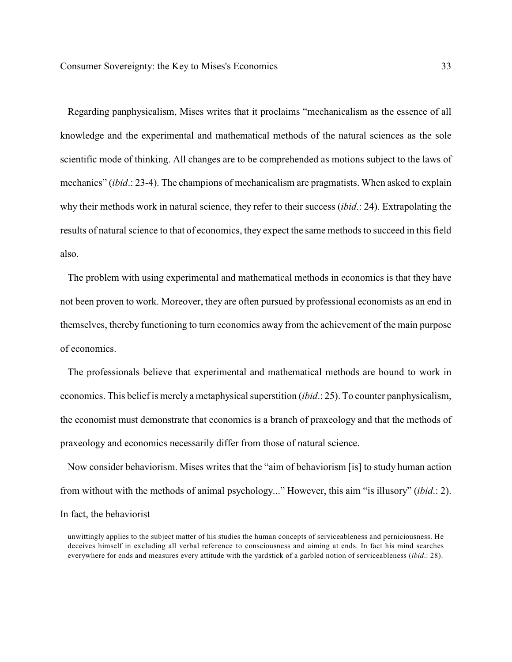Regarding panphysicalism, Mises writes that it proclaims "mechanicalism as the essence of all knowledge and the experimental and mathematical methods of the natural sciences as the sole scientific mode of thinking. All changes are to be comprehended as motions subject to the laws of mechanics" (*ibid*.: 23-4). The champions of mechanicalism are pragmatists. When asked to explain why their methods work in natural science, they refer to their success (*ibid*.: 24). Extrapolating the results of natural science to that of economics, they expect the same methods to succeed in this field also.

The problem with using experimental and mathematical methods in economics is that they have not been proven to work. Moreover, they are often pursued by professional economists as an end in themselves, thereby functioning to turn economics away from the achievement of the main purpose of economics.

The professionals believe that experimental and mathematical methods are bound to work in economics. This belief is merely a metaphysical superstition (*ibid*.: 25). To counter panphysicalism, the economist must demonstrate that economics is a branch of praxeology and that the methods of praxeology and economics necessarily differ from those of natural science.

Now consider behaviorism. Mises writes that the "aim of behaviorism [is] to study human action from without with the methods of animal psychology..." However, this aim "is illusory" (*ibid*.: 2). In fact, the behaviorist

unwittingly applies to the subject matter of his studies the human concepts of serviceableness and perniciousness. He deceives himself in excluding all verbal reference to consciousness and aiming at ends. In fact his mind searches everywhere for ends and measures every attitude with the yardstick of a garbled notion of serviceableness (*ibid*.: 28).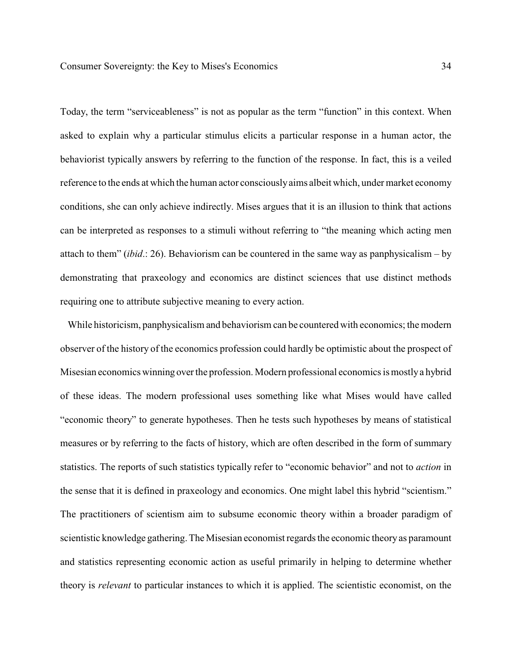Today, the term "serviceableness" is not as popular as the term "function" in this context. When asked to explain why a particular stimulus elicits a particular response in a human actor, the behaviorist typically answers by referring to the function of the response. In fact, this is a veiled reference to the ends at which the human actor consciously aims albeit which, under market economy conditions, she can only achieve indirectly. Mises argues that it is an illusion to think that actions can be interpreted as responses to a stimuli without referring to "the meaning which acting men attach to them" (*ibid*.: 26). Behaviorism can be countered in the same way as panphysicalism – by demonstrating that praxeology and economics are distinct sciences that use distinct methods requiring one to attribute subjective meaning to every action.

While historicism, panphysicalism and behaviorism can be countered with economics; the modern observer of the history of the economics profession could hardly be optimistic about the prospect of Misesian economics winning over the profession. Modern professional economics is mostly a hybrid of these ideas. The modern professional uses something like what Mises would have called "economic theory" to generate hypotheses. Then he tests such hypotheses by means of statistical measures or by referring to the facts of history, which are often described in the form of summary statistics. The reports of such statistics typically refer to "economic behavior" and not to *action* in the sense that it is defined in praxeology and economics. One might label this hybrid "scientism." The practitioners of scientism aim to subsume economic theory within a broader paradigm of scientistic knowledge gathering. The Misesian economist regards the economic theory as paramount and statistics representing economic action as useful primarily in helping to determine whether theory is *relevant* to particular instances to which it is applied. The scientistic economist, on the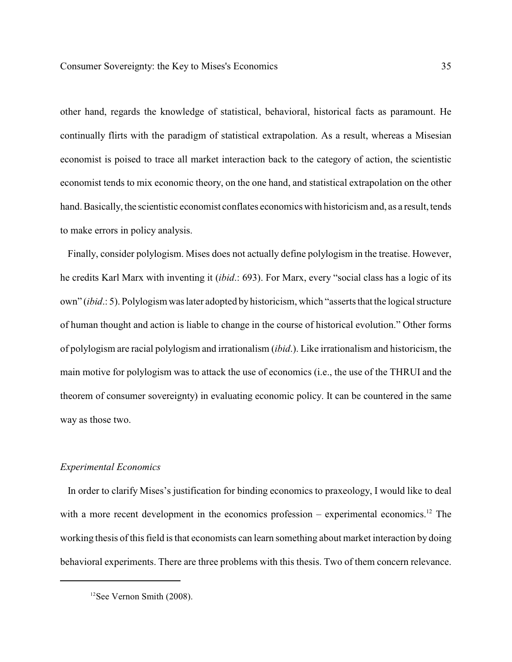other hand, regards the knowledge of statistical, behavioral, historical facts as paramount. He continually flirts with the paradigm of statistical extrapolation. As a result, whereas a Misesian economist is poised to trace all market interaction back to the category of action, the scientistic economist tends to mix economic theory, on the one hand, and statistical extrapolation on the other hand. Basically, the scientistic economist conflates economics with historicism and, as a result, tends to make errors in policy analysis.

Finally, consider polylogism. Mises does not actually define polylogism in the treatise. However, he credits Karl Marx with inventing it (*ibid*.: 693). For Marx, every "social class has a logic of its own" (*ibid*.: 5). Polylogism was later adopted by historicism, which "asserts that the logical structure of human thought and action is liable to change in the course of historical evolution." Other forms of polylogism are racial polylogism and irrationalism (*ibid*.). Like irrationalism and historicism, the main motive for polylogism was to attack the use of economics (i.e., the use of the THRUI and the theorem of consumer sovereignty) in evaluating economic policy. It can be countered in the same way as those two.

# *Experimental Economics*

In order to clarify Mises's justification for binding economics to praxeology, I would like to deal with a more recent development in the economics profession – experimental economics.<sup>12</sup> The working thesis of this field is that economists can learn something about market interaction by doing behavioral experiments. There are three problems with this thesis. Two of them concern relevance.

 $12$ See Vernon Smith (2008).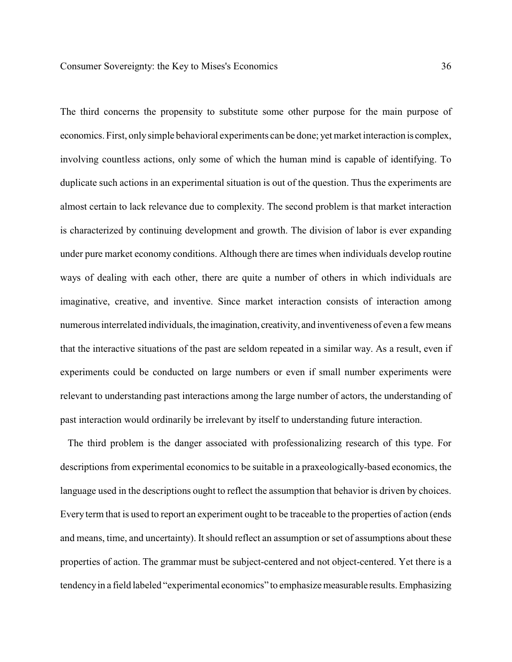The third concerns the propensity to substitute some other purpose for the main purpose of economics. First, only simple behavioral experiments can be done; yet market interaction is complex, involving countless actions, only some of which the human mind is capable of identifying. To duplicate such actions in an experimental situation is out of the question. Thus the experiments are almost certain to lack relevance due to complexity. The second problem is that market interaction is characterized by continuing development and growth. The division of labor is ever expanding under pure market economy conditions. Although there are times when individuals develop routine ways of dealing with each other, there are quite a number of others in which individuals are imaginative, creative, and inventive. Since market interaction consists of interaction among numerous interrelated individuals, the imagination, creativity, and inventiveness of even a few means that the interactive situations of the past are seldom repeated in a similar way. As a result, even if experiments could be conducted on large numbers or even if small number experiments were relevant to understanding past interactions among the large number of actors, the understanding of past interaction would ordinarily be irrelevant by itself to understanding future interaction.

The third problem is the danger associated with professionalizing research of this type. For descriptions from experimental economics to be suitable in a praxeologically-based economics, the language used in the descriptions ought to reflect the assumption that behavior is driven by choices. Every term that is used to report an experiment ought to be traceable to the properties of action (ends and means, time, and uncertainty). It should reflect an assumption or set of assumptions about these properties of action. The grammar must be subject-centered and not object-centered. Yet there is a tendency in a field labeled "experimental economics" to emphasize measurable results. Emphasizing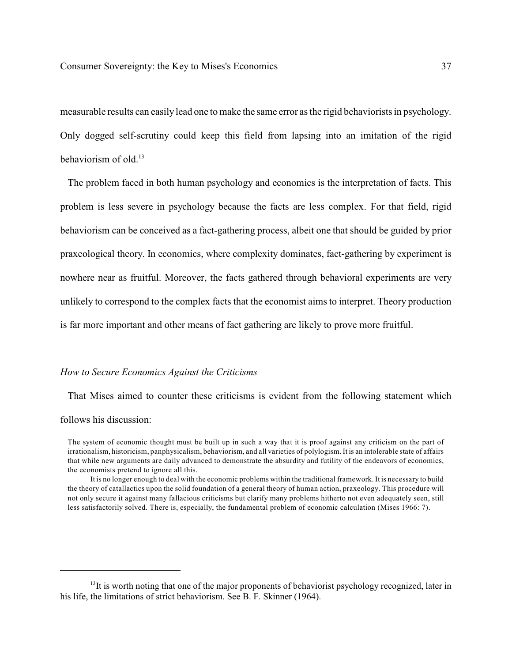measurable results can easily lead one to make the same error as the rigid behaviorists in psychology. Only dogged self-scrutiny could keep this field from lapsing into an imitation of the rigid behaviorism of old.<sup>13</sup>

The problem faced in both human psychology and economics is the interpretation of facts. This problem is less severe in psychology because the facts are less complex. For that field, rigid behaviorism can be conceived as a fact-gathering process, albeit one that should be guided by prior praxeological theory. In economics, where complexity dominates, fact-gathering by experiment is nowhere near as fruitful. Moreover, the facts gathered through behavioral experiments are very unlikely to correspond to the complex facts that the economist aims to interpret. Theory production is far more important and other means of fact gathering are likely to prove more fruitful.

### *How to Secure Economics Against the Criticisms*

That Mises aimed to counter these criticisms is evident from the following statement which

follows his discussion:

The system of economic thought must be built up in such a way that it is proof against any criticism on the part of irrationalism, historicism, panphysicalism, behaviorism, and all varieties of polylogism. It is an intolerable state of affairs that while new arguments are daily advanced to demonstrate the absurdity and futility of the endeavors of economics, the economists pretend to ignore all this.

It is no longer enough to deal with the economic problems within the traditional framework. It is necessary to build the theory of catallactics upon the solid foundation of a general theory of human action, praxeology. This procedure will not only secure it against many fallacious criticisms but clarify many problems hitherto not even adequately seen, still less satisfactorily solved. There is, especially, the fundamental problem of economic calculation (Mises 1966: 7).

 $<sup>13</sup>$ It is worth noting that one of the major proponents of behaviorist psychology recognized, later in</sup> his life, the limitations of strict behaviorism. See B. F. Skinner (1964).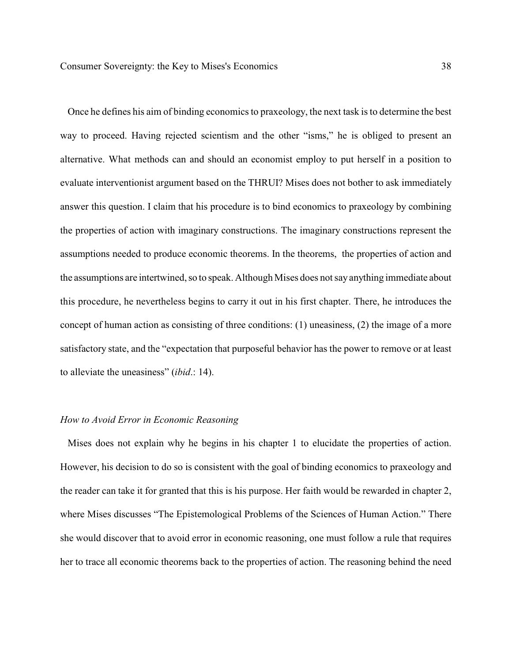Once he defines his aim of binding economics to praxeology, the next task is to determine the best way to proceed. Having rejected scientism and the other "isms," he is obliged to present an alternative. What methods can and should an economist employ to put herself in a position to evaluate interventionist argument based on the THRUI? Mises does not bother to ask immediately answer this question. I claim that his procedure is to bind economics to praxeology by combining the properties of action with imaginary constructions. The imaginary constructions represent the assumptions needed to produce economic theorems. In the theorems, the properties of action and the assumptions are intertwined, so to speak. Although Mises does not say anything immediate about this procedure, he nevertheless begins to carry it out in his first chapter. There, he introduces the concept of human action as consisting of three conditions: (1) uneasiness, (2) the image of a more satisfactory state, and the "expectation that purposeful behavior has the power to remove or at least to alleviate the uneasiness" (*ibid*.: 14).

### *How to Avoid Error in Economic Reasoning*

Mises does not explain why he begins in his chapter 1 to elucidate the properties of action. However, his decision to do so is consistent with the goal of binding economics to praxeology and the reader can take it for granted that this is his purpose. Her faith would be rewarded in chapter 2, where Mises discusses "The Epistemological Problems of the Sciences of Human Action." There she would discover that to avoid error in economic reasoning, one must follow a rule that requires her to trace all economic theorems back to the properties of action. The reasoning behind the need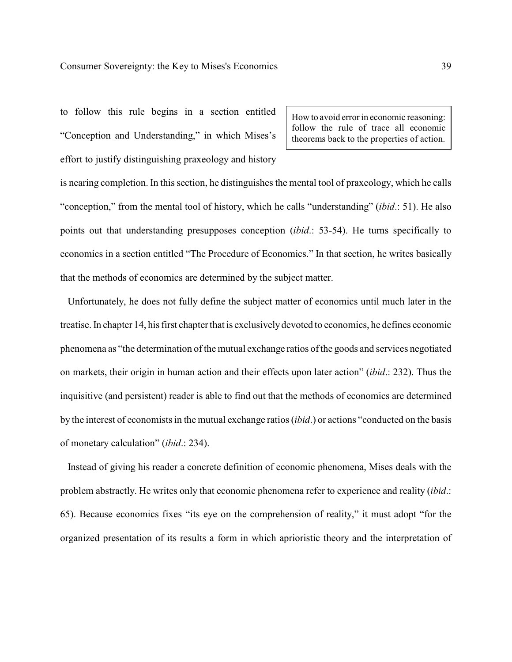to follow this rule begins in a section entitled "Conception and Understanding," in which Mises's effort to justify distinguishing praxeology and history

How to avoid error in economic reasoning: follow the rule of trace all economic theorems back to the properties of action.

is nearing completion. In this section, he distinguishes the mental tool of praxeology, which he calls "conception," from the mental tool of history, which he calls "understanding" (*ibid*.: 51). He also points out that understanding presupposes conception (*ibid*.: 53-54). He turns specifically to economics in a section entitled "The Procedure of Economics." In that section, he writes basically that the methods of economics are determined by the subject matter.

Unfortunately, he does not fully define the subject matter of economics until much later in the treatise. In chapter 14, hisfirst chapter that is exclusivelydevoted to economics, he defines economic phenomena as "the determination of the mutual exchange ratios of the goods and services negotiated on markets, their origin in human action and their effects upon later action" (*ibid*.: 232). Thus the inquisitive (and persistent) reader is able to find out that the methods of economics are determined by the interest of economists in the mutual exchange ratios (*ibid*.) or actions "conducted on the basis of monetary calculation" (*ibid*.: 234).

Instead of giving his reader a concrete definition of economic phenomena, Mises deals with the problem abstractly. He writes only that economic phenomena refer to experience and reality (*ibid*.: 65). Because economics fixes "its eye on the comprehension of reality," it must adopt "for the organized presentation of its results a form in which aprioristic theory and the interpretation of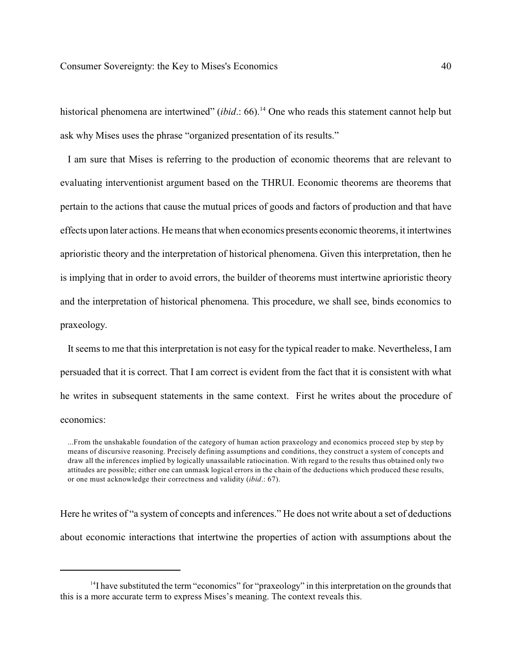historical phenomena are intertwined" *(ibid.*: 66).<sup>14</sup> One who reads this statement cannot help but ask why Mises uses the phrase "organized presentation of its results."

I am sure that Mises is referring to the production of economic theorems that are relevant to evaluating interventionist argument based on the THRUI. Economic theorems are theorems that pertain to the actions that cause the mutual prices of goods and factors of production and that have effects upon later actions. He means that when economics presents economic theorems, it intertwines aprioristic theory and the interpretation of historical phenomena. Given this interpretation, then he is implying that in order to avoid errors, the builder of theorems must intertwine aprioristic theory and the interpretation of historical phenomena. This procedure, we shall see, binds economics to praxeology.

It seems to me that this interpretation is not easy for the typical reader to make. Nevertheless, I am persuaded that it is correct. That I am correct is evident from the fact that it is consistent with what he writes in subsequent statements in the same context. First he writes about the procedure of economics:

...From the unshakable foundation of the category of human action praxeology and economics proceed step by step by means of discursive reasoning. Precisely defining assumptions and conditions, they construct a system of concepts and draw all the inferences implied by logically unassailable ratiocination. With regard to the results thus obtained only two attitudes are possible; either one can unmask logical errors in the chain of the deductions which produced these results, or one must acknowledge their correctness and validity (*ibid*.: 67).

Here he writes of "a system of concepts and inferences." He does not write about a set of deductions about economic interactions that intertwine the properties of action with assumptions about the

 $14$ I have substituted the term "economics" for "praxeology" in this interpretation on the grounds that this is a more accurate term to express Mises's meaning. The context reveals this.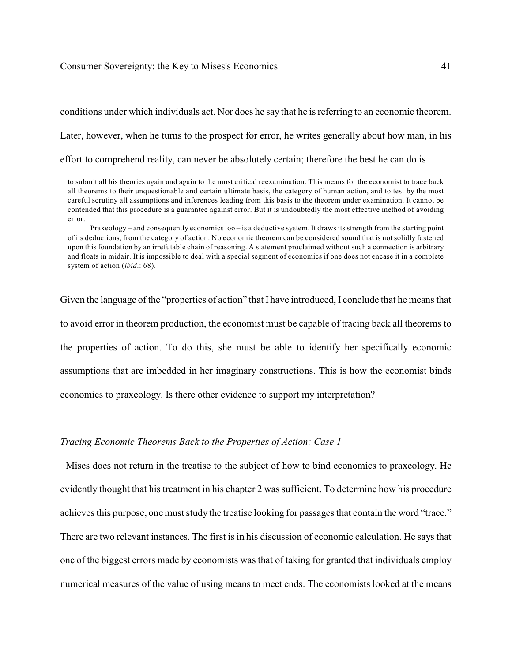### Consumer Sovereignty: the Key to Mises's Economics 41

conditions under which individuals act. Nor does he say that he is referring to an economic theorem. Later, however, when he turns to the prospect for error, he writes generally about how man, in his

effort to comprehend reality, can never be absolutely certain; therefore the best he can do is

to submit all his theories again and again to the most critical reexamination. This means for the economist to trace back all theorems to their unquestionable and certain ultimate basis, the category of human action, and to test by the most careful scrutiny all assumptions and inferences leading from this basis to the theorem under examination. It cannot be contended that this procedure is a guarantee against error. But it is undoubtedly the most effective method of avoiding error.

Praxeology – and consequently economics too – is a deductive system. It draws its strength from the starting point of its deductions, from the category of action. No economic theorem can be considered sound that is not solidly fastened upon this foundation by an irrefutable chain of reasoning. A statement proclaimed without such a connection is arbitrary and floats in midair. It is impossible to deal with a special segment of economics if one does not encase it in a complete system of action (*ibid*.: 68).

Given the language of the "properties of action" that I have introduced, I conclude that he means that to avoid error in theorem production, the economist must be capable of tracing back all theorems to the properties of action. To do this, she must be able to identify her specifically economic assumptions that are imbedded in her imaginary constructions. This is how the economist binds economics to praxeology. Is there other evidence to support my interpretation?

### *Tracing Economic Theorems Back to the Properties of Action: Case 1*

 Mises does not return in the treatise to the subject of how to bind economics to praxeology. He evidently thought that his treatment in his chapter 2 was sufficient. To determine how his procedure achieves this purpose, one must study the treatise looking for passages that contain the word "trace." There are two relevant instances. The first is in his discussion of economic calculation. He says that one of the biggest errors made by economists was that of taking for granted that individuals employ numerical measures of the value of using means to meet ends. The economists looked at the means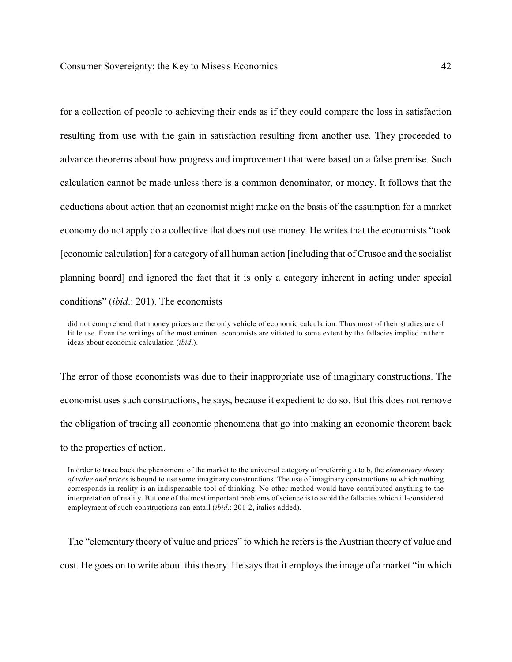for a collection of people to achieving their ends as if they could compare the loss in satisfaction resulting from use with the gain in satisfaction resulting from another use. They proceeded to advance theorems about how progress and improvement that were based on a false premise. Such calculation cannot be made unless there is a common denominator, or money. It follows that the deductions about action that an economist might make on the basis of the assumption for a market economy do not apply do a collective that does not use money. He writes that the economists "took [economic calculation] for a category of all human action [including that of Crusoe and the socialist planning board] and ignored the fact that it is only a category inherent in acting under special conditions" (*ibid*.: 201). The economists

did not comprehend that money prices are the only vehicle of economic calculation. Thus most of their studies are of little use. Even the writings of the most eminent economists are vitiated to some extent by the fallacies implied in their ideas about economic calculation (*ibid*.).

The error of those economists was due to their inappropriate use of imaginary constructions. The economist uses such constructions, he says, because it expedient to do so. But this does not remove the obligation of tracing all economic phenomena that go into making an economic theorem back to the properties of action.

In order to trace back the phenomena of the market to the universal category of preferring a to b, the *elementary theory of value and prices* is bound to use some imaginary constructions. The use of imaginary constructions to which nothing corresponds in reality is an indispensable tool of thinking. No other method would have contributed anything to the interpretation of reality. But one of the most important problems of science is to avoid the fallacies which ill-considered employment of such constructions can entail (*ibid*.: 201-2, italics added).

The "elementary theory of value and prices" to which he refers is the Austrian theory of value and cost. He goes on to write about this theory. He says that it employs the image of a market "in which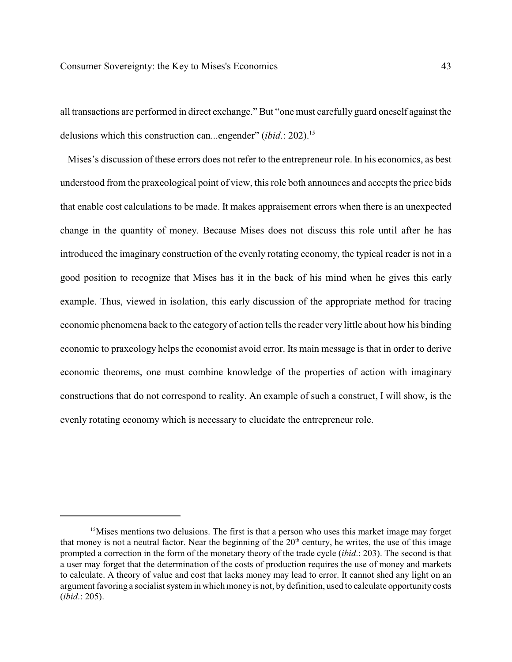all transactions are performed in direct exchange." But "one must carefully guard oneself against the delusions which this construction can...engender" *(ibid.*: 202).<sup>15</sup>

Mises's discussion of these errors does not refer to the entrepreneur role. In his economics, as best understood from the praxeological point of view, thisrole both announces and accepts the price bids that enable cost calculations to be made. It makes appraisement errors when there is an unexpected change in the quantity of money. Because Mises does not discuss this role until after he has introduced the imaginary construction of the evenly rotating economy, the typical reader is not in a good position to recognize that Mises has it in the back of his mind when he gives this early example. Thus, viewed in isolation, this early discussion of the appropriate method for tracing economic phenomena back to the category of action tells the reader very little about how his binding economic to praxeology helps the economist avoid error. Its main message is that in order to derive economic theorems, one must combine knowledge of the properties of action with imaginary constructions that do not correspond to reality. An example of such a construct, I will show, is the evenly rotating economy which is necessary to elucidate the entrepreneur role.

<sup>&</sup>lt;sup>15</sup> Mises mentions two delusions. The first is that a person who uses this market image may forget that money is not a neutral factor. Near the beginning of the  $20<sup>th</sup>$  century, he writes, the use of this image prompted a correction in the form of the monetary theory of the trade cycle (*ibid*.: 203). The second is that a user may forget that the determination of the costs of production requires the use of money and markets to calculate. A theory of value and cost that lacks money may lead to error. It cannot shed any light on an argument favoring a socialist system in whichmoney is not, by definition, used to calculate opportunity costs (*ibid*.: 205).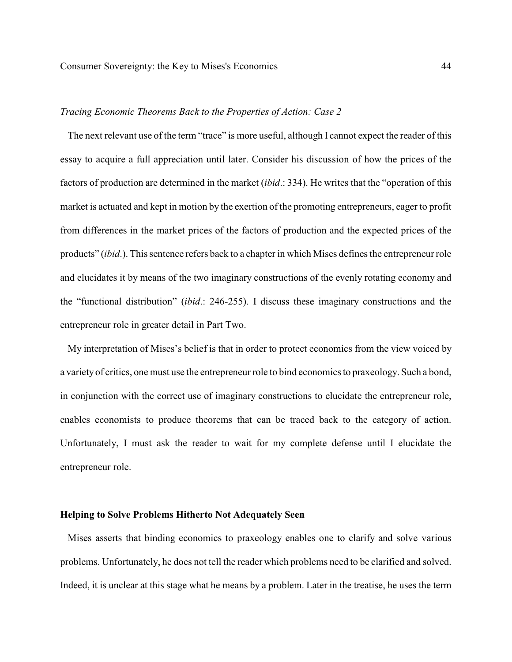### *Tracing Economic Theorems Back to the Properties of Action: Case 2*

The next relevant use of the term "trace" is more useful, although I cannot expect the reader of this essay to acquire a full appreciation until later. Consider his discussion of how the prices of the factors of production are determined in the market (*ibid*.: 334). He writes that the "operation of this market is actuated and kept in motion by the exertion of the promoting entrepreneurs, eager to profit from differences in the market prices of the factors of production and the expected prices of the products" (*ibid*.). This sentence refers back to a chapter in which Mises defines the entrepreneur role and elucidates it by means of the two imaginary constructions of the evenly rotating economy and the "functional distribution" (*ibid*.: 246-255). I discuss these imaginary constructions and the entrepreneur role in greater detail in Part Two.

My interpretation of Mises's belief is that in order to protect economics from the view voiced by a variety of critics, one must use the entrepreneur role to bind economics to praxeology. Such a bond, in conjunction with the correct use of imaginary constructions to elucidate the entrepreneur role, enables economists to produce theorems that can be traced back to the category of action. Unfortunately, I must ask the reader to wait for my complete defense until I elucidate the entrepreneur role.

### **Helping to Solve Problems Hitherto Not Adequately Seen**

Mises asserts that binding economics to praxeology enables one to clarify and solve various problems. Unfortunately, he does not tell the reader which problems need to be clarified and solved. Indeed, it is unclear at this stage what he means by a problem. Later in the treatise, he uses the term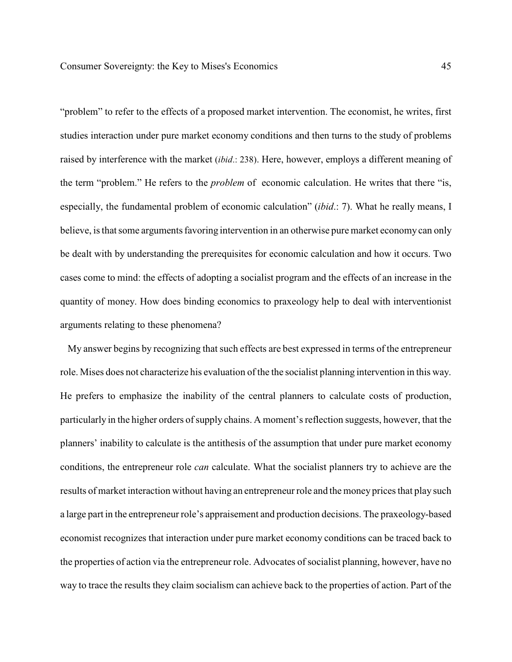"problem" to refer to the effects of a proposed market intervention. The economist, he writes, first studies interaction under pure market economy conditions and then turns to the study of problems raised by interference with the market (*ibid*.: 238). Here, however, employs a different meaning of the term "problem." He refers to the *problem* of economic calculation. He writes that there "is, especially, the fundamental problem of economic calculation" (*ibid*.: 7). What he really means, I believe, is that some arguments favoring intervention in an otherwise pure market economy can only be dealt with by understanding the prerequisites for economic calculation and how it occurs. Two cases come to mind: the effects of adopting a socialist program and the effects of an increase in the quantity of money. How does binding economics to praxeology help to deal with interventionist arguments relating to these phenomena?

My answer begins by recognizing that such effects are best expressed in terms of the entrepreneur role. Mises does not characterize his evaluation of the the socialist planning intervention in this way. He prefers to emphasize the inability of the central planners to calculate costs of production, particularly in the higher orders of supply chains. A moment's reflection suggests, however, that the planners' inability to calculate is the antithesis of the assumption that under pure market economy conditions, the entrepreneur role *can* calculate. What the socialist planners try to achieve are the results of market interaction without having an entrepreneur role and the money prices that play such a large part in the entrepreneur role's appraisement and production decisions. The praxeology-based economist recognizes that interaction under pure market economy conditions can be traced back to the properties of action via the entrepreneur role. Advocates of socialist planning, however, have no way to trace the results they claim socialism can achieve back to the properties of action. Part of the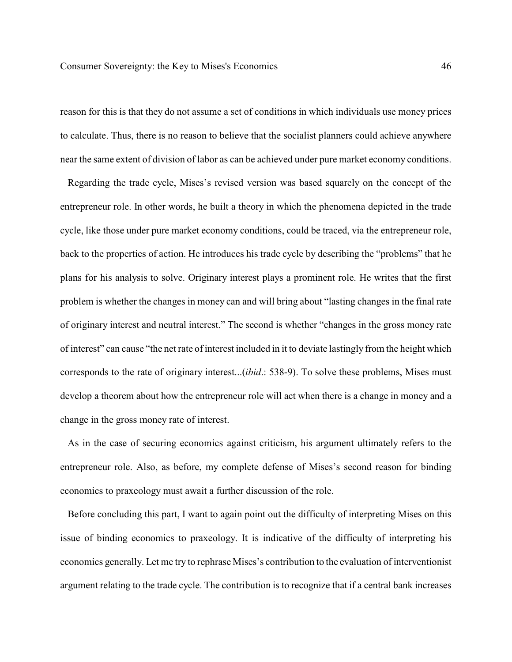reason for this is that they do not assume a set of conditions in which individuals use money prices to calculate. Thus, there is no reason to believe that the socialist planners could achieve anywhere near the same extent of division of labor as can be achieved under pure market economy conditions.

Regarding the trade cycle, Mises's revised version was based squarely on the concept of the entrepreneur role. In other words, he built a theory in which the phenomena depicted in the trade cycle, like those under pure market economy conditions, could be traced, via the entrepreneur role, back to the properties of action. He introduces his trade cycle by describing the "problems" that he plans for his analysis to solve. Originary interest plays a prominent role. He writes that the first problem is whether the changes in money can and will bring about "lasting changes in the final rate of originary interest and neutral interest." The second is whether "changes in the gross money rate of interest" can cause "the net rate of interest included in it to deviate lastingly from the height which corresponds to the rate of originary interest...(*ibid*.: 538-9). To solve these problems, Mises must develop a theorem about how the entrepreneur role will act when there is a change in money and a change in the gross money rate of interest.

As in the case of securing economics against criticism, his argument ultimately refers to the entrepreneur role. Also, as before, my complete defense of Mises's second reason for binding economics to praxeology must await a further discussion of the role.

Before concluding this part, I want to again point out the difficulty of interpreting Mises on this issue of binding economics to praxeology. It is indicative of the difficulty of interpreting his economics generally. Let me try to rephrase Mises's contribution to the evaluation of interventionist argument relating to the trade cycle. The contribution is to recognize that if a central bank increases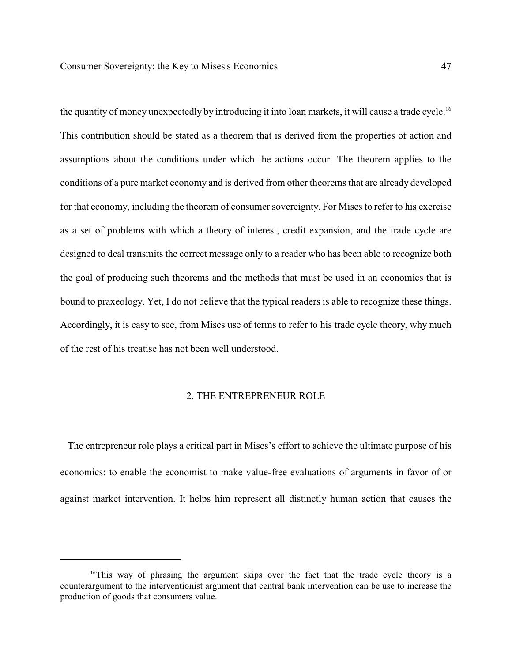the quantity of money unexpectedly by introducing it into loan markets, it will cause a trade cycle.<sup>16</sup> This contribution should be stated as a theorem that is derived from the properties of action and assumptions about the conditions under which the actions occur. The theorem applies to the conditions of a pure market economy and is derived from other theorems that are already developed for that economy, including the theorem of consumer sovereignty. For Mises to refer to his exercise as a set of problems with which a theory of interest, credit expansion, and the trade cycle are designed to deal transmits the correct message only to a reader who has been able to recognize both the goal of producing such theorems and the methods that must be used in an economics that is bound to praxeology. Yet, I do not believe that the typical readers is able to recognize these things. Accordingly, it is easy to see, from Mises use of terms to refer to his trade cycle theory, why much of the rest of his treatise has not been well understood.

## 2. THE ENTREPRENEUR ROLE

The entrepreneur role plays a critical part in Mises's effort to achieve the ultimate purpose of his economics: to enable the economist to make value-free evaluations of arguments in favor of or against market intervention. It helps him represent all distinctly human action that causes the

 $16$ This way of phrasing the argument skips over the fact that the trade cycle theory is a counterargument to the interventionist argument that central bank intervention can be use to increase the production of goods that consumers value.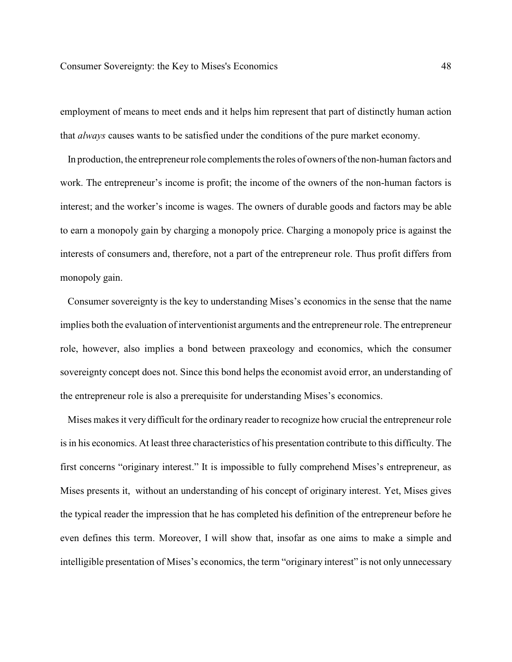employment of means to meet ends and it helps him represent that part of distinctly human action that *always* causes wants to be satisfied under the conditions of the pure market economy.

In production, the entrepreneur role complements the roles of owners of the non-human factors and work. The entrepreneur's income is profit; the income of the owners of the non-human factors is interest; and the worker's income is wages. The owners of durable goods and factors may be able to earn a monopoly gain by charging a monopoly price. Charging a monopoly price is against the interests of consumers and, therefore, not a part of the entrepreneur role. Thus profit differs from monopoly gain.

Consumer sovereignty is the key to understanding Mises's economics in the sense that the name implies both the evaluation of interventionist arguments and the entrepreneur role. The entrepreneur role, however, also implies a bond between praxeology and economics, which the consumer sovereignty concept does not. Since this bond helps the economist avoid error, an understanding of the entrepreneur role is also a prerequisite for understanding Mises's economics.

Mises makes it very difficult for the ordinary reader to recognize how crucial the entrepreneur role is in his economics. At least three characteristics of his presentation contribute to this difficulty. The first concerns "originary interest." It is impossible to fully comprehend Mises's entrepreneur, as Mises presents it, without an understanding of his concept of originary interest. Yet, Mises gives the typical reader the impression that he has completed his definition of the entrepreneur before he even defines this term. Moreover, I will show that, insofar as one aims to make a simple and intelligible presentation of Mises's economics, the term "originary interest" is not only unnecessary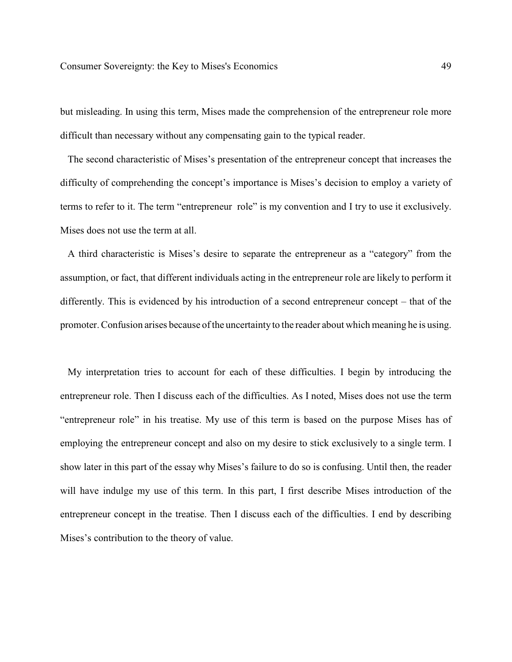but misleading. In using this term, Mises made the comprehension of the entrepreneur role more difficult than necessary without any compensating gain to the typical reader.

The second characteristic of Mises's presentation of the entrepreneur concept that increases the difficulty of comprehending the concept's importance is Mises's decision to employ a variety of terms to refer to it. The term "entrepreneur role" is my convention and I try to use it exclusively. Mises does not use the term at all.

A third characteristic is Mises's desire to separate the entrepreneur as a "category" from the assumption, or fact, that different individuals acting in the entrepreneur role are likely to perform it differently. This is evidenced by his introduction of a second entrepreneur concept – that of the promoter. Confusion arises because of the uncertainty to the reader about which meaning he is using.

My interpretation tries to account for each of these difficulties. I begin by introducing the entrepreneur role. Then I discuss each of the difficulties. As I noted, Mises does not use the term "entrepreneur role" in his treatise. My use of this term is based on the purpose Mises has of employing the entrepreneur concept and also on my desire to stick exclusively to a single term. I show later in this part of the essay why Mises's failure to do so is confusing. Until then, the reader will have indulge my use of this term. In this part, I first describe Mises introduction of the entrepreneur concept in the treatise. Then I discuss each of the difficulties. I end by describing Mises's contribution to the theory of value.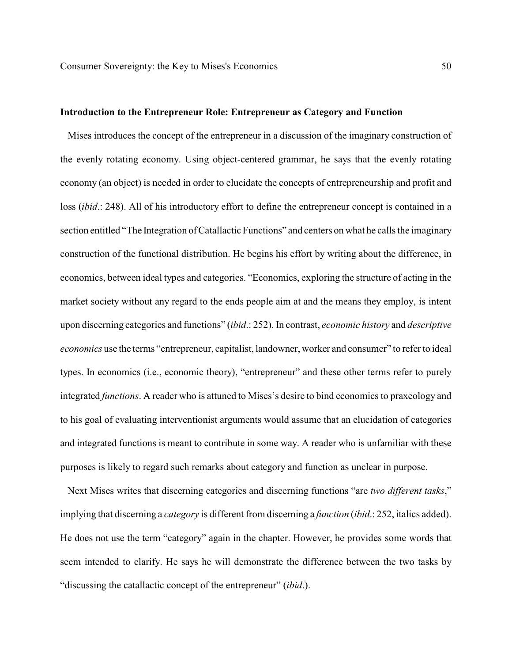# **Introduction to the Entrepreneur Role: Entrepreneur as Category and Function**

Mises introduces the concept of the entrepreneur in a discussion of the imaginary construction of the evenly rotating economy. Using object-centered grammar, he says that the evenly rotating economy (an object) is needed in order to elucidate the concepts of entrepreneurship and profit and loss (*ibid*.: 248). All of his introductory effort to define the entrepreneur concept is contained in a section entitled "The Integration of Catallactic Functions" and centers on what he calls the imaginary construction of the functional distribution. He begins his effort by writing about the difference, in economics, between ideal types and categories. "Economics, exploring the structure of acting in the market society without any regard to the ends people aim at and the means they employ, is intent upon discerning categories and functions" (*ibid*.: 252). In contrast, *economic history* and *descriptive economics* use the terms "entrepreneur, capitalist, landowner, worker and consumer" to refer to ideal types. In economics (i.e., economic theory), "entrepreneur" and these other terms refer to purely integrated *functions*. A reader who is attuned to Mises's desire to bind economics to praxeology and to his goal of evaluating interventionist arguments would assume that an elucidation of categories and integrated functions is meant to contribute in some way. A reader who is unfamiliar with these purposes is likely to regard such remarks about category and function as unclear in purpose.

Next Mises writes that discerning categories and discerning functions "are *two different tasks*," implying that discerning a *category* is different from discerning a *function* (*ibid*.: 252, italics added). He does not use the term "category" again in the chapter. However, he provides some words that seem intended to clarify. He says he will demonstrate the difference between the two tasks by "discussing the catallactic concept of the entrepreneur" (*ibid*.).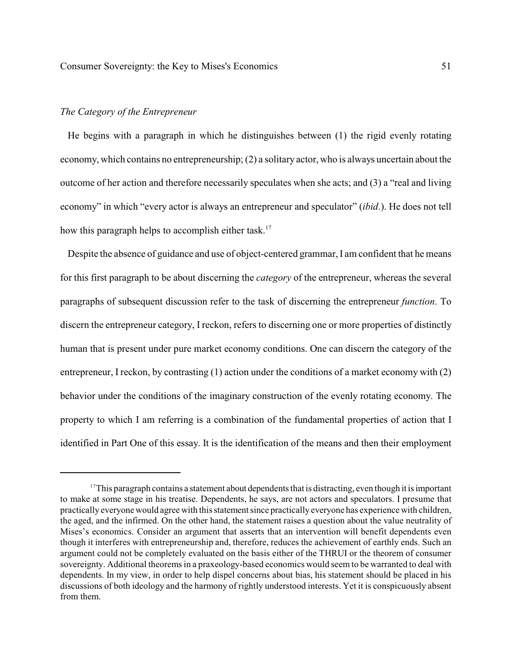# *The Category of the Entrepreneur*

He begins with a paragraph in which he distinguishes between (1) the rigid evenly rotating economy, which contains no entrepreneurship; (2) a solitary actor, who is always uncertain about the outcome of her action and therefore necessarily speculates when she acts; and (3) a "real and living economy" in which "every actor is always an entrepreneur and speculator" (*ibid*.). He does not tell how this paragraph helps to accomplish either task.<sup>17</sup>

Despite the absence of guidance and use of object-centered grammar, I am confident that he means for this first paragraph to be about discerning the *category* of the entrepreneur, whereas the several paragraphs of subsequent discussion refer to the task of discerning the entrepreneur *function*. To discern the entrepreneur category, I reckon, refers to discerning one or more properties of distinctly human that is present under pure market economy conditions. One can discern the category of the entrepreneur, I reckon, by contrasting (1) action under the conditions of a market economy with (2) behavior under the conditions of the imaginary construction of the evenly rotating economy. The property to which I am referring is a combination of the fundamental properties of action that I identified in Part One of this essay. It is the identification of the means and then their employment

 $17$ This paragraph contains a statement about dependents that is distracting, even though it is important to make at some stage in his treatise. Dependents, he says, are not actors and speculators. I presume that practically everyone would agree with this statement since practically everyone has experience with children, the aged, and the infirmed. On the other hand, the statement raises a question about the value neutrality of Mises's economics. Consider an argument that asserts that an intervention will benefit dependents even though it interferes with entrepreneurship and, therefore, reduces the achievement of earthly ends. Such an argument could not be completely evaluated on the basis either of the THRUI or the theorem of consumer sovereignty. Additional theorems in a praxeology-based economics would seem to be warranted to deal with dependents. In my view, in order to help dispel concerns about bias, his statement should be placed in his discussions of both ideology and the harmony of rightly understood interests. Yet it is conspicuously absent from them.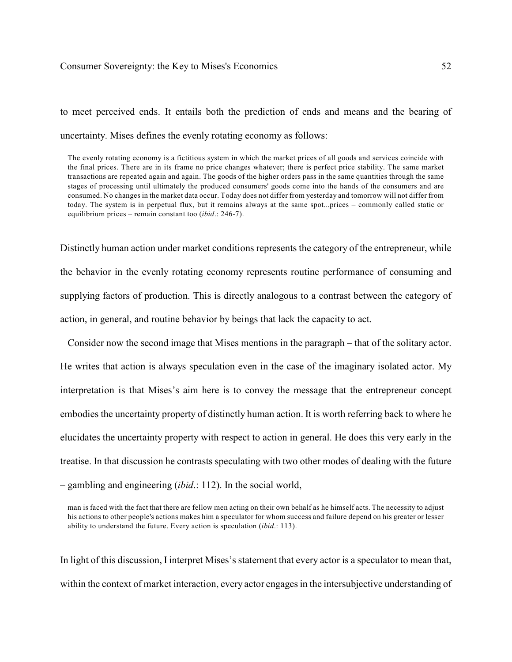to meet perceived ends. It entails both the prediction of ends and means and the bearing of uncertainty. Mises defines the evenly rotating economy as follows:

The evenly rotating economy is a fictitious system in which the market prices of all goods and services coincide with the final prices. There are in its frame no price changes whatever; there is perfect price stability. The same market transactions are repeated again and again. The goods of the higher orders pass in the same quantities through the same stages of processing until ultimately the produced consumers' goods come into the hands of the consumers and are consumed. No changes in the market data occur. Today does not differ from yesterday and tomorrow will not differ from today. The system is in perpetual flux, but it remains always at the same spot...prices – commonly called static or equilibrium prices – remain constant too (*ibid*.: 246-7).

Distinctly human action under market conditions represents the category of the entrepreneur, while the behavior in the evenly rotating economy represents routine performance of consuming and supplying factors of production. This is directly analogous to a contrast between the category of action, in general, and routine behavior by beings that lack the capacity to act.

Consider now the second image that Mises mentions in the paragraph – that of the solitary actor. He writes that action is always speculation even in the case of the imaginary isolated actor. My interpretation is that Mises's aim here is to convey the message that the entrepreneur concept embodies the uncertainty property of distinctly human action. It is worth referring back to where he elucidates the uncertainty property with respect to action in general. He does this very early in the treatise. In that discussion he contrasts speculating with two other modes of dealing with the future – gambling and engineering (*ibid*.: 112). In the social world,

man is faced with the fact that there are fellow men acting on their own behalf as he himself acts. The necessity to adjust his actions to other people's actions makes him a speculator for whom success and failure depend on his greater or lesser ability to understand the future. Every action is speculation (*ibid*.: 113).

In light of this discussion, I interpret Mises's statement that every actor is a speculator to mean that, within the context of market interaction, every actor engages in the intersubjective understanding of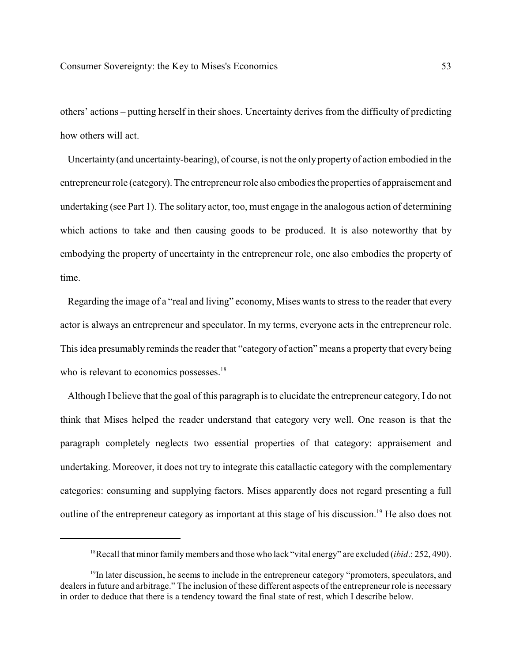others' actions – putting herself in their shoes. Uncertainty derives from the difficulty of predicting how others will act.

Uncertainty (and uncertainty-bearing), of course, is not the only property of action embodied in the entrepreneur role (category). The entrepreneur role also embodies the properties of appraisement and undertaking (see Part 1). The solitary actor, too, must engage in the analogous action of determining which actions to take and then causing goods to be produced. It is also noteworthy that by embodying the property of uncertainty in the entrepreneur role, one also embodies the property of time.

Regarding the image of a "real and living" economy, Mises wants to stress to the reader that every actor is always an entrepreneur and speculator. In my terms, everyone acts in the entrepreneur role. This idea presumably reminds the reader that "category of action" means a property that every being who is relevant to economics possesses.<sup>18</sup>

Although I believe that the goal of this paragraph is to elucidate the entrepreneur category, I do not think that Mises helped the reader understand that category very well. One reason is that the paragraph completely neglects two essential properties of that category: appraisement and undertaking. Moreover, it does not try to integrate this catallactic category with the complementary categories: consuming and supplying factors. Mises apparently does not regard presenting a full outline of the entrepreneur category as important at this stage of his discussion.<sup>19</sup> He also does not

<sup>&</sup>lt;sup>18</sup> Recall that minor family members and those who lack "vital energy" are excluded *(ibid.*: 252, 490).

<sup>&</sup>lt;sup>19</sup>In later discussion, he seems to include in the entrepreneur category "promoters, speculators, and dealers in future and arbitrage." The inclusion of these different aspects of the entrepreneur role is necessary in order to deduce that there is a tendency toward the final state of rest, which I describe below.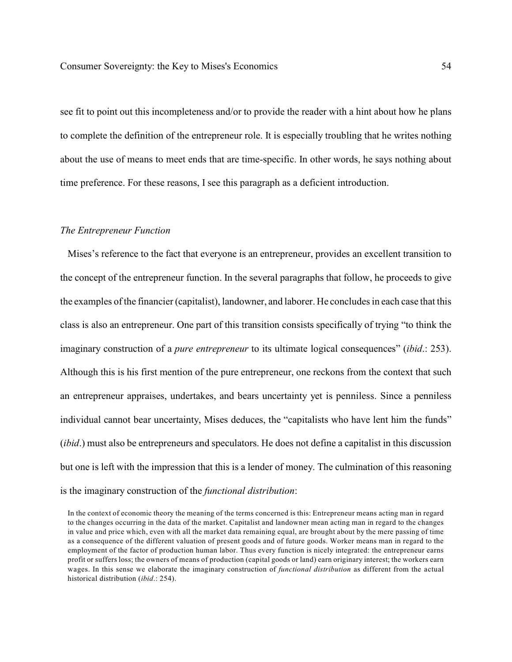see fit to point out this incompleteness and/or to provide the reader with a hint about how he plans to complete the definition of the entrepreneur role. It is especially troubling that he writes nothing about the use of means to meet ends that are time-specific. In other words, he says nothing about time preference. For these reasons, I see this paragraph as a deficient introduction.

### *The Entrepreneur Function*

Mises's reference to the fact that everyone is an entrepreneur, provides an excellent transition to the concept of the entrepreneur function. In the several paragraphs that follow, he proceeds to give the examples of the financier (capitalist), landowner, and laborer. He concludes in each case that this class is also an entrepreneur. One part of this transition consists specifically of trying "to think the imaginary construction of a *pure entrepreneur* to its ultimate logical consequences" (*ibid*.: 253). Although this is his first mention of the pure entrepreneur, one reckons from the context that such an entrepreneur appraises, undertakes, and bears uncertainty yet is penniless. Since a penniless individual cannot bear uncertainty, Mises deduces, the "capitalists who have lent him the funds" (*ibid*.) must also be entrepreneurs and speculators. He does not define a capitalist in this discussion but one is left with the impression that this is a lender of money. The culmination of this reasoning is the imaginary construction of the *functional distribution*:

In the context of economic theory the meaning of the terms concerned is this: Entrepreneur means acting man in regard to the changes occurring in the data of the market. Capitalist and landowner mean acting man in regard to the changes in value and price which, even with all the market data remaining equal, are brought about by the mere passing of time as a consequence of the different valuation of present goods and of future goods. Worker means man in regard to the employment of the factor of production human labor. Thus every function is nicely integrated: the entrepreneur earns profit or suffers loss; the owners of means of production (capital goods or land) earn originary interest; the workers earn wages. In this sense we elaborate the imaginary construction of *functional distribution* as different from the actual historical distribution (*ibid*.: 254).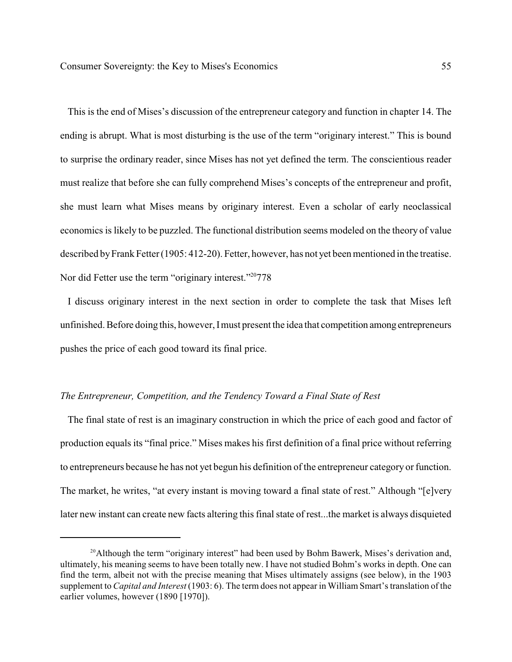This is the end of Mises's discussion of the entrepreneur category and function in chapter 14. The ending is abrupt. What is most disturbing is the use of the term "originary interest." This is bound to surprise the ordinary reader, since Mises has not yet defined the term. The conscientious reader must realize that before she can fully comprehend Mises's concepts of the entrepreneur and profit, she must learn what Mises means by originary interest. Even a scholar of early neoclassical economics is likely to be puzzled. The functional distribution seems modeled on the theory of value described by Frank Fetter (1905: 412-20). Fetter, however, has not yet been mentioned in the treatise. Nor did Fetter use the term "originary interest."<sup>20</sup>778

I discuss originary interest in the next section in order to complete the task that Mises left unfinished. Before doing this, however, I must present the idea that competition among entrepreneurs pushes the price of each good toward its final price.

### *The Entrepreneur, Competition, and the Tendency Toward a Final State of Rest*

The final state of rest is an imaginary construction in which the price of each good and factor of production equals its "final price." Mises makes his first definition of a final price without referring to entrepreneurs because he has not yet begun his definition of the entrepreneur category or function. The market, he writes, "at every instant is moving toward a final state of rest." Although "[e]very later new instant can create new facts altering this final state of rest...the market is always disquieted

<sup>&</sup>lt;sup>20</sup> Although the term "originary interest" had been used by Bohm Bawerk, Mises's derivation and, ultimately, his meaning seems to have been totally new. I have not studied Bohm's works in depth. One can find the term, albeit not with the precise meaning that Mises ultimately assigns (see below), in the 1903 supplement to *Capital and Interest* (1903: 6). The term does not appear in William Smart's translation of the earlier volumes, however (1890 [1970]).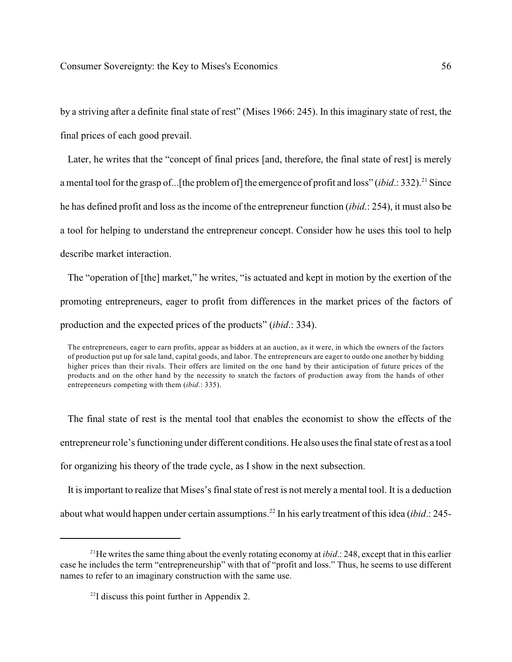by a striving after a definite final state of rest" (Mises 1966: 245). In this imaginary state of rest, the final prices of each good prevail.

Later, he writes that the "concept of final prices [and, therefore, the final state of rest] is merely a mental tool for the grasp of...[the problem of] the emergence of profit and loss" *(ibid.*: 332).<sup>21</sup> Since he has defined profit and loss as the income of the entrepreneur function (*ibid*.: 254), it must also be a tool for helping to understand the entrepreneur concept. Consider how he uses this tool to help describe market interaction.

The "operation of [the] market," he writes, "is actuated and kept in motion by the exertion of the promoting entrepreneurs, eager to profit from differences in the market prices of the factors of production and the expected prices of the products" (*ibid*.: 334).

The entrepreneurs, eager to earn profits, appear as bidders at an auction, as it were, in which the owners of the factors of production put up for sale land, capital goods, and labor. The entrepreneurs are eager to outdo one another by bidding higher prices than their rivals. Their offers are limited on the one hand by their anticipation of future prices of the products and on the other hand by the necessity to snatch the factors of production away from the hands of other entrepreneurs competing with them (*ibid*.: 335).

The final state of rest is the mental tool that enables the economist to show the effects of the entrepreneur role's functioning under different conditions. He also uses the final state of rest as a tool for organizing his theory of the trade cycle, as I show in the next subsection.

It is important to realize that Mises's final state of rest is not merely a mental tool. It is a deduction about what would happen under certain assumptions.<sup>22</sup> In his early treatment of this idea *(ibid.*: 245-

<sup>&</sup>lt;sup>21</sup>He writes the same thing about the evenly rotating economy at *ibid*.: 248, except that in this earlier case he includes the term "entrepreneurship" with that of "profit and loss." Thus, he seems to use different names to refer to an imaginary construction with the same use.

 $2<sup>22</sup>I$  discuss this point further in Appendix 2.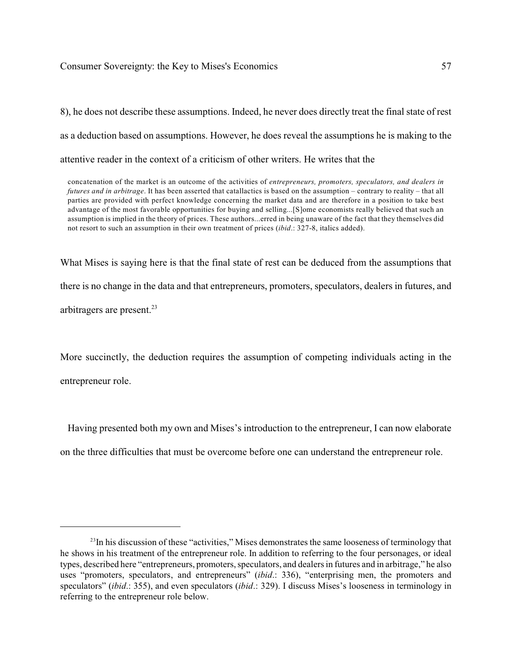Consumer Sovereignty: the Key to Mises's Economics 57

8), he does not describe these assumptions. Indeed, he never does directly treat the final state of rest as a deduction based on assumptions. However, he does reveal the assumptions he is making to the attentive reader in the context of a criticism of other writers. He writes that the

concatenation of the market is an outcome of the activities of *entrepreneurs, promoters, speculators, and dealers in futures and in arbitrage*. It has been asserted that catallactics is based on the assumption – contrary to reality – that all parties are provided with perfect knowledge concerning the market data and are therefore in a position to take best advantage of the most favorable opportunities for buying and selling...[S]ome economists really believed that such an assumption is implied in the theory of prices. These authors...erred in being unaware of the fact that they themselves did not resort to such an assumption in their own treatment of prices (*ibid*.: 327-8, italics added).

What Mises is saying here is that the final state of rest can be deduced from the assumptions that there is no change in the data and that entrepreneurs, promoters, speculators, dealers in futures, and arbitragers are present.<sup>23</sup>

More succinctly, the deduction requires the assumption of competing individuals acting in the entrepreneur role.

Having presented both my own and Mises's introduction to the entrepreneur, I can now elaborate on the three difficulties that must be overcome before one can understand the entrepreneur role.

<sup>&</sup>lt;sup>23</sup>In his discussion of these "activities," Mises demonstrates the same looseness of terminology that he shows in his treatment of the entrepreneur role. In addition to referring to the four personages, or ideal types, described here "entrepreneurs, promoters, speculators, and dealers in futures and in arbitrage," he also uses "promoters, speculators, and entrepreneurs" (*ibid*.: 336), "enterprising men, the promoters and speculators" (*ibid*.: 355), and even speculators (*ibid*.: 329). I discuss Mises's looseness in terminology in referring to the entrepreneur role below.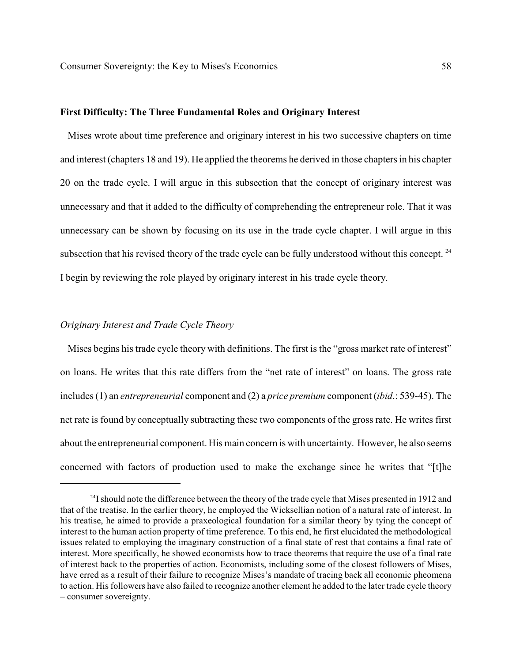# **First Difficulty: The Three Fundamental Roles and Originary Interest**

Mises wrote about time preference and originary interest in his two successive chapters on time and interest (chapters 18 and 19). He applied the theorems he derived in those chapters in his chapter 20 on the trade cycle. I will argue in this subsection that the concept of originary interest was unnecessary and that it added to the difficulty of comprehending the entrepreneur role. That it was unnecessary can be shown by focusing on its use in the trade cycle chapter. I will argue in this subsection that his revised theory of the trade cycle can be fully understood without this concept. <sup>24</sup> I begin by reviewing the role played by originary interest in his trade cycle theory.

### *Originary Interest and Trade Cycle Theory*

Mises begins his trade cycle theory with definitions. The first is the "gross market rate of interest" on loans. He writes that this rate differs from the "net rate of interest" on loans. The gross rate includes (1) an *entrepreneurial* component and (2) a *price premium* component (*ibid*.: 539-45). The net rate is found by conceptually subtracting these two components of the gross rate. He writes first about the entrepreneurial component. His main concern is with uncertainty. However, he also seems concerned with factors of production used to make the exchange since he writes that "[t]he

 $^{24}$ I should note the difference between the theory of the trade cycle that Mises presented in 1912 and that of the treatise. In the earlier theory, he employed the Wicksellian notion of a natural rate of interest. In his treatise, he aimed to provide a praxeological foundation for a similar theory by tying the concept of interest to the human action property of time preference. To this end, he first elucidated the methodological issues related to employing the imaginary construction of a final state of rest that contains a final rate of interest. More specifically, he showed economists how to trace theorems that require the use of a final rate of interest back to the properties of action. Economists, including some of the closest followers of Mises, have erred as a result of their failure to recognize Mises's mandate of tracing back all economic pheomena to action. His followers have also failed to recognize another element he added to the later trade cycle theory – consumer sovereignty.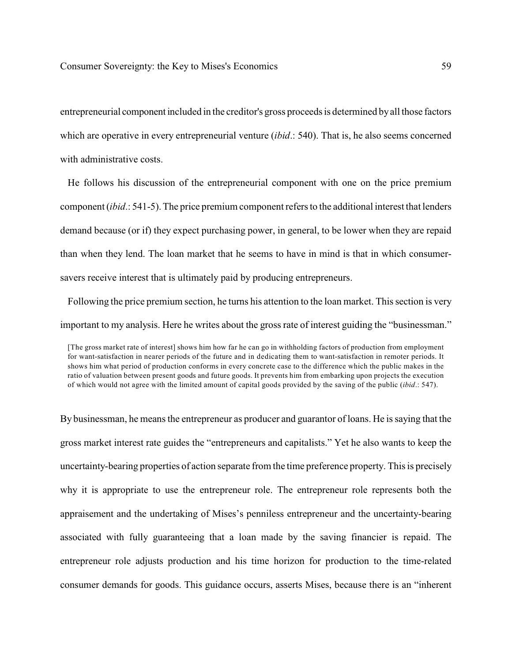entrepreneurial component included in the creditor's gross proceeds is determined by all those factors which are operative in every entrepreneurial venture (*ibid*.: 540). That is, he also seems concerned with administrative costs.

He follows his discussion of the entrepreneurial component with one on the price premium component (*ibid*.: 541-5). The price premium component refers to the additional interest that lenders demand because (or if) they expect purchasing power, in general, to be lower when they are repaid than when they lend. The loan market that he seems to have in mind is that in which consumersavers receive interest that is ultimately paid by producing entrepreneurs.

Following the price premium section, he turns his attention to the loan market. This section is very important to my analysis. Here he writes about the gross rate of interest guiding the "businessman."

By businessman, he means the entrepreneur as producer and guarantor of loans. He is saying that the gross market interest rate guides the "entrepreneurs and capitalists." Yet he also wants to keep the uncertainty-bearing properties of action separate from the time preference property. This is precisely why it is appropriate to use the entrepreneur role. The entrepreneur role represents both the appraisement and the undertaking of Mises's penniless entrepreneur and the uncertainty-bearing associated with fully guaranteeing that a loan made by the saving financier is repaid. The entrepreneur role adjusts production and his time horizon for production to the time-related consumer demands for goods. This guidance occurs, asserts Mises, because there is an "inherent

<sup>[</sup>The gross market rate of interest] shows him how far he can go in withholding factors of production from employment for want-satisfaction in nearer periods of the future and in dedicating them to want-satisfaction in remoter periods. It shows him what period of production conforms in every concrete case to the difference which the public makes in the ratio of valuation between present goods and future goods. It prevents him from embarking upon projects the execution of which would not agree with the limited amount of capital goods provided by the saving of the public (*ibid*.: 547).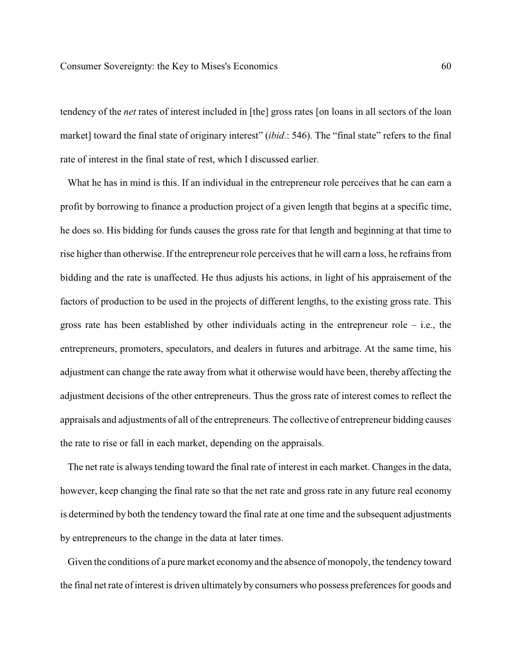tendency of the *net* rates of interest included in [the] gross rates [on loans in all sectors of the loan market] toward the final state of originary interest" *(ibid.:* 546). The "final state" refers to the final rate of interest in the final state of rest, which I discussed earlier.

What he has in mind is this. If an individual in the entrepreneur role perceives that he can earn a profit by borrowing to finance a production project of a given length that begins at a specific time, he does so. His bidding for funds causes the gross rate for that length and beginning at that time to rise higher than otherwise. If the entrepreneur role perceives that he will earn a loss, he refrains from bidding and the rate is unaffected. He thus adjusts his actions, in light of his appraisement of the factors of production to be used in the projects of different lengths, to the existing gross rate. This gross rate has been established by other individuals acting in the entrepreneur role  $-$  i.e., the entrepreneurs, promoters, speculators, and dealers in futures and arbitrage. At the same time, his adjustment can change the rate away from what it otherwise would have been, thereby affecting the adjustment decisions of the other entrepreneurs. Thus the gross rate of interest comes to reflect the appraisals and adjustments of all of the entrepreneurs. The collective of entrepreneur bidding causes the rate to rise or fall in each market, depending on the appraisals.

The net rate is always tending toward the final rate of interest in each market. Changes in the data, however, keep changing the final rate so that the net rate and gross rate in any future real economy is determined by both the tendency toward the final rate at one time and the subsequent adjustments by entrepreneurs to the change in the data at later times.

Given the conditions of a pure market economy and the absence of monopoly, the tendency toward the final net rate ofinterest is driven ultimately by consumers who possess preferences for goods and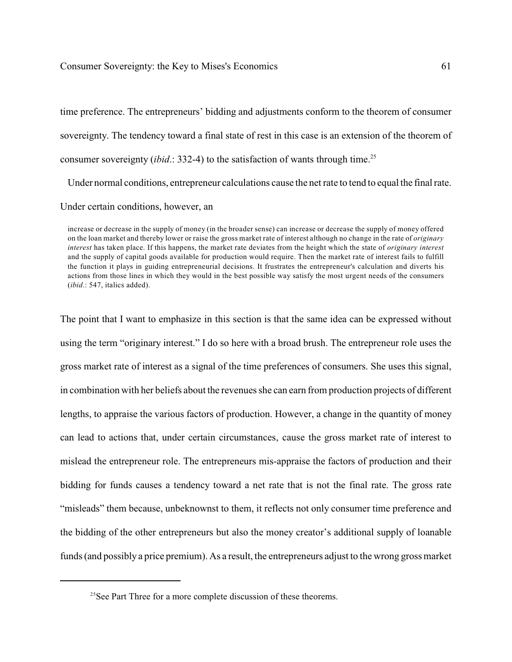Consumer Sovereignty: the Key to Mises's Economics 61

time preference. The entrepreneurs' bidding and adjustments conform to the theorem of consumer sovereignty. The tendency toward a final state of rest in this case is an extension of the theorem of consumer sovereignty *(ibid.*: 332-4) to the satisfaction of wants through time.<sup>25</sup>

Under normal conditions, entrepreneur calculations cause the net rate to tend to equal the final rate.

Under certain conditions, however, an

increase or decrease in the supply of money (in the broader sense) can increase or decrease the supply of money offered on the loan market and thereby lower or raise the gross market rate of interest although no change in the rate of *originary interest* has taken place. If this happens, the market rate deviates from the height which the state of *originary interest* and the supply of capital goods available for production would require. Then the market rate of interest fails to fulfill the function it plays in guiding entrepreneurial decisions. It frustrates the entrepreneur's calculation and diverts his actions from those lines in which they would in the best possible way satisfy the most urgent needs of the consumers (*ibid*.: 547, italics added).

The point that I want to emphasize in this section is that the same idea can be expressed without using the term "originary interest." I do so here with a broad brush. The entrepreneur role uses the gross market rate of interest as a signal of the time preferences of consumers. She uses this signal, in combination with her beliefs about the revenues she can earn from production projects of different lengths, to appraise the various factors of production. However, a change in the quantity of money can lead to actions that, under certain circumstances, cause the gross market rate of interest to mislead the entrepreneur role. The entrepreneurs mis-appraise the factors of production and their bidding for funds causes a tendency toward a net rate that is not the final rate. The gross rate "misleads" them because, unbeknownst to them, it reflects not only consumer time preference and the bidding of the other entrepreneurs but also the money creator's additional supply of loanable funds (and possibly a price premium). As a result, the entrepreneurs adjust to the wrong gross market

 $25$ See Part Three for a more complete discussion of these theorems.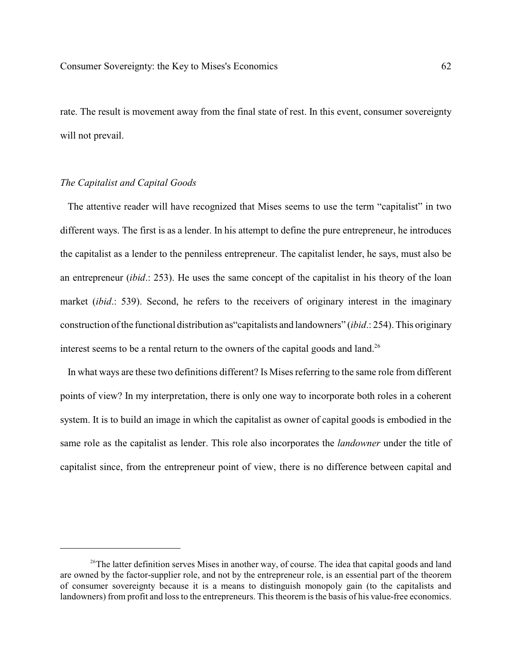rate. The result is movement away from the final state of rest. In this event, consumer sovereignty will not prevail.

#### *The Capitalist and Capital Goods*

The attentive reader will have recognized that Mises seems to use the term "capitalist" in two different ways. The first is as a lender. In his attempt to define the pure entrepreneur, he introduces the capitalist as a lender to the penniless entrepreneur. The capitalist lender, he says, must also be an entrepreneur (*ibid*.: 253). He uses the same concept of the capitalist in his theory of the loan market (*ibid*.: 539). Second, he refers to the receivers of originary interest in the imaginary construction of the functional distribution as"capitalists and landowners" (*ibid*.: 254). This originary interest seems to be a rental return to the owners of the capital goods and land.<sup>26</sup>

In what ways are these two definitions different? Is Mises referring to the same role from different points of view? In my interpretation, there is only one way to incorporate both roles in a coherent system. It is to build an image in which the capitalist as owner of capital goods is embodied in the same role as the capitalist as lender. This role also incorporates the *landowner* under the title of capitalist since, from the entrepreneur point of view, there is no difference between capital and

<sup>&</sup>lt;sup>26</sup>The latter definition serves Mises in another way, of course. The idea that capital goods and land are owned by the factor-supplier role, and not by the entrepreneur role, is an essential part of the theorem of consumer sovereignty because it is a means to distinguish monopoly gain (to the capitalists and landowners) from profit and loss to the entrepreneurs. This theorem is the basis of his value-free economics.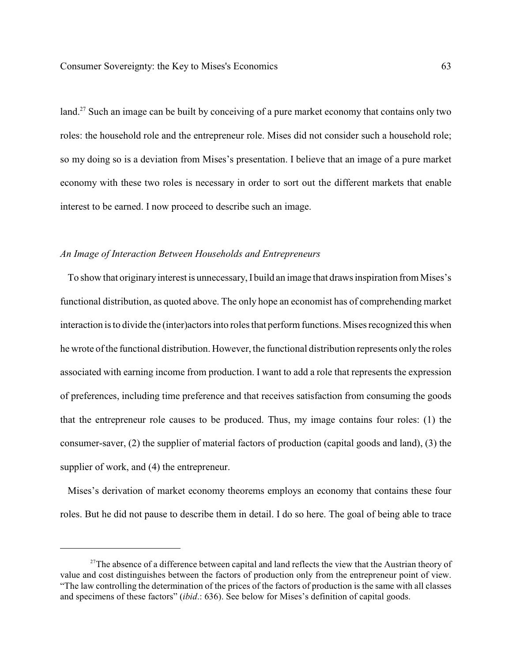land.<sup>27</sup> Such an image can be built by conceiving of a pure market economy that contains only two roles: the household role and the entrepreneur role. Mises did not consider such a household role; so my doing so is a deviation from Mises's presentation. I believe that an image of a pure market economy with these two roles is necessary in order to sort out the different markets that enable interest to be earned. I now proceed to describe such an image.

#### *An Image of Interaction Between Households and Entrepreneurs*

To show that originary interest is unnecessary, I build an image that draws inspiration from Mises's functional distribution, as quoted above. The only hope an economist has of comprehending market interaction is to divide the (inter)actors into roles that perform functions. Mises recognized this when he wrote of the functional distribution. However, the functional distribution represents only the roles associated with earning income from production. I want to add a role that represents the expression of preferences, including time preference and that receives satisfaction from consuming the goods that the entrepreneur role causes to be produced. Thus, my image contains four roles: (1) the consumer-saver, (2) the supplier of material factors of production (capital goods and land), (3) the supplier of work, and (4) the entrepreneur.

Mises's derivation of market economy theorems employs an economy that contains these four roles. But he did not pause to describe them in detail. I do so here. The goal of being able to trace

<sup>&</sup>lt;sup>27</sup>The absence of a difference between capital and land reflects the view that the Austrian theory of value and cost distinguishes between the factors of production only from the entrepreneur point of view. "The law controlling the determination of the prices of the factors of production is the same with all classes and specimens of these factors" (*ibid*.: 636). See below for Mises's definition of capital goods.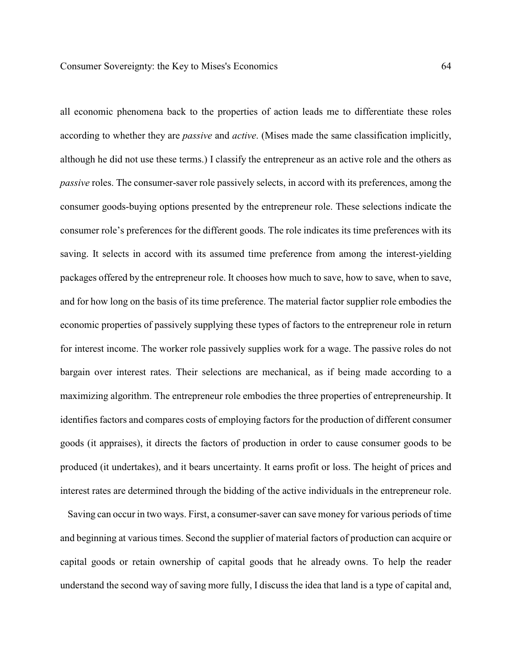all economic phenomena back to the properties of action leads me to differentiate these roles according to whether they are *passive* and *active*. (Mises made the same classification implicitly, although he did not use these terms.) I classify the entrepreneur as an active role and the others as *passive* roles. The consumer-saver role passively selects, in accord with its preferences, among the consumer goods-buying options presented by the entrepreneur role. These selections indicate the consumer role's preferences for the different goods. The role indicates its time preferences with its saving. It selects in accord with its assumed time preference from among the interest-yielding packages offered by the entrepreneur role. It chooses how much to save, how to save, when to save, and for how long on the basis of its time preference. The material factor supplier role embodies the economic properties of passively supplying these types of factors to the entrepreneur role in return for interest income. The worker role passively supplies work for a wage. The passive roles do not bargain over interest rates. Their selections are mechanical, as if being made according to a maximizing algorithm. The entrepreneur role embodies the three properties of entrepreneurship. It identifies factors and compares costs of employing factors for the production of different consumer goods (it appraises), it directs the factors of production in order to cause consumer goods to be produced (it undertakes), and it bears uncertainty. It earns profit or loss. The height of prices and interest rates are determined through the bidding of the active individuals in the entrepreneur role.

Saving can occur in two ways. First, a consumer-saver can save money for various periods of time and beginning at various times. Second the supplier of material factors of production can acquire or capital goods or retain ownership of capital goods that he already owns. To help the reader understand the second way of saving more fully, I discuss the idea that land is a type of capital and,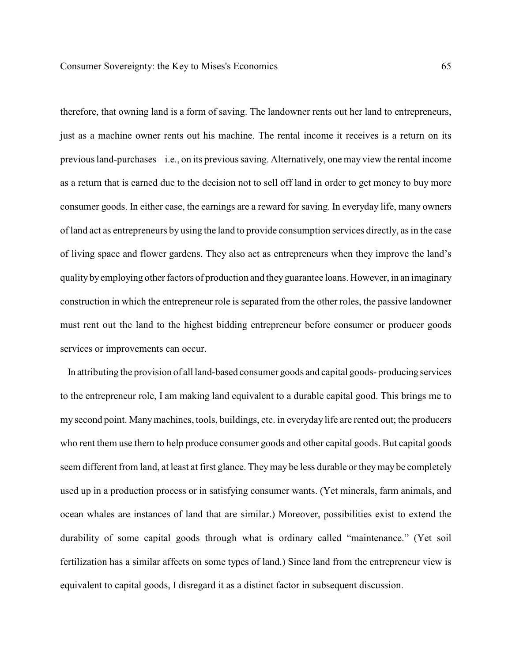therefore, that owning land is a form of saving. The landowner rents out her land to entrepreneurs, just as a machine owner rents out his machine. The rental income it receives is a return on its previous land-purchases – i.e., on its previous saving. Alternatively, one may view the rental income as a return that is earned due to the decision not to sell off land in order to get money to buy more consumer goods. In either case, the earnings are a reward for saving. In everyday life, many owners of land act as entrepreneurs by using the land to provide consumption services directly, as in the case of living space and flower gardens. They also act as entrepreneurs when they improve the land's quality by employing other factors of production and theyguarantee loans. However, in an imaginary construction in which the entrepreneur role is separated from the other roles, the passive landowner must rent out the land to the highest bidding entrepreneur before consumer or producer goods services or improvements can occur.

In attributing the provision of all land-based consumer goods and capital goods- producing services to the entrepreneur role, I am making land equivalent to a durable capital good. This brings me to my second point. Manymachines, tools, buildings, etc. in everyday life are rented out; the producers who rent them use them to help produce consumer goods and other capital goods. But capital goods seem different from land, at least at first glance. Theymay be less durable or they may be completely used up in a production process or in satisfying consumer wants. (Yet minerals, farm animals, and ocean whales are instances of land that are similar.) Moreover, possibilities exist to extend the durability of some capital goods through what is ordinary called "maintenance." (Yet soil fertilization has a similar affects on some types of land.) Since land from the entrepreneur view is equivalent to capital goods, I disregard it as a distinct factor in subsequent discussion.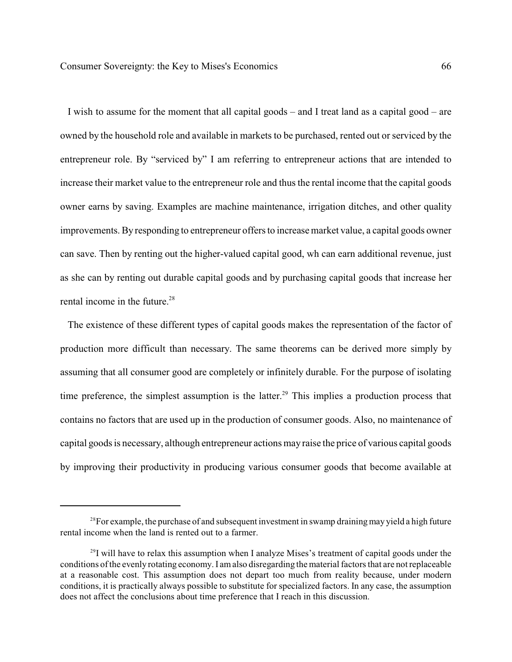I wish to assume for the moment that all capital goods – and I treat land as a capital good – are owned by the household role and available in markets to be purchased, rented out or serviced by the entrepreneur role. By "serviced by" I am referring to entrepreneur actions that are intended to increase their market value to the entrepreneur role and thus the rental income that the capital goods owner earns by saving. Examples are machine maintenance, irrigation ditches, and other quality improvements. By responding to entrepreneur offers to increase market value, a capital goods owner can save. Then by renting out the higher-valued capital good, wh can earn additional revenue, just as she can by renting out durable capital goods and by purchasing capital goods that increase her rental income in the future. 28

The existence of these different types of capital goods makes the representation of the factor of production more difficult than necessary. The same theorems can be derived more simply by assuming that all consumer good are completely or infinitely durable. For the purpose of isolating time preference, the simplest assumption is the latter.<sup>29</sup> This implies a production process that contains no factors that are used up in the production of consumer goods. Also, no maintenance of capital goods is necessary, although entrepreneur actions may raise the price of various capital goods by improving their productivity in producing various consumer goods that become available at

 $28$  For example, the purchase of and subsequent investment in swamp draining may yield a high future rental income when the land is rented out to a farmer.

 $2^{29}$ I will have to relax this assumption when I analyze Mises's treatment of capital goods under the conditions of the evenly rotating economy. I am also disregarding the material factors that are not replaceable at a reasonable cost. This assumption does not depart too much from reality because, under modern conditions, it is practically always possible to substitute for specialized factors. In any case, the assumption does not affect the conclusions about time preference that I reach in this discussion.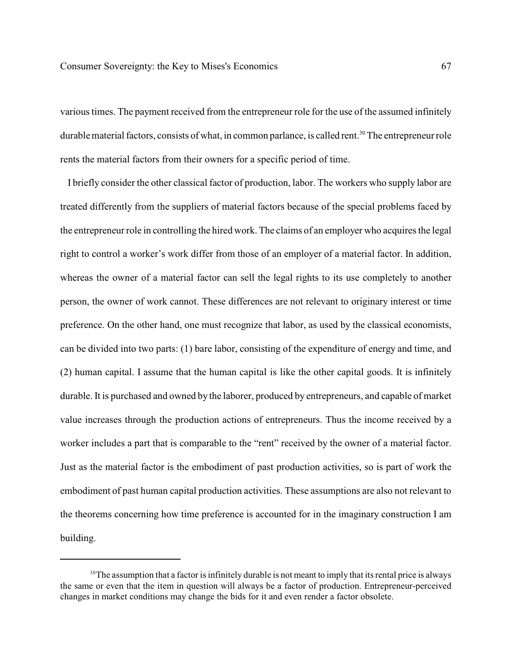various times. The payment received from the entrepreneur role for the use of the assumed infinitely durable material factors, consists of what, in common parlance, is called rent.<sup>30</sup> The entrepreneur role rents the material factors from their owners for a specific period of time.

I briefly consider the other classical factor of production, labor. The workers who supply labor are treated differently from the suppliers of material factors because of the special problems faced by the entrepreneur role in controlling the hired work. The claims of an employer who acquires the legal right to control a worker's work differ from those of an employer of a material factor. In addition, whereas the owner of a material factor can sell the legal rights to its use completely to another person, the owner of work cannot. These differences are not relevant to originary interest or time preference. On the other hand, one must recognize that labor, as used by the classical economists, can be divided into two parts: (1) bare labor, consisting of the expenditure of energy and time, and (2) human capital. I assume that the human capital is like the other capital goods. It is infinitely durable. It is purchased and owned by the laborer, produced by entrepreneurs, and capable of market value increases through the production actions of entrepreneurs. Thus the income received by a worker includes a part that is comparable to the "rent" received by the owner of a material factor. Just as the material factor is the embodiment of past production activities, so is part of work the embodiment of past human capital production activities. These assumptions are also not relevant to the theorems concerning how time preference is accounted for in the imaginary construction I am building.

<sup>&</sup>lt;sup>30</sup>The assumption that a factor is infinitely durable is not meant to imply that its rental price is always the same or even that the item in question will always be a factor of production. Entrepreneur-perceived changes in market conditions may change the bids for it and even render a factor obsolete.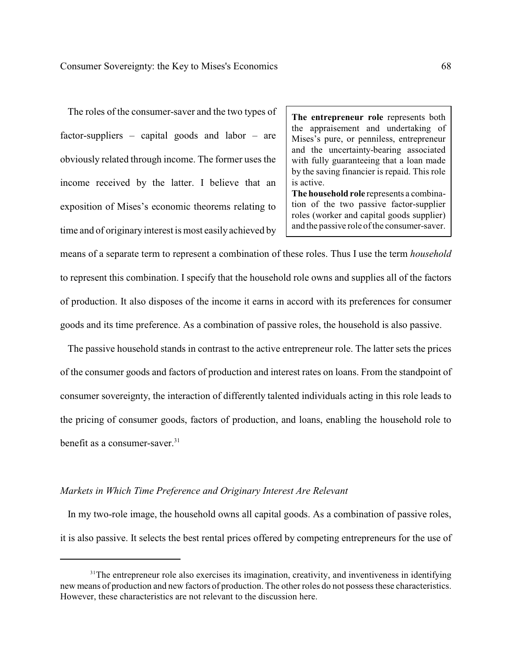The roles of the consumer-saver and the two types of factor-suppliers – capital goods and labor – are obviously related through income. The former uses the income received by the latter. I believe that an exposition of Mises's economic theorems relating to time and of originary interest is most easily achieved by

**The entrepreneur role** represents both the appraisement and undertaking of Mises's pure, or penniless, entrepreneur and the uncertainty-bearing associated with fully guaranteeing that a loan made by the saving financier is repaid. This role is active.

**The household role** represents a combination of the two passive factor-supplier roles (worker and capital goods supplier) and the passive role of the consumer-saver.

means of a separate term to represent a combination of these roles. Thus I use the term *household* to represent this combination. I specify that the household role owns and supplies all of the factors of production. It also disposes of the income it earns in accord with its preferences for consumer goods and its time preference. As a combination of passive roles, the household is also passive.

The passive household stands in contrast to the active entrepreneur role. The latter sets the prices of the consumer goods and factors of production and interest rates on loans. From the standpoint of consumer sovereignty, the interaction of differently talented individuals acting in this role leads to the pricing of consumer goods, factors of production, and loans, enabling the household role to benefit as a consumer-saver.<sup>31</sup>

### *Markets in Which Time Preference and Originary Interest Are Relevant*

In my two-role image, the household owns all capital goods. As a combination of passive roles, it is also passive. It selects the best rental prices offered by competing entrepreneurs for the use of

<sup>&</sup>lt;sup>31</sup>The entrepreneur role also exercises its imagination, creativity, and inventiveness in identifying new means of production and new factors of production. The other roles do not possess these characteristics. However, these characteristics are not relevant to the discussion here.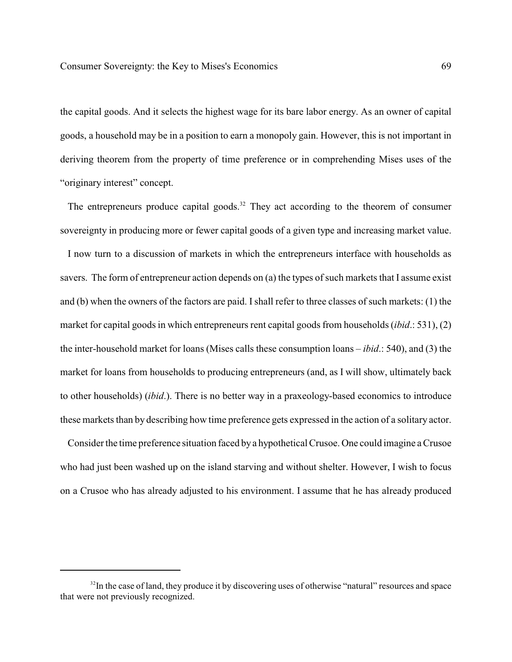the capital goods. And it selects the highest wage for its bare labor energy. As an owner of capital goods, a household may be in a position to earn a monopoly gain. However, this is not important in deriving theorem from the property of time preference or in comprehending Mises uses of the "originary interest" concept.

The entrepreneurs produce capital goods.<sup>32</sup> They act according to the theorem of consumer sovereignty in producing more or fewer capital goods of a given type and increasing market value.

I now turn to a discussion of markets in which the entrepreneurs interface with households as savers. The form of entrepreneur action depends on (a) the types of such markets that I assume exist and (b) when the owners of the factors are paid. I shall refer to three classes of such markets: (1) the market for capital goods in which entrepreneurs rent capital goods from households (*ibid*.: 531), (2) the inter-household market for loans (Mises calls these consumption loans – *ibid*.: 540), and (3) the market for loans from households to producing entrepreneurs (and, as I will show, ultimately back to other households) (*ibid*.). There is no better way in a praxeology-based economics to introduce these markets than by describing how time preference gets expressed in the action of a solitary actor.

Consider the time preference situation faced by a hypothetical Crusoe. One could imagine a Crusoe who had just been washed up on the island starving and without shelter. However, I wish to focus on a Crusoe who has already adjusted to his environment. I assume that he has already produced

 $32$ In the case of land, they produce it by discovering uses of otherwise "natural" resources and space that were not previously recognized.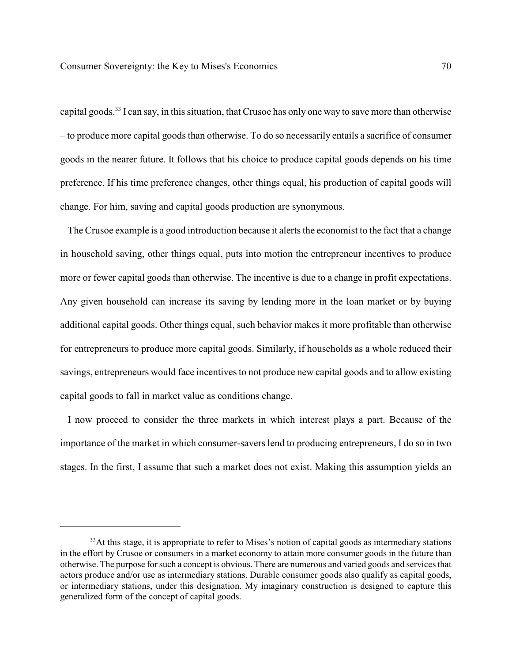capital goods.<sup>33</sup> I can say, in this situation, that Crusoe has only one way to save more than otherwise – to produce more capital goods than otherwise. To do so necessarily entails a sacrifice of consumer goods in the nearer future. It follows that his choice to produce capital goods depends on his time preference. If his time preference changes, other things equal, his production of capital goods will change. For him, saving and capital goods production are synonymous.

The Crusoe example is a good introduction because it alerts the economist to the fact that a change in household saving, other things equal, puts into motion the entrepreneur incentives to produce more or fewer capital goods than otherwise. The incentive is due to a change in profit expectations. Any given household can increase its saving by lending more in the loan market or by buying additional capital goods. Other things equal, such behavior makes it more profitable than otherwise for entrepreneurs to produce more capital goods. Similarly, if households as a whole reduced their savings, entrepreneurs would face incentives to not produce new capital goods and to allow existing capital goods to fall in market value as conditions change.

I now proceed to consider the three markets in which interest plays a part. Because of the importance of the market in which consumer-savers lend to producing entrepreneurs, I do so in two stages. In the first, I assume that such a market does not exist. Making this assumption yields an

<sup>&</sup>lt;sup>33</sup>At this stage, it is appropriate to refer to Mises's notion of capital goods as intermediary stations in the effort by Crusoe or consumers in a market economy to attain more consumer goods in the future than otherwise. The purpose for such a concept is obvious. There are numerous and varied goods and services that actors produce and/or use as intermediary stations. Durable consumer goods also qualify as capital goods, or intermediary stations, under this designation. My imaginary construction is designed to capture this generalized form of the concept of capital goods.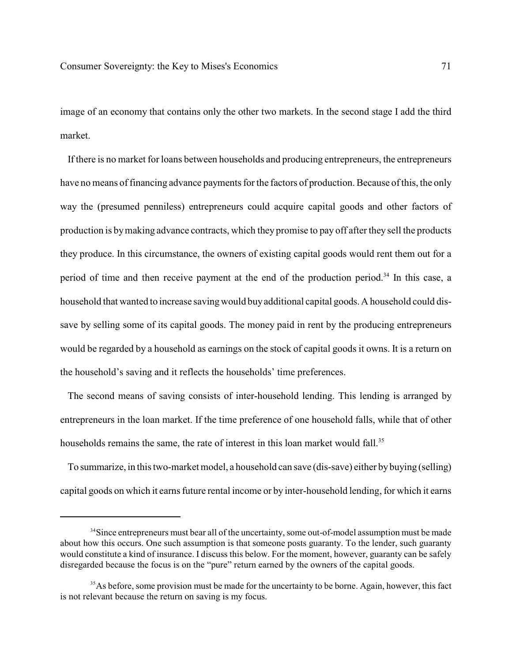image of an economy that contains only the other two markets. In the second stage I add the third market.

If there is no market for loans between households and producing entrepreneurs, the entrepreneurs have no means of financing advance payments for the factors of production. Because of this, the only way the (presumed penniless) entrepreneurs could acquire capital goods and other factors of production is bymaking advance contracts, which they promise to pay off after they sell the products they produce. In this circumstance, the owners of existing capital goods would rent them out for a period of time and then receive payment at the end of the production period.<sup>34</sup> In this case, a household that wanted to increase saving would buy additional capital goods. A household could dissave by selling some of its capital goods. The money paid in rent by the producing entrepreneurs would be regarded by a household as earnings on the stock of capital goods it owns. It is a return on the household's saving and it reflects the households' time preferences.

The second means of saving consists of inter-household lending. This lending is arranged by entrepreneurs in the loan market. If the time preference of one household falls, while that of other households remains the same, the rate of interest in this loan market would fall.<sup>35</sup>

To summarize, in this two-market model, a household can save (dis-save) either by buying (selling) capital goods on which it earns future rental income or by inter-household lending, for which it earns

<sup>&</sup>lt;sup>34</sup> Since entrepreneurs must bear all of the uncertainty, some out-of-model assumption must be made about how this occurs. One such assumption is that someone posts guaranty. To the lender, such guaranty would constitute a kind of insurance. I discuss this below. For the moment, however, guaranty can be safely disregarded because the focus is on the "pure" return earned by the owners of the capital goods.

<sup>&</sup>lt;sup>35</sup> As before, some provision must be made for the uncertainty to be borne. Again, however, this fact is not relevant because the return on saving is my focus.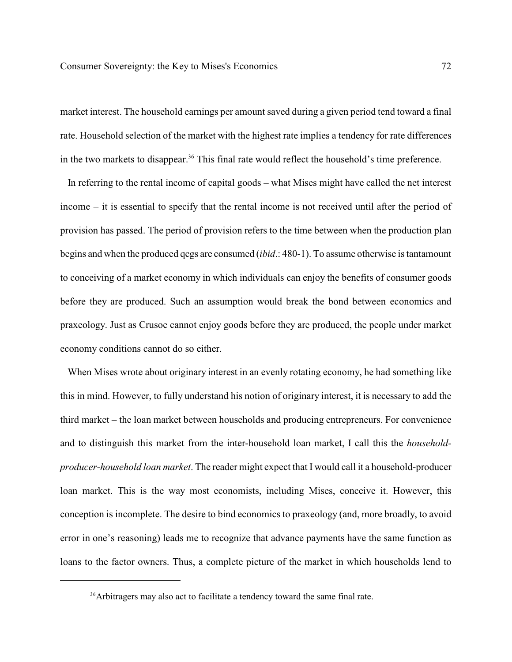market interest. The household earnings per amount saved during a given period tend toward a final rate. Household selection of the market with the highest rate implies a tendency for rate differences in the two markets to disappear.<sup>36</sup> This final rate would reflect the household's time preference.

In referring to the rental income of capital goods – what Mises might have called the net interest income – it is essential to specify that the rental income is not received until after the period of provision has passed. The period of provision refers to the time between when the production plan begins and when the produced qcgs are consumed (*ibid*.: 480-1). To assume otherwise is tantamount to conceiving of a market economy in which individuals can enjoy the benefits of consumer goods before they are produced. Such an assumption would break the bond between economics and praxeology. Just as Crusoe cannot enjoy goods before they are produced, the people under market economy conditions cannot do so either.

When Mises wrote about originary interest in an evenly rotating economy, he had something like this in mind. However, to fully understand his notion of originary interest, it is necessary to add the third market – the loan market between households and producing entrepreneurs. For convenience and to distinguish this market from the inter-household loan market, I call this the *householdproducer-household loan market*. The reader might expect that I would call it a household-producer loan market. This is the way most economists, including Mises, conceive it. However, this conception is incomplete. The desire to bind economics to praxeology (and, more broadly, to avoid error in one's reasoning) leads me to recognize that advance payments have the same function as loans to the factor owners. Thus, a complete picture of the market in which households lend to

<sup>&</sup>lt;sup>36</sup> Arbitragers may also act to facilitate a tendency toward the same final rate.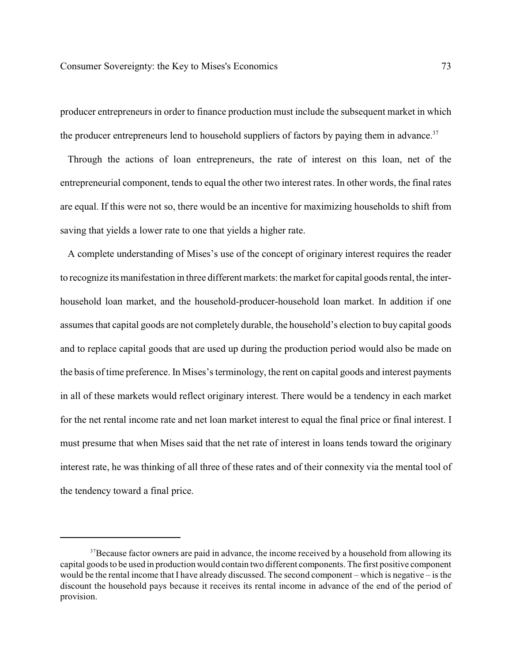producer entrepreneurs in order to finance production must include the subsequent market in which the producer entrepreneurs lend to household suppliers of factors by paying them in advance.<sup>37</sup>

Through the actions of loan entrepreneurs, the rate of interest on this loan, net of the entrepreneurial component, tends to equal the other two interest rates. In other words, the final rates are equal. If this were not so, there would be an incentive for maximizing households to shift from saving that yields a lower rate to one that yields a higher rate.

A complete understanding of Mises's use of the concept of originary interest requires the reader to recognize its manifestation in three different markets: the market for capital goods rental, the interhousehold loan market, and the household-producer-household loan market. In addition if one assumes that capital goods are not completely durable, the household's election to buy capital goods and to replace capital goods that are used up during the production period would also be made on the basis of time preference. In Mises's terminology, the rent on capital goods and interest payments in all of these markets would reflect originary interest. There would be a tendency in each market for the net rental income rate and net loan market interest to equal the final price or final interest. I must presume that when Mises said that the net rate of interest in loans tends toward the originary interest rate, he was thinking of all three of these rates and of their connexity via the mental tool of the tendency toward a final price.

 $37$ Because factor owners are paid in advance, the income received by a household from allowing its capital goods to be used in production would contain two different components. The first positive component would be the rental income that I have already discussed. The second component – which is negative – is the discount the household pays because it receives its rental income in advance of the end of the period of provision.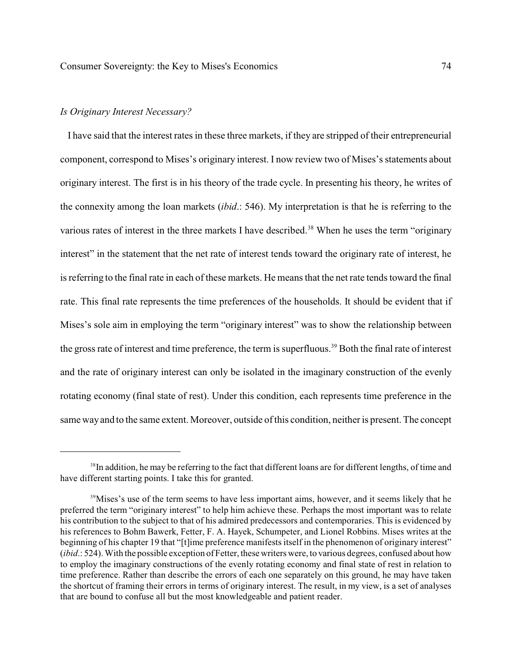# *Is Originary Interest Necessary?*

I have said that the interest rates in these three markets, if they are stripped of their entrepreneurial component, correspond to Mises's originary interest. I now review two of Mises's statements about originary interest. The first is in his theory of the trade cycle. In presenting his theory, he writes of the connexity among the loan markets (*ibid*.: 546). My interpretation is that he is referring to the various rates of interest in the three markets I have described.<sup>38</sup> When he uses the term "originary interest" in the statement that the net rate of interest tends toward the originary rate of interest, he is referring to the final rate in each of these markets. He means that the net rate tends toward the final rate. This final rate represents the time preferences of the households. It should be evident that if Mises's sole aim in employing the term "originary interest" was to show the relationship between the gross rate of interest and time preference, the term is superfluous.<sup>39</sup> Both the final rate of interest and the rate of originary interest can only be isolated in the imaginary construction of the evenly rotating economy (final state of rest). Under this condition, each represents time preference in the same wayand to the same extent. Moreover, outside of this condition, neither is present. The concept

<sup>&</sup>lt;sup>38</sup>In addition, he may be referring to the fact that different loans are for different lengths, of time and have different starting points. I take this for granted.

<sup>&</sup>lt;sup>39</sup>Mises's use of the term seems to have less important aims, however, and it seems likely that he preferred the term "originary interest" to help him achieve these. Perhaps the most important was to relate his contribution to the subject to that of his admired predecessors and contemporaries. This is evidenced by his references to Bohm Bawerk, Fetter, F. A. Hayek, Schumpeter, and Lionel Robbins. Mises writes at the beginning of his chapter 19 that "[t]ime preference manifests itself in the phenomenon of originary interest" (*ibid*.: 524). With the possible exception of Fetter, these writers were, to various degrees, confused about how to employ the imaginary constructions of the evenly rotating economy and final state of rest in relation to time preference. Rather than describe the errors of each one separately on this ground, he may have taken the shortcut of framing their errors in terms of originary interest. The result, in my view, is a set of analyses that are bound to confuse all but the most knowledgeable and patient reader.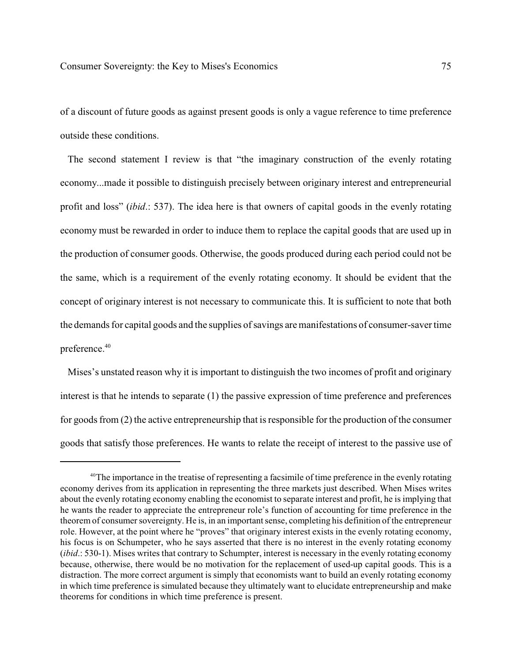of a discount of future goods as against present goods is only a vague reference to time preference outside these conditions.

The second statement I review is that "the imaginary construction of the evenly rotating economy...made it possible to distinguish precisely between originary interest and entrepreneurial profit and loss" (*ibid*.: 537). The idea here is that owners of capital goods in the evenly rotating economy must be rewarded in order to induce them to replace the capital goods that are used up in the production of consumer goods. Otherwise, the goods produced during each period could not be the same, which is a requirement of the evenly rotating economy. It should be evident that the concept of originary interest is not necessary to communicate this. It is sufficient to note that both the demands for capital goods and the supplies of savings are manifestations of consumer-saver time preference.<sup>40</sup>

Mises's unstated reason why it is important to distinguish the two incomes of profit and originary interest is that he intends to separate (1) the passive expression of time preference and preferences for goods from (2) the active entrepreneurship that is responsible for the production of the consumer goods that satisfy those preferences. He wants to relate the receipt of interest to the passive use of

<sup>&</sup>lt;sup>40</sup>The importance in the treatise of representing a facsimile of time preference in the evenly rotating economy derives from its application in representing the three markets just described. When Mises writes about the evenly rotating economy enabling the economist to separate interest and profit, he is implying that he wants the reader to appreciate the entrepreneur role's function of accounting for time preference in the theorem of consumer sovereignty. He is, in an important sense, completing his definition of the entrepreneur role. However, at the point where he "proves" that originary interest exists in the evenly rotating economy, his focus is on Schumpeter, who he says asserted that there is no interest in the evenly rotating economy (*ibid*.: 530-1). Mises writes that contrary to Schumpter, interest is necessary in the evenly rotating economy because, otherwise, there would be no motivation for the replacement of used-up capital goods. This is a distraction. The more correct argument is simply that economists want to build an evenly rotating economy in which time preference is simulated because they ultimately want to elucidate entrepreneurship and make theorems for conditions in which time preference is present.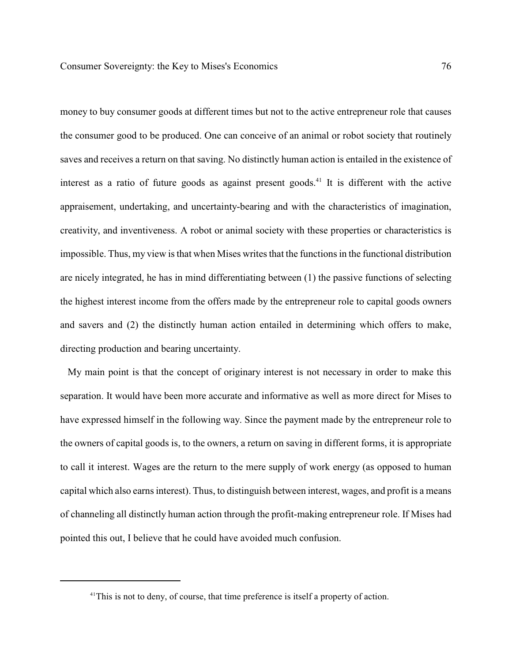money to buy consumer goods at different times but not to the active entrepreneur role that causes the consumer good to be produced. One can conceive of an animal or robot society that routinely saves and receives a return on that saving. No distinctly human action is entailed in the existence of interest as a ratio of future goods as against present goods.<sup>41</sup> It is different with the active appraisement, undertaking, and uncertainty-bearing and with the characteristics of imagination, creativity, and inventiveness. A robot or animal society with these properties or characteristics is impossible. Thus, my view is that when Mises writes that the functions in the functional distribution are nicely integrated, he has in mind differentiating between (1) the passive functions of selecting the highest interest income from the offers made by the entrepreneur role to capital goods owners and savers and (2) the distinctly human action entailed in determining which offers to make, directing production and bearing uncertainty.

My main point is that the concept of originary interest is not necessary in order to make this separation. It would have been more accurate and informative as well as more direct for Mises to have expressed himself in the following way. Since the payment made by the entrepreneur role to the owners of capital goods is, to the owners, a return on saving in different forms, it is appropriate to call it interest. Wages are the return to the mere supply of work energy (as opposed to human capital which also earns interest). Thus, to distinguish between interest, wages, and profit is a means of channeling all distinctly human action through the profit-making entrepreneur role. If Mises had pointed this out, I believe that he could have avoided much confusion.

 $41$ <sup>1</sup>This is not to deny, of course, that time preference is itself a property of action.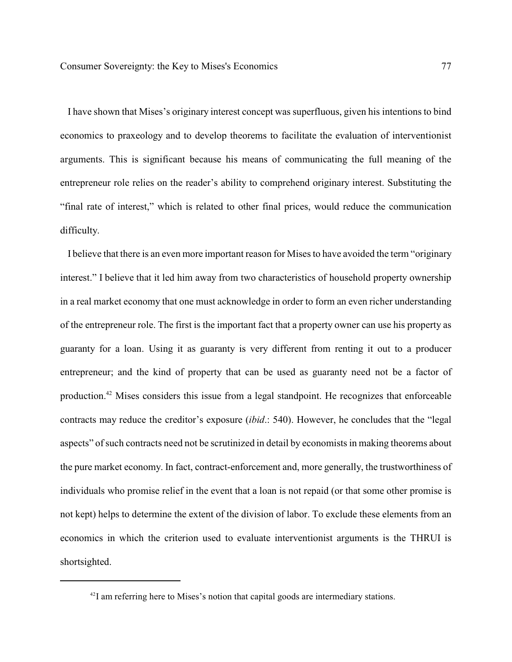I have shown that Mises's originary interest concept was superfluous, given his intentions to bind economics to praxeology and to develop theorems to facilitate the evaluation of interventionist arguments. This is significant because his means of communicating the full meaning of the entrepreneur role relies on the reader's ability to comprehend originary interest. Substituting the "final rate of interest," which is related to other final prices, would reduce the communication difficulty.

I believe that there is an even more important reason for Mises to have avoided the term "originary interest." I believe that it led him away from two characteristics of household property ownership in a real market economy that one must acknowledge in order to form an even richer understanding of the entrepreneur role. The first is the important fact that a property owner can use his property as guaranty for a loan. Using it as guaranty is very different from renting it out to a producer entrepreneur; and the kind of property that can be used as guaranty need not be a factor of production.<sup>42</sup> Mises considers this issue from a legal standpoint. He recognizes that enforceable contracts may reduce the creditor's exposure (*ibid*.: 540). However, he concludes that the "legal aspects" of such contracts need not be scrutinized in detail by economists in making theorems about the pure market economy. In fact, contract-enforcement and, more generally, the trustworthiness of individuals who promise relief in the event that a loan is not repaid (or that some other promise is not kept) helps to determine the extent of the division of labor. To exclude these elements from an economics in which the criterion used to evaluate interventionist arguments is the THRUI is shortsighted.

 $^{42}$ I am referring here to Mises's notion that capital goods are intermediary stations.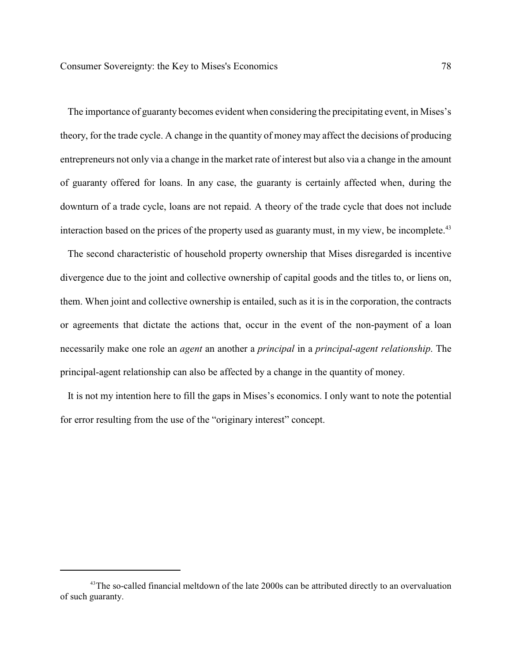The importance of guaranty becomes evident when considering the precipitating event, in Mises's theory, for the trade cycle. A change in the quantity of money may affect the decisions of producing entrepreneurs not only via a change in the market rate of interest but also via a change in the amount of guaranty offered for loans. In any case, the guaranty is certainly affected when, during the downturn of a trade cycle, loans are not repaid. A theory of the trade cycle that does not include interaction based on the prices of the property used as guaranty must, in my view, be incomplete.<sup>43</sup>

The second characteristic of household property ownership that Mises disregarded is incentive divergence due to the joint and collective ownership of capital goods and the titles to, or liens on, them. When joint and collective ownership is entailed, such as it is in the corporation, the contracts or agreements that dictate the actions that, occur in the event of the non-payment of a loan necessarily make one role an *agent* an another a *principal* in a *principal-agent relationship*. The principal-agent relationship can also be affected by a change in the quantity of money.

It is not my intention here to fill the gaps in Mises's economics. I only want to note the potential for error resulting from the use of the "originary interest" concept.

<sup>&</sup>lt;sup>43</sup>The so-called financial meltdown of the late 2000s can be attributed directly to an overvaluation of such guaranty.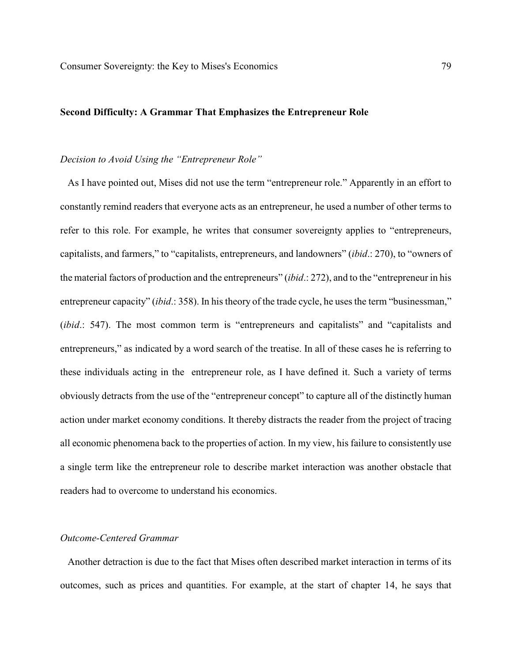### **Second Difficulty: A Grammar That Emphasizes the Entrepreneur Role**

### *Decision to Avoid Using the "Entrepreneur Role"*

As I have pointed out, Mises did not use the term "entrepreneur role." Apparently in an effort to constantly remind readers that everyone acts as an entrepreneur, he used a number of other terms to refer to this role. For example, he writes that consumer sovereignty applies to "entrepreneurs, capitalists, and farmers," to "capitalists, entrepreneurs, and landowners" (*ibid*.: 270), to "owners of the material factors of production and the entrepreneurs" (*ibid*.: 272), and to the "entrepreneur in his entrepreneur capacity" (*ibid*.: 358). In his theory of the trade cycle, he uses the term "businessman," (*ibid*.: 547). The most common term is "entrepreneurs and capitalists" and "capitalists and entrepreneurs," as indicated by a word search of the treatise. In all of these cases he is referring to these individuals acting in the entrepreneur role, as I have defined it. Such a variety of terms obviously detracts from the use of the "entrepreneur concept" to capture all of the distinctly human action under market economy conditions. It thereby distracts the reader from the project of tracing all economic phenomena back to the properties of action. In my view, his failure to consistently use a single term like the entrepreneur role to describe market interaction was another obstacle that readers had to overcome to understand his economics.

## *Outcome-Centered Grammar*

Another detraction is due to the fact that Mises often described market interaction in terms of its outcomes, such as prices and quantities. For example, at the start of chapter 14, he says that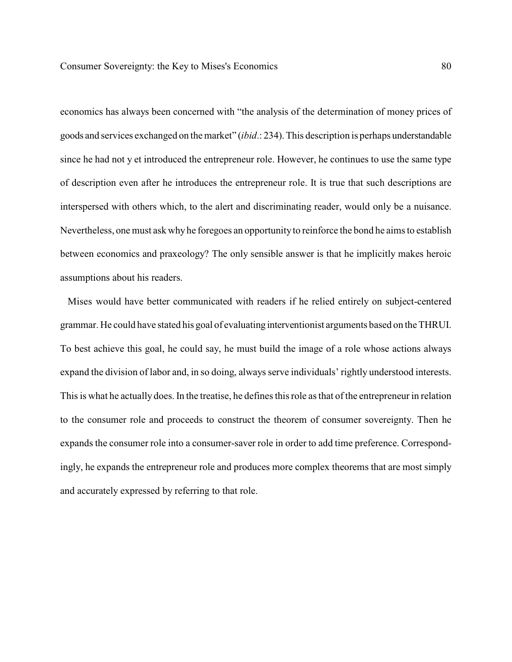economics has always been concerned with "the analysis of the determination of money prices of goods and services exchanged on the market" (*ibid*.: 234). This description is perhaps understandable since he had not y et introduced the entrepreneur role. However, he continues to use the same type of description even after he introduces the entrepreneur role. It is true that such descriptions are interspersed with others which, to the alert and discriminating reader, would only be a nuisance. Nevertheless, one must ask why he foregoes an opportunity to reinforce the bond he aims to establish between economics and praxeology? The only sensible answer is that he implicitly makes heroic assumptions about his readers.

Mises would have better communicated with readers if he relied entirely on subject-centered grammar. He could have stated his goal of evaluating interventionist arguments based on the THRUI. To best achieve this goal, he could say, he must build the image of a role whose actions always expand the division of labor and, in so doing, always serve individuals' rightly understood interests. This is what he actually does. In the treatise, he defines this role as that of the entrepreneur in relation to the consumer role and proceeds to construct the theorem of consumer sovereignty. Then he expands the consumer role into a consumer-saver role in order to add time preference. Correspondingly, he expands the entrepreneur role and produces more complex theorems that are most simply and accurately expressed by referring to that role.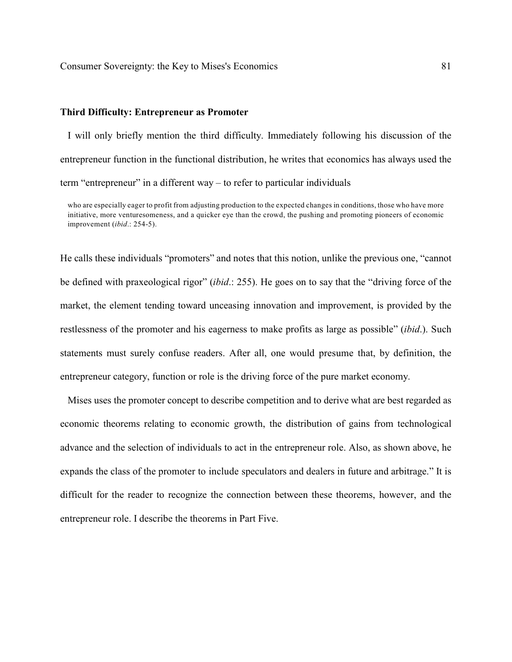### **Third Difficulty: Entrepreneur as Promoter**

I will only briefly mention the third difficulty. Immediately following his discussion of the entrepreneur function in the functional distribution, he writes that economics has always used the term "entrepreneur" in a different way – to refer to particular individuals

who are especially eager to profit from adjusting production to the expected changes in conditions, those who have more initiative, more venturesomeness, and a quicker eye than the crowd, the pushing and promoting pioneers of economic improvement (*ibid*.: 254-5).

He calls these individuals "promoters" and notes that this notion, unlike the previous one, "cannot be defined with praxeological rigor" (*ibid*.: 255). He goes on to say that the "driving force of the market, the element tending toward unceasing innovation and improvement, is provided by the restlessness of the promoter and his eagerness to make profits as large as possible" (*ibid*.). Such statements must surely confuse readers. After all, one would presume that, by definition, the entrepreneur category, function or role is the driving force of the pure market economy.

Mises uses the promoter concept to describe competition and to derive what are best regarded as economic theorems relating to economic growth, the distribution of gains from technological advance and the selection of individuals to act in the entrepreneur role. Also, as shown above, he expands the class of the promoter to include speculators and dealers in future and arbitrage." It is difficult for the reader to recognize the connection between these theorems, however, and the entrepreneur role. I describe the theorems in Part Five.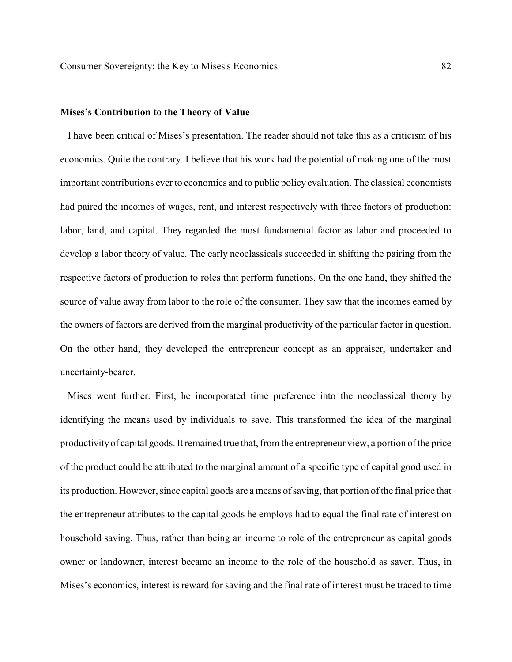# **Mises's Contribution to the Theory of Value**

I have been critical of Mises's presentation. The reader should not take this as a criticism of his economics. Quite the contrary. I believe that his work had the potential of making one of the most important contributions ever to economics and to public policy evaluation. The classical economists had paired the incomes of wages, rent, and interest respectively with three factors of production: labor, land, and capital. They regarded the most fundamental factor as labor and proceeded to develop a labor theory of value. The early neoclassicals succeeded in shifting the pairing from the respective factors of production to roles that perform functions. On the one hand, they shifted the source of value away from labor to the role of the consumer. They saw that the incomes earned by the owners of factors are derived from the marginal productivity of the particular factor in question. On the other hand, they developed the entrepreneur concept as an appraiser, undertaker and uncertainty-bearer.

Mises went further. First, he incorporated time preference into the neoclassical theory by identifying the means used by individuals to save. This transformed the idea of the marginal productivity of capital goods. It remained true that, from the entrepreneur view, a portion of the price of the product could be attributed to the marginal amount of a specific type of capital good used in its production. However, since capital goods are a means of saving, that portion of the final price that the entrepreneur attributes to the capital goods he employs had to equal the final rate of interest on household saving. Thus, rather than being an income to role of the entrepreneur as capital goods owner or landowner, interest became an income to the role of the household as saver. Thus, in Mises's economics, interest is reward for saving and the final rate of interest must be traced to time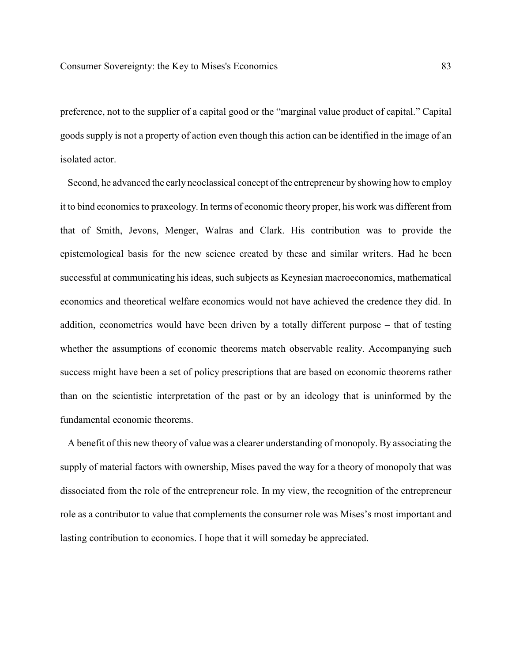preference, not to the supplier of a capital good or the "marginal value product of capital." Capital goods supply is not a property of action even though this action can be identified in the image of an isolated actor.

Second, he advanced the early neoclassical concept of the entrepreneur by showing how to employ it to bind economics to praxeology. In terms of economic theory proper, his work was different from that of Smith, Jevons, Menger, Walras and Clark. His contribution was to provide the epistemological basis for the new science created by these and similar writers. Had he been successful at communicating his ideas, such subjects as Keynesian macroeconomics, mathematical economics and theoretical welfare economics would not have achieved the credence they did. In addition, econometrics would have been driven by a totally different purpose – that of testing whether the assumptions of economic theorems match observable reality. Accompanying such success might have been a set of policy prescriptions that are based on economic theorems rather than on the scientistic interpretation of the past or by an ideology that is uninformed by the fundamental economic theorems.

A benefit of this new theory of value was a clearer understanding of monopoly. By associating the supply of material factors with ownership, Mises paved the way for a theory of monopoly that was dissociated from the role of the entrepreneur role. In my view, the recognition of the entrepreneur role as a contributor to value that complements the consumer role was Mises's most important and lasting contribution to economics. I hope that it will someday be appreciated.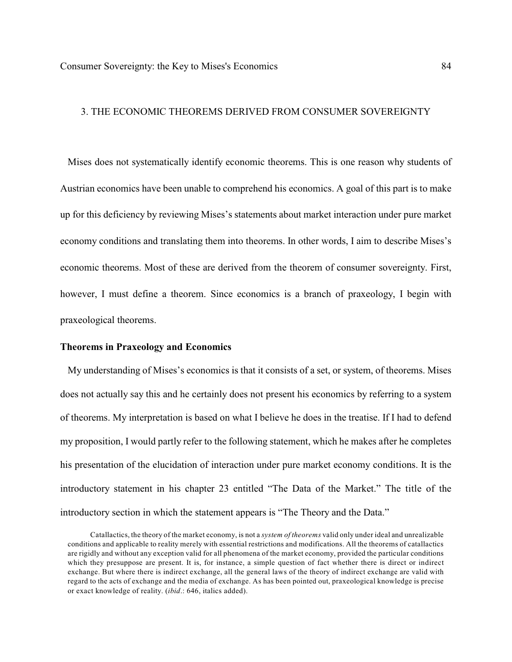# 3. THE ECONOMIC THEOREMS DERIVED FROM CONSUMER SOVEREIGNTY

Mises does not systematically identify economic theorems. This is one reason why students of Austrian economics have been unable to comprehend his economics. A goal of this part is to make up for this deficiency by reviewing Mises's statements about market interaction under pure market economy conditions and translating them into theorems. In other words, I aim to describe Mises's economic theorems. Most of these are derived from the theorem of consumer sovereignty. First, however, I must define a theorem. Since economics is a branch of praxeology, I begin with praxeological theorems.

#### **Theorems in Praxeology and Economics**

My understanding of Mises's economics is that it consists of a set, or system, of theorems. Mises does not actually say this and he certainly does not present his economics by referring to a system of theorems. My interpretation is based on what I believe he does in the treatise. If I had to defend my proposition, I would partly refer to the following statement, which he makes after he completes his presentation of the elucidation of interaction under pure market economy conditions. It is the introductory statement in his chapter 23 entitled "The Data of the Market." The title of the introductory section in which the statement appears is "The Theory and the Data."

Catallactics, the theory of the market economy, is not a *system of theorems* valid only under ideal and unrealizable conditions and applicable to reality merely with essential restrictions and modifications. All the theorems of catallactics are rigidly and without any exception valid for all phenomena of the market economy, provided the particular conditions which they presuppose are present. It is, for instance, a simple question of fact whether there is direct or indirect exchange. But where there is indirect exchange, all the general laws of the theory of indirect exchange are valid with regard to the acts of exchange and the media of exchange. As has been pointed out, praxeological knowledge is precise or exact knowledge of reality. (*ibid*.: 646, italics added).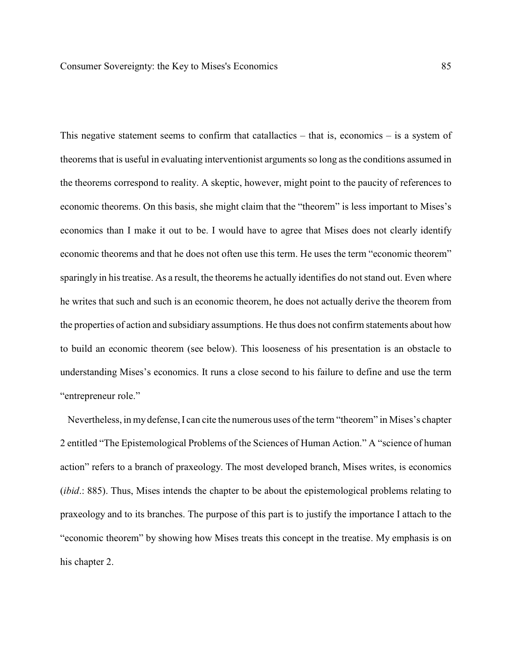This negative statement seems to confirm that catallactics – that is, economics – is a system of theorems that is useful in evaluating interventionist arguments so long as the conditions assumed in the theorems correspond to reality. A skeptic, however, might point to the paucity of references to economic theorems. On this basis, she might claim that the "theorem" is less important to Mises's economics than I make it out to be. I would have to agree that Mises does not clearly identify economic theorems and that he does not often use this term. He uses the term "economic theorem" sparingly in his treatise. As a result, the theorems he actually identifies do not stand out. Even where he writes that such and such is an economic theorem, he does not actually derive the theorem from the properties of action and subsidiary assumptions. He thus does not confirm statements about how to build an economic theorem (see below). This looseness of his presentation is an obstacle to understanding Mises's economics. It runs a close second to his failure to define and use the term "entrepreneur role."

Nevertheless, in mydefense, I can cite the numerous uses of the term "theorem" in Mises's chapter 2 entitled "The Epistemological Problems of the Sciences of Human Action." A "science of human action" refers to a branch of praxeology. The most developed branch, Mises writes, is economics (*ibid*.: 885). Thus, Mises intends the chapter to be about the epistemological problems relating to praxeology and to its branches. The purpose of this part is to justify the importance I attach to the "economic theorem" by showing how Mises treats this concept in the treatise. My emphasis is on his chapter 2.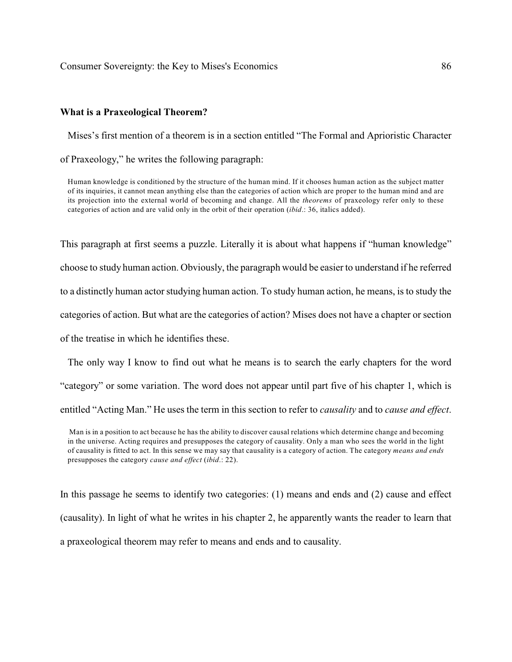### **What is a Praxeological Theorem?**

Mises's first mention of a theorem is in a section entitled "The Formal and Aprioristic Character of Praxeology," he writes the following paragraph:

Human knowledge is conditioned by the structure of the human mind. If it chooses human action as the subject matter of its inquiries, it cannot mean anything else than the categories of action which are proper to the human mind and are its projection into the external world of becoming and change. All the *theorems* of praxeology refer only to these categories of action and are valid only in the orbit of their operation (*ibid*.: 36, italics added).

This paragraph at first seems a puzzle. Literally it is about what happens if "human knowledge" choose to study human action. Obviously, the paragraph would be easier to understand if he referred to a distinctly human actorstudying human action. To study human action, he means, is to study the categories of action. But what are the categories of action? Mises does not have a chapter or section of the treatise in which he identifies these.

The only way I know to find out what he means is to search the early chapters for the word "category" or some variation. The word does not appear until part five of his chapter 1, which is entitled "Acting Man." He uses the term in this section to refer to *causality* and to *cause and effect*.

In this passage he seems to identify two categories: (1) means and ends and (2) cause and effect (causality). In light of what he writes in his chapter 2, he apparently wants the reader to learn that a praxeological theorem may refer to means and ends and to causality.

Man is in a position to act because he has the ability to discover causal relations which determine change and becoming in the universe. Acting requires and presupposes the category of causality. Only a man who sees the world in the light of causality is fitted to act. In this sense we may say that causality is a category of action. The category *means and ends* presupposes the category *cause and effect* (*ibid*.: 22).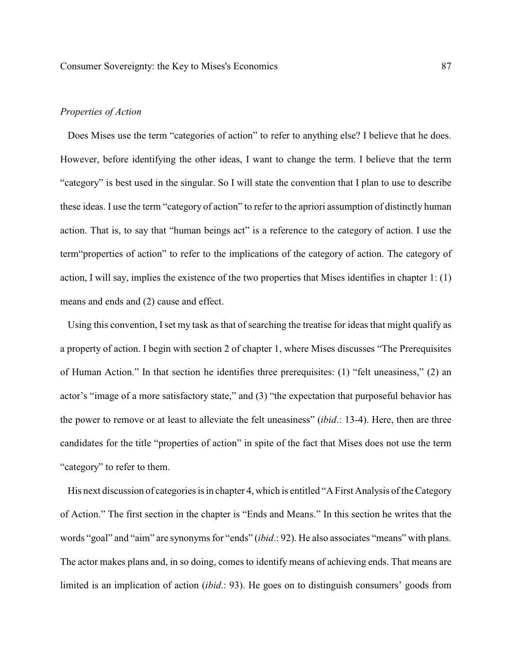## *Properties of Action*

Does Mises use the term "categories of action" to refer to anything else? I believe that he does. However, before identifying the other ideas, I want to change the term. I believe that the term "category" is best used in the singular. So I will state the convention that I plan to use to describe these ideas. I use the term "category of action" to refer to the apriori assumption of distinctly human action. That is, to say that "human beings act" is a reference to the category of action. I use the term"properties of action" to refer to the implications of the category of action. The category of action, I will say, implies the existence of the two properties that Mises identifies in chapter 1: (1) means and ends and (2) cause and effect.

Using this convention, Iset my task as that of searching the treatise for ideas that might qualify as a property of action. I begin with section 2 of chapter 1, where Mises discusses "The Prerequisites of Human Action." In that section he identifies three prerequisites: (1) "felt uneasiness," (2) an actor's "image of a more satisfactory state," and (3) "the expectation that purposeful behavior has the power to remove or at least to alleviate the felt uneasiness" (*ibid*.: 13-4). Here, then are three candidates for the title "properties of action" in spite of the fact that Mises does not use the term "category" to refer to them.

His next discussion of categories is in chapter 4, which is entitled "A First Analysis of the Category of Action." The first section in the chapter is "Ends and Means." In this section he writes that the words "goal" and "aim" are synonyms for "ends" (*ibid*.: 92). He also associates "means" with plans. The actor makes plans and, in so doing, comes to identify means of achieving ends. That means are limited is an implication of action (*ibid*.: 93). He goes on to distinguish consumers' goods from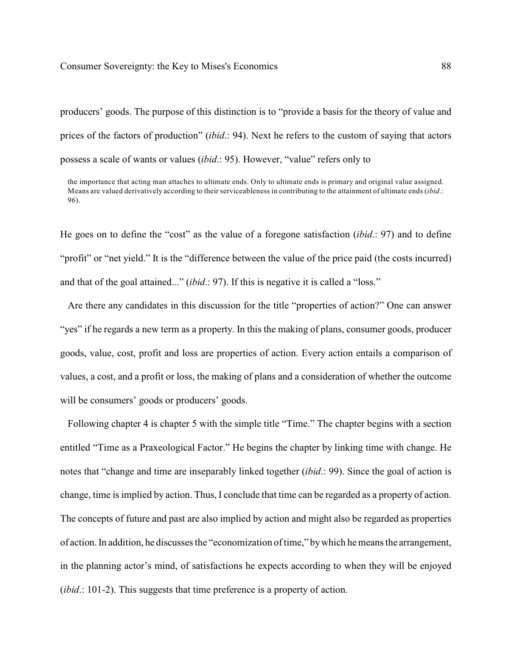### Consumer Sovereignty: the Key to Mises's Economics 88

producers' goods. The purpose of this distinction is to "provide a basis for the theory of value and prices of the factors of production" (*ibid*.: 94). Next he refers to the custom of saying that actors possess a scale of wants or values (*ibid*.: 95). However, "value" refers only to

the importance that acting man attaches to ultimate ends. Only to ultimate ends is primary and original value assigned. Means are valued derivatively according to their serviceableness in contributing to the attainment of ultimate ends (*ibid*.: 96).

He goes on to define the "cost" as the value of a foregone satisfaction (*ibid*.: 97) and to define "profit" or "net yield." It is the "difference between the value of the price paid (the costs incurred) and that of the goal attained..." (*ibid*.: 97). If this is negative it is called a "loss."

Are there any candidates in this discussion for the title "properties of action?" One can answer "yes" if he regards a new term as a property. In this the making of plans, consumer goods, producer goods, value, cost, profit and loss are properties of action. Every action entails a comparison of values, a cost, and a profit or loss, the making of plans and a consideration of whether the outcome will be consumers' goods or producers' goods.

Following chapter 4 is chapter 5 with the simple title "Time." The chapter begins with a section entitled "Time as a Praxeological Factor." He begins the chapter by linking time with change. He notes that "change and time are inseparably linked together (*ibid*.: 99). Since the goal of action is change, time is implied by action. Thus, I conclude that time can be regarded as a property of action. The concepts of future and past are also implied by action and might also be regarded as properties of action. In addition, he discusses the "economization oftime," by which he means the arrangement, in the planning actor's mind, of satisfactions he expects according to when they will be enjoyed (*ibid*.: 101-2). This suggests that time preference is a property of action.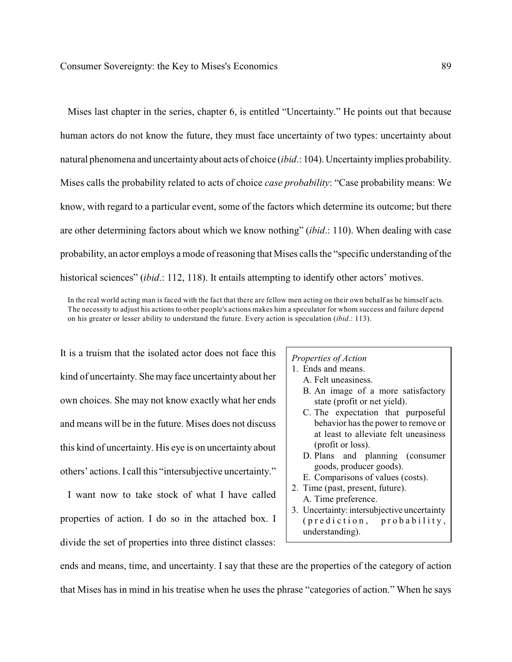Mises last chapter in the series, chapter 6, is entitled "Uncertainty." He points out that because human actors do not know the future, they must face uncertainty of two types: uncertainty about natural phenomena and uncertainty about acts of choice (*ibid*.: 104). Uncertainty implies probability. Mises calls the probability related to acts of choice *case probability*: "Case probability means: We know, with regard to a particular event, some of the factors which determine its outcome; but there are other determining factors about which we know nothing" (*ibid*.: 110). When dealing with case probability, an actor employs a mode of reasoning that Mises calls the "specific understanding of the historical sciences" (*ibid*.: 112, 118). It entails attempting to identify other actors' motives.

In the real world acting man is faced with the fact that there are fellow men acting on their own behalf as he himself acts. The necessity to adjust his actions to other people's actions makes him a speculator for whom success and failure depend on his greater or lesser ability to understand the future. Every action is speculation (*ibid*.: 113).

It is a truism that the isolated actor does not face this kind of uncertainty. She may face uncertainty about her own choices. She may not know exactly what her ends and means will be in the future. Mises does not discuss this kind of uncertainty. His eye is on uncertainty about others' actions. I call this "intersubjective uncertainty."

I want now to take stock of what I have called properties of action. I do so in the attached box. I divide the set of properties into three distinct classes:

#### *Properties of Action*

- 1. Ends and means.
	- A. Felt uneasiness.
	- B. An image of a more satisfactory state (profit or net yield).
	- C. The expectation that purposeful behavior has the power to remove or at least to alleviate felt uneasiness (profit or loss).
	- D. Plans and planning (consumer goods, producer goods).
	- E. Comparisons of values (costs).
- 2. Time (past, present, future).
	- A. Time preference.
- 3. Uncertainty: intersubjective uncertainty  $(\text{prediction}, \text{probability},$ understanding).

ends and means, time, and uncertainty. I say that these are the properties of the category of action that Mises has in mind in his treatise when he uses the phrase "categories of action." When he says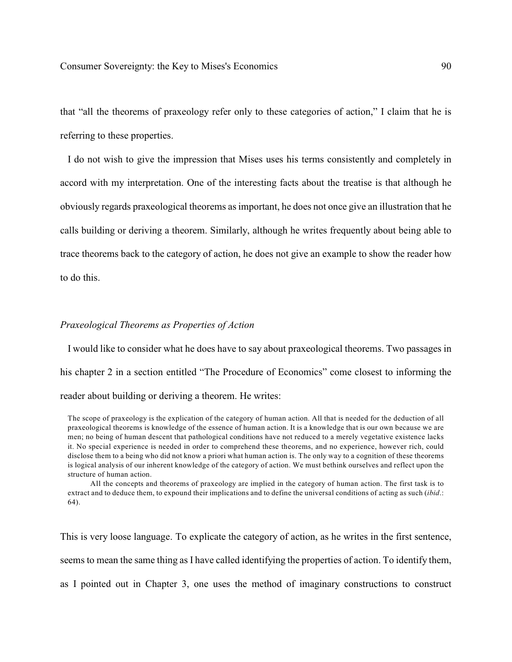that "all the theorems of praxeology refer only to these categories of action," I claim that he is referring to these properties.

I do not wish to give the impression that Mises uses his terms consistently and completely in accord with my interpretation. One of the interesting facts about the treatise is that although he obviously regards praxeological theorems as important, he does not once give an illustration that he calls building or deriving a theorem. Similarly, although he writes frequently about being able to trace theorems back to the category of action, he does not give an example to show the reader how to do this.

#### *Praxeological Theorems as Properties of Action*

I would like to consider what he does have to say about praxeological theorems. Two passages in his chapter 2 in a section entitled "The Procedure of Economics" come closest to informing the reader about building or deriving a theorem. He writes:

The scope of praxeology is the explication of the category of human action. All that is needed for the deduction of all praxeological theorems is knowledge of the essence of human action. It is a knowledge that is our own because we are men; no being of human descent that pathological conditions have not reduced to a merely vegetative existence lacks it. No special experience is needed in order to comprehend these theorems, and no experience, however rich, could disclose them to a being who did not know a priori what human action is. The only way to a cognition of these theorems is logical analysis of our inherent knowledge of the category of action. We must bethink ourselves and reflect upon the structure of human action.

All the concepts and theorems of praxeology are implied in the category of human action. The first task is to extract and to deduce them, to expound their implications and to define the universal conditions of acting as such (*ibid*.: 64).

This is very loose language. To explicate the category of action, as he writes in the first sentence, seems to mean the same thing as I have called identifying the properties of action. To identify them, as I pointed out in Chapter 3, one uses the method of imaginary constructions to construct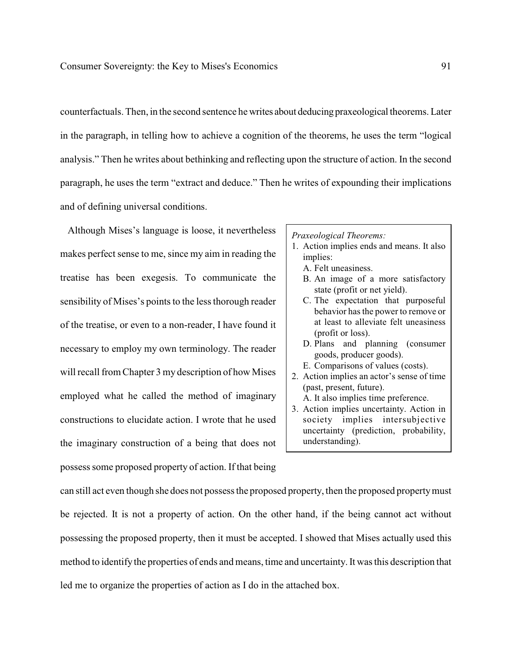counterfactuals. Then, in the second sentence he writes about deducing praxeological theorems. Later in the paragraph, in telling how to achieve a cognition of the theorems, he uses the term "logical analysis." Then he writes about bethinking and reflecting upon the structure of action. In the second paragraph, he uses the term "extract and deduce." Then he writes of expounding their implications and of defining universal conditions.

Although Mises's language is loose, it nevertheless makes perfect sense to me, since my aim in reading the treatise has been exegesis. To communicate the sensibility of Mises's points to the less thorough reader of the treatise, or even to a non-reader, I have found it necessary to employ my own terminology. The reader will recall from Chapter 3 my description of how Mises employed what he called the method of imaginary constructions to elucidate action. I wrote that he used the imaginary construction of a being that does not possess some proposed property of action. If that being

### *Praxeological Theorems:*

- 1. Action implies ends and means. It also implies:
	- A. Felt uneasiness.
	- B. An image of a more satisfactory state (profit or net yield).
	- C. The expectation that purposeful behavior has the power to remove or at least to alleviate felt uneasiness (profit or loss).
	- D. Plans and planning (consumer goods, producer goods).
	- E. Comparisons of values (costs).
- 2. Action implies an actor's sense of time (past, present, future).
- A. It also implies time preference.
- 3. Action implies uncertainty. Action in society implies intersubjective uncertainty (prediction, probability, understanding).

can still act even though she does not possess the proposed property, then the proposed property must be rejected. It is not a property of action. On the other hand, if the being cannot act without possessing the proposed property, then it must be accepted. I showed that Mises actually used this method to identify the properties of ends and means, time and uncertainty. It was this description that led me to organize the properties of action as I do in the attached box.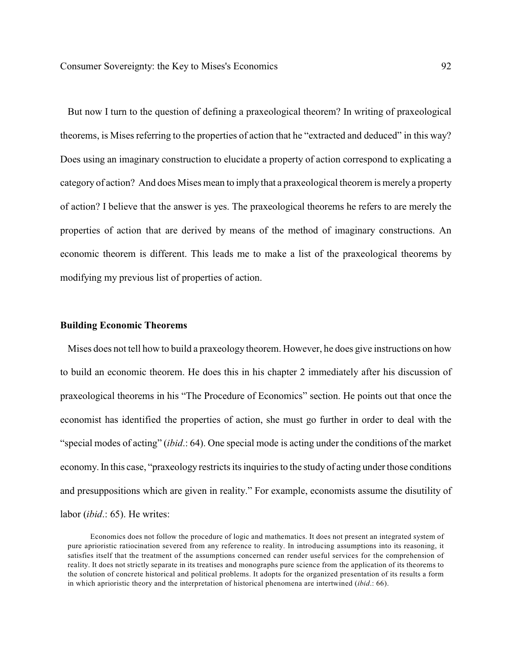But now I turn to the question of defining a praxeological theorem? In writing of praxeological theorems, is Mises referring to the properties of action that he "extracted and deduced" in this way? Does using an imaginary construction to elucidate a property of action correspond to explicating a category of action? And does Mises mean to imply that a praxeological theorem is merely a property of action? I believe that the answer is yes. The praxeological theorems he refers to are merely the properties of action that are derived by means of the method of imaginary constructions. An economic theorem is different. This leads me to make a list of the praxeological theorems by modifying my previous list of properties of action.

#### **Building Economic Theorems**

Mises does not tell how to build a praxeology theorem. However, he does give instructions on how to build an economic theorem. He does this in his chapter 2 immediately after his discussion of praxeological theorems in his "The Procedure of Economics" section. He points out that once the economist has identified the properties of action, she must go further in order to deal with the "special modes of acting" (*ibid*.: 64). One special mode is acting under the conditions of the market economy. In this case, "praxeology restricts its inquiries to the study of acting under those conditions and presuppositions which are given in reality." For example, economists assume the disutility of labor (*ibid*.: 65). He writes:

Economics does not follow the procedure of logic and mathematics. It does not present an integrated system of pure aprioristic ratiocination severed from any reference to reality. In introducing assumptions into its reasoning, it satisfies itself that the treatment of the assumptions concerned can render useful services for the comprehension of reality. It does not strictly separate in its treatises and monographs pure science from the application of its theorems to the solution of concrete historical and political problems. It adopts for the organized presentation of its results a form in which aprioristic theory and the interpretation of historical phenomena are intertwined (*ibid*.: 66).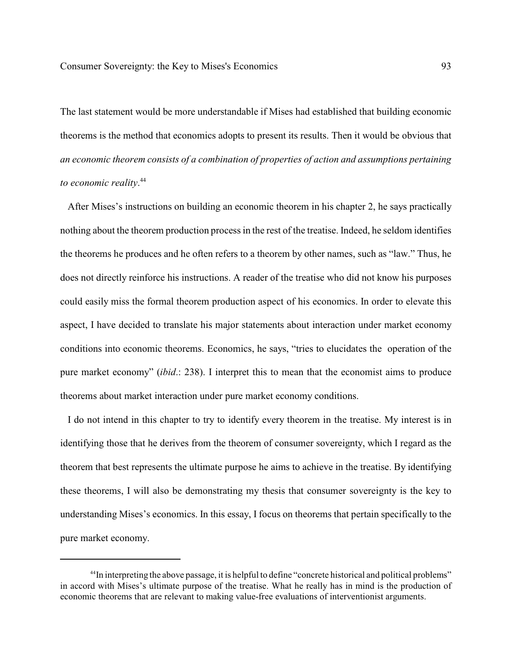The last statement would be more understandable if Mises had established that building economic theorems is the method that economics adopts to present its results. Then it would be obvious that *an economic theorem consists of a combination of properties of action and assumptions pertaining to economic reality*. 44

After Mises's instructions on building an economic theorem in his chapter 2, he says practically nothing about the theorem production process in the rest of the treatise. Indeed, he seldom identifies the theorems he produces and he often refers to a theorem by other names, such as "law." Thus, he does not directly reinforce his instructions. A reader of the treatise who did not know his purposes could easily miss the formal theorem production aspect of his economics. In order to elevate this aspect, I have decided to translate his major statements about interaction under market economy conditions into economic theorems. Economics, he says, "tries to elucidates the operation of the pure market economy" (*ibid*.: 238). I interpret this to mean that the economist aims to produce theorems about market interaction under pure market economy conditions.

I do not intend in this chapter to try to identify every theorem in the treatise. My interest is in identifying those that he derives from the theorem of consumer sovereignty, which I regard as the theorem that best represents the ultimate purpose he aims to achieve in the treatise. By identifying these theorems, I will also be demonstrating my thesis that consumer sovereignty is the key to understanding Mises's economics. In this essay, I focus on theorems that pertain specifically to the pure market economy.

<sup>&</sup>lt;sup>44</sup>In interpreting the above passage, it is helpful to define "concrete historical and political problems" in accord with Mises's ultimate purpose of the treatise. What he really has in mind is the production of economic theorems that are relevant to making value-free evaluations of interventionist arguments.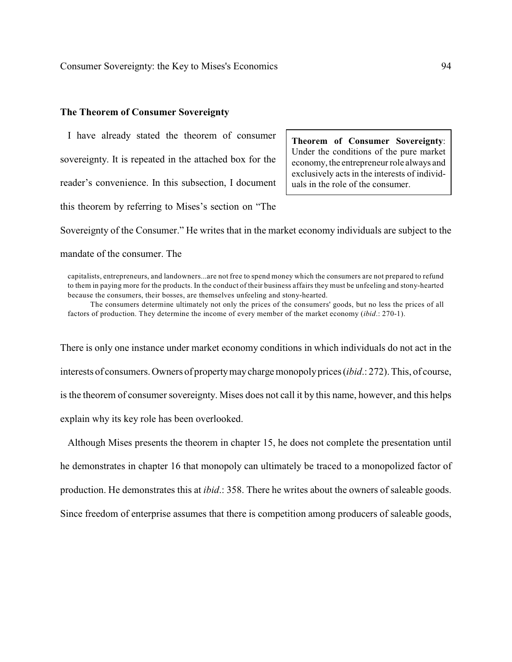### **The Theorem of Consumer Sovereignty**

I have already stated the theorem of consumer sovereignty. It is repeated in the attached box for the reader's convenience. In this subsection, I document this theorem by referring to Mises's section on "The

**Theorem of Consumer Sovereignty**: Under the conditions of the pure market economy, the entrepreneur role always and exclusively acts in the interests of individuals in the role of the consumer.

Sovereignty of the Consumer." He writes that in the market economy individuals are subject to the mandate of the consumer. The

capitalists, entrepreneurs, and landowners...are not free to spend money which the consumers are not prepared to refund to them in paying more for the products. In the conduct of their business affairs they must be unfeeling and stony-hearted because the consumers, their bosses, are themselves unfeeling and stony-hearted.

The consumers determine ultimately not only the prices of the consumers' goods, but no less the prices of all factors of production. They determine the income of every member of the market economy (*ibid*.: 270-1).

There is only one instance under market economy conditions in which individuals do not act in the interests of consumers. Owners of property may charge monopoly prices (*ibid*.: 272). This, of course, is the theorem of consumer sovereignty. Mises does not call it by this name, however, and this helps explain why its key role has been overlooked.

Although Mises presents the theorem in chapter 15, he does not complete the presentation until he demonstrates in chapter 16 that monopoly can ultimately be traced to a monopolized factor of production. He demonstrates this at *ibid*.: 358. There he writes about the owners of saleable goods. Since freedom of enterprise assumes that there is competition among producers of saleable goods,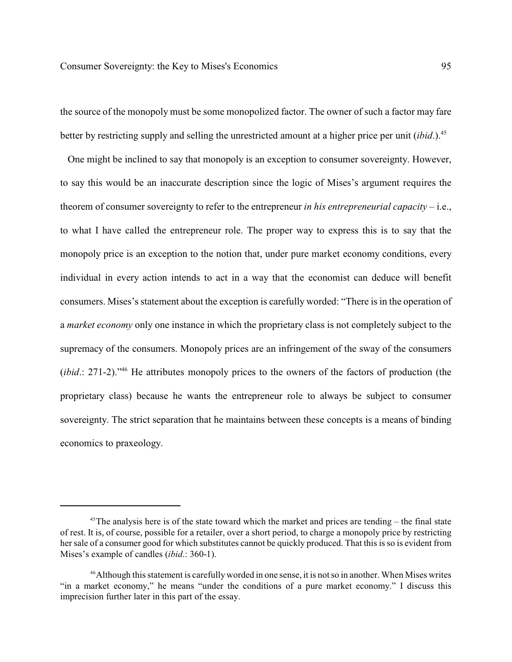the source of the monopoly must be some monopolized factor. The owner of such a factor may fare better by restricting supply and selling the unrestricted amount at a higher price per unit *(ibid.)*.<sup>45</sup>

One might be inclined to say that monopoly is an exception to consumer sovereignty. However, to say this would be an inaccurate description since the logic of Mises's argument requires the theorem of consumer sovereignty to refer to the entrepreneur *in his entrepreneurial capacity* – i.e., to what I have called the entrepreneur role. The proper way to express this is to say that the monopoly price is an exception to the notion that, under pure market economy conditions, every individual in every action intends to act in a way that the economist can deduce will benefit consumers. Mises's statement about the exception is carefully worded: "There is in the operation of a *market economy* only one instance in which the proprietary class is not completely subject to the supremacy of the consumers. Monopoly prices are an infringement of the sway of the consumers (*ibid.*: 271-2).<sup>"46</sup> He attributes monopoly prices to the owners of the factors of production (the proprietary class) because he wants the entrepreneur role to always be subject to consumer sovereignty. The strict separation that he maintains between these concepts is a means of binding economics to praxeology.

<sup>&</sup>lt;sup>45</sup>The analysis here is of the state toward which the market and prices are tending – the final state of rest. It is, of course, possible for a retailer, over a short period, to charge a monopoly price by restricting her sale of a consumer good for which substitutes cannot be quickly produced. That this is so is evident from Mises's example of candles (*ibid*.: 360-1).

<sup>&</sup>lt;sup>46</sup> Although this statement is carefully worded in one sense, it is not so in another. When Mises writes "in a market economy," he means "under the conditions of a pure market economy." I discuss this imprecision further later in this part of the essay.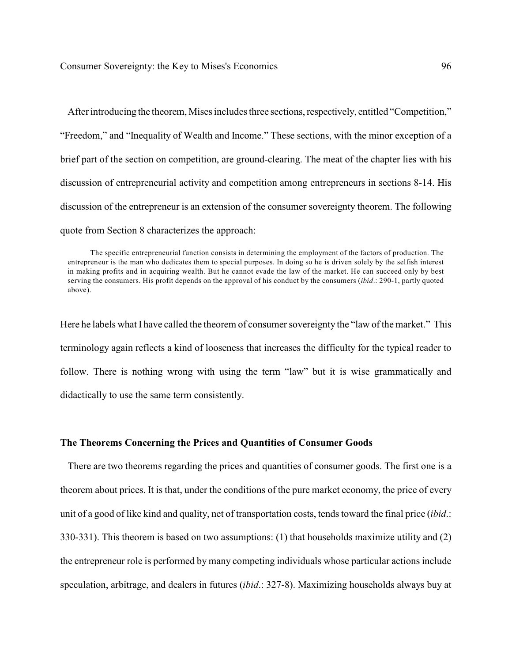After introducing the theorem, Mises includes three sections, respectively, entitled "Competition," "Freedom," and "Inequality of Wealth and Income." These sections, with the minor exception of a brief part of the section on competition, are ground-clearing. The meat of the chapter lies with his discussion of entrepreneurial activity and competition among entrepreneurs in sections 8-14. His discussion of the entrepreneur is an extension of the consumer sovereignty theorem. The following quote from Section 8 characterizes the approach:

The specific entrepreneurial function consists in determining the employment of the factors of production. The entrepreneur is the man who dedicates them to special purposes. In doing so he is driven solely by the selfish interest in making profits and in acquiring wealth. But he cannot evade the law of the market. He can succeed only by best serving the consumers. His profit depends on the approval of his conduct by the consumers (*ibid*.: 290-1, partly quoted above).

Here he labels what I have called the theorem of consumer sovereignty the "law of the market." This terminology again reflects a kind of looseness that increases the difficulty for the typical reader to follow. There is nothing wrong with using the term "law" but it is wise grammatically and didactically to use the same term consistently.

## **The Theorems Concerning the Prices and Quantities of Consumer Goods**

There are two theorems regarding the prices and quantities of consumer goods. The first one is a theorem about prices. It is that, under the conditions of the pure market economy, the price of every unit of a good of like kind and quality, net of transportation costs, tends toward the final price (*ibid*.: 330-331). This theorem is based on two assumptions: (1) that households maximize utility and (2) the entrepreneur role is performed by many competing individuals whose particular actions include speculation, arbitrage, and dealers in futures (*ibid*.: 327-8). Maximizing households always buy at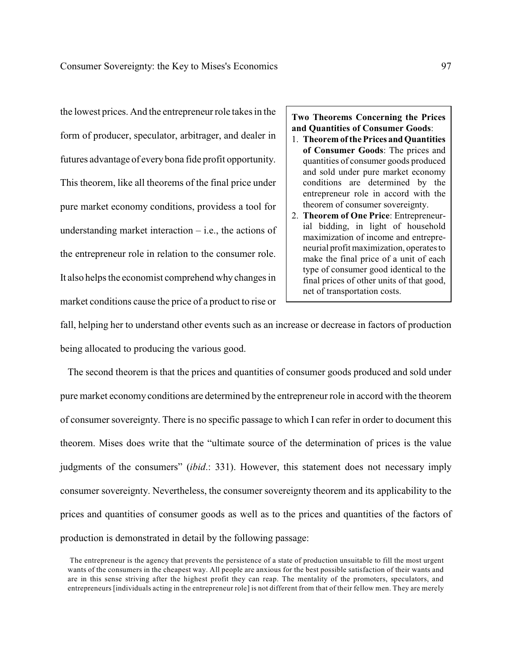the lowest prices. And the entrepreneur role takes in the form of producer, speculator, arbitrager, and dealer in futures advantage of every bona fide profit opportunity. This theorem, like all theorems of the final price under pure market economy conditions, providess a tool for understanding market interaction  $-$  i.e., the actions of the entrepreneur role in relation to the consumer role. It also helps the economist comprehend why changes in market conditions cause the price of a product to rise or

### **Two Theorems Concerning the Prices and Quantities of Consumer Goods**:

- 1. **Theorem of the Prices and Quantities of Consumer Goods**: The prices and quantities of consumer goods produced and sold under pure market economy conditions are determined by the entrepreneur role in accord with the theorem of consumer sovereignty.
- 2. **Theorem of One Price**: Entrepreneurial bidding, in light of household maximization of income and entrepreneurial profit maximization, operates to make the final price of a unit of each type of consumer good identical to the final prices of other units of that good, net of transportation costs.

fall, helping her to understand other events such as an increase or decrease in factors of production being allocated to producing the various good.

The second theorem is that the prices and quantities of consumer goods produced and sold under pure market economy conditions are determined by the entrepreneur role in accord with the theorem of consumer sovereignty. There is no specific passage to which I can refer in order to document this theorem. Mises does write that the "ultimate source of the determination of prices is the value judgments of the consumers" (*ibid*.: 331). However, this statement does not necessary imply consumer sovereignty. Nevertheless, the consumer sovereignty theorem and its applicability to the prices and quantities of consumer goods as well as to the prices and quantities of the factors of production is demonstrated in detail by the following passage:

The entrepreneur is the agency that prevents the persistence of a state of production unsuitable to fill the most urgent wants of the consumers in the cheapest way. All people are anxious for the best possible satisfaction of their wants and are in this sense striving after the highest profit they can reap. The mentality of the promoters, speculators, and entrepreneurs [individuals acting in the entrepreneur role] is not different from that of their fellow men. They are merely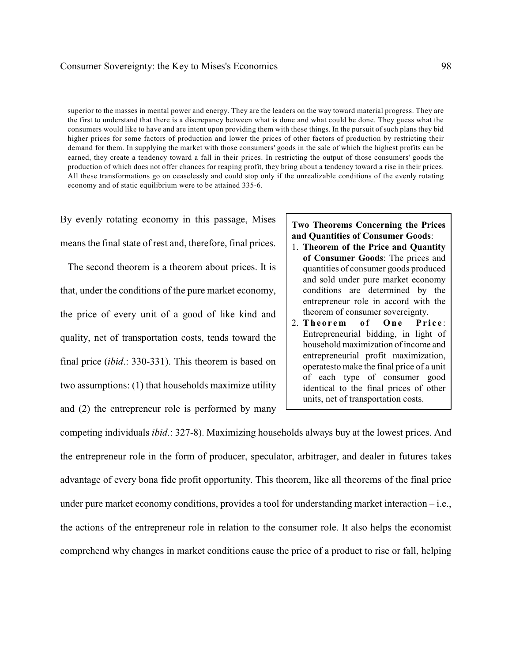superior to the masses in mental power and energy. They are the leaders on the way toward material progress. They are the first to understand that there is a discrepancy between what is done and what could be done. They guess what the consumers would like to have and are intent upon providing them with these things. In the pursuit of such plans they bid higher prices for some factors of production and lower the prices of other factors of production by restricting their demand for them. In supplying the market with those consumers' goods in the sale of which the highest profits can be earned, they create a tendency toward a fall in their prices. In restricting the output of those consumers' goods the production of which does not offer chances for reaping profit, they bring about a tendency toward a rise in their prices. All these transformations go on ceaselessly and could stop only if the unrealizable conditions of the evenly rotating economy and of static equilibrium were to be attained 335-6.

By evenly rotating economy in this passage, Mises means the final state of rest and, therefore, final prices.

The second theorem is a theorem about prices. It is that, under the conditions of the pure market economy, the price of every unit of a good of like kind and quality, net of transportation costs, tends toward the final price (*ibid*.: 330-331). This theorem is based on two assumptions: (1) that households maximize utility and (2) the entrepreneur role is performed by many **Two Theorems Concerning the Prices and Quantities of Consumer Goods**:

- 1. **Theorem of the Price and Quantity of Consumer Goods**: The prices and quantities of consumer goods produced and sold under pure market economy conditions are determined by the entrepreneur role in accord with the theorem of consumer sovereignty.
- 2. **Theorem** of One Price: Entrepreneurial bidding, in light of household maximization of income and entrepreneurial profit maximization, operatesto make the final price of a unit of each type of consumer good identical to the final prices of other units, net of transportation costs.

competing individuals *ibid*.: 327-8). Maximizing households always buy at the lowest prices. And the entrepreneur role in the form of producer, speculator, arbitrager, and dealer in futures takes advantage of every bona fide profit opportunity. This theorem, like all theorems of the final price under pure market economy conditions, provides a tool for understanding market interaction – i.e., the actions of the entrepreneur role in relation to the consumer role. It also helps the economist comprehend why changes in market conditions cause the price of a product to rise or fall, helping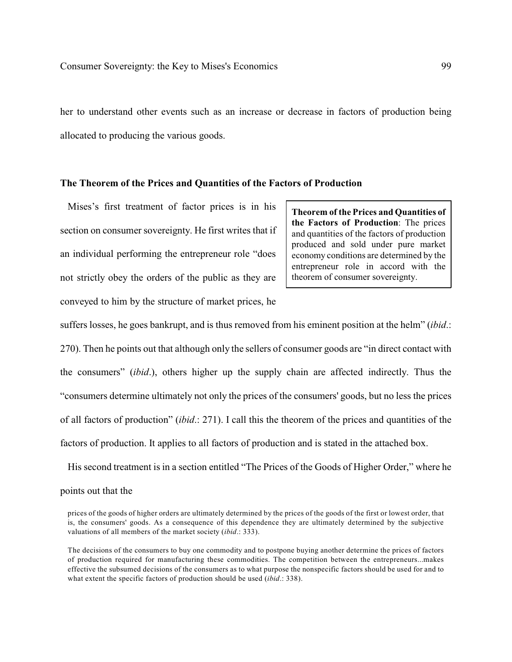her to understand other events such as an increase or decrease in factors of production being allocated to producing the various goods.

#### **The Theorem of the Prices and Quantities of the Factors of Production**

Mises's first treatment of factor prices is in his section on consumer sovereignty. He first writes that if an individual performing the entrepreneur role "does not strictly obey the orders of the public as they are conveyed to him by the structure of market prices, he

**Theorem of the Prices and Quantities of the Factors of Production**: The prices and quantities of the factors of production produced and sold under pure market economy conditions are determined by the entrepreneur role in accord with the theorem of consumer sovereignty.

suffers losses, he goes bankrupt, and is thus removed from his eminent position at the helm" (*ibid*.: 270). Then he points out that although only the sellers of consumer goods are "in direct contact with the consumers" (*ibid*.), others higher up the supply chain are affected indirectly. Thus the "consumers determine ultimately not only the prices of the consumers' goods, but no less the prices of all factors of production" (*ibid*.: 271). I call this the theorem of the prices and quantities of the factors of production. It applies to all factors of production and is stated in the attached box.

His second treatment is in a section entitled "The Prices of the Goods of Higher Order," where he

points out that the

prices of the goods of higher orders are ultimately determined by the prices of the goods of the first or lowest order, that is, the consumers' goods. As a consequence of this dependence they are ultimately determined by the subjective valuations of all members of the market society (*ibid*.: 333).

The decisions of the consumers to buy one commodity and to postpone buying another determine the prices of factors of production required for manufacturing these commodities. The competition between the entrepreneurs...makes effective the subsumed decisions of the consumers as to what purpose the nonspecific factors should be used for and to what extent the specific factors of production should be used (*ibid*.: 338).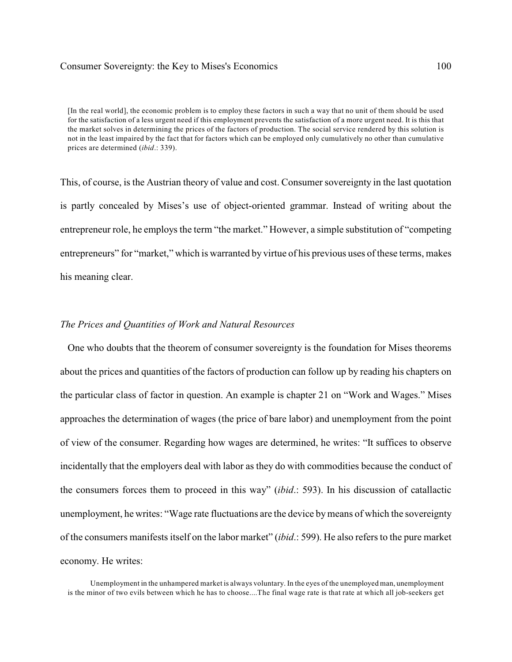### Consumer Sovereignty: the Key to Mises's Economics 100

[In the real world], the economic problem is to employ these factors in such a way that no unit of them should be used for the satisfaction of a less urgent need if this employment prevents the satisfaction of a more urgent need. It is this that the market solves in determining the prices of the factors of production. The social service rendered by this solution is not in the least impaired by the fact that for factors which can be employed only cumulatively no other than cumulative prices are determined (*ibid*.: 339).

This, of course, is the Austrian theory of value and cost. Consumer sovereignty in the last quotation is partly concealed by Mises's use of object-oriented grammar. Instead of writing about the entrepreneur role, he employs the term "the market." However, a simple substitution of "competing entrepreneurs" for "market," which is warranted by virtue of his previous uses of these terms, makes his meaning clear.

### *The Prices and Quantities of Work and Natural Resources*

One who doubts that the theorem of consumer sovereignty is the foundation for Mises theorems about the prices and quantities of the factors of production can follow up by reading his chapters on the particular class of factor in question. An example is chapter 21 on "Work and Wages." Mises approaches the determination of wages (the price of bare labor) and unemployment from the point of view of the consumer. Regarding how wages are determined, he writes: "It suffices to observe incidentally that the employers deal with labor as they do with commodities because the conduct of the consumers forces them to proceed in this way" (*ibid*.: 593). In his discussion of catallactic unemployment, he writes: "Wage rate fluctuations are the device bymeans of which the sovereignty of the consumers manifests itself on the labor market" (*ibid*.: 599). He also refers to the pure market economy. He writes:

Unemployment in the unhampered market is always voluntary. In the eyes of the unemployed man, unemployment is the minor of two evils between which he has to choose....The final wage rate is that rate at which all job-seekers get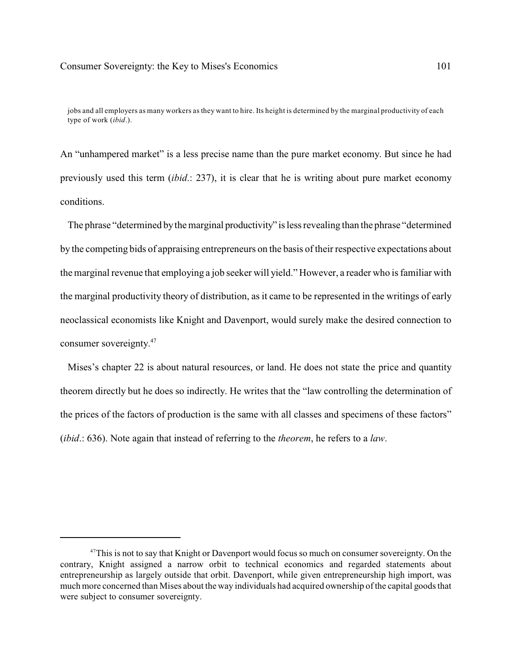jobs and all employers as many workers as they want to hire. Its height is determined by the marginal productivity of each type of work (*ibid*.).

An "unhampered market" is a less precise name than the pure market economy. But since he had previously used this term (*ibid*.: 237), it is clear that he is writing about pure market economy conditions.

The phrase "determined by the marginal productivity" is less revealing than the phrase "determined by the competing bids of appraising entrepreneurs on the basis of their respective expectations about the marginal revenue that employing a job seeker will yield." However, a reader who is familiar with the marginal productivity theory of distribution, as it came to be represented in the writings of early neoclassical economists like Knight and Davenport, would surely make the desired connection to consumer sovereignty.<sup>47</sup>

Mises's chapter 22 is about natural resources, or land. He does not state the price and quantity theorem directly but he does so indirectly. He writes that the "law controlling the determination of the prices of the factors of production is the same with all classes and specimens of these factors" (*ibid*.: 636). Note again that instead of referring to the *theorem*, he refers to a *law*.

 $47$ This is not to say that Knight or Davenport would focus so much on consumer sovereignty. On the contrary, Knight assigned a narrow orbit to technical economics and regarded statements about entrepreneurship as largely outside that orbit. Davenport, while given entrepreneurship high import, was much more concerned than Mises about the way individuals had acquired ownership of the capital goods that were subject to consumer sovereignty.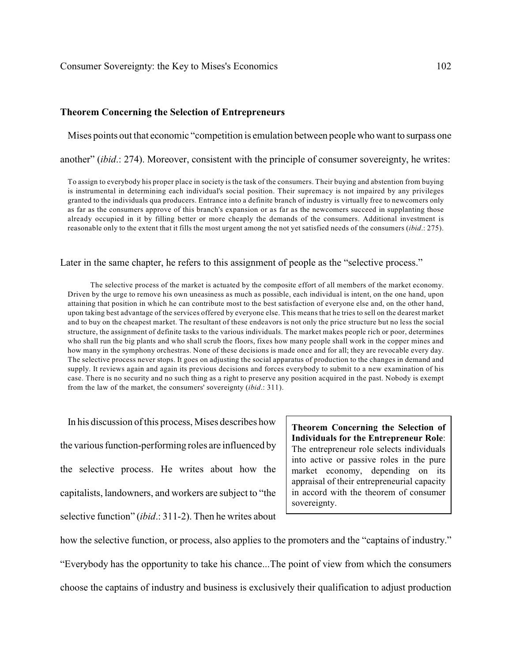## **Theorem Concerning the Selection of Entrepreneurs**

Mises points out that economic "competition is emulation between people who want to surpass one

another" (*ibid*.: 274). Moreover, consistent with the principle of consumer sovereignty, he writes:

To assign to everybody his proper place in society is the task of the consumers. Their buying and abstention from buying is instrumental in determining each individual's social position. Their supremacy is not impaired by any privileges granted to the individuals qua producers. Entrance into a definite branch of industry is virtually free to newcomers only as far as the consumers approve of this branch's expansion or as far as the newcomers succeed in supplanting those already occupied in it by filling better or more cheaply the demands of the consumers. Additional investment is reasonable only to the extent that it fills the most urgent among the not yet satisfied needs of the consumers (*ibid*.: 275).

#### Later in the same chapter, he refers to this assignment of people as the "selective process."

The selective process of the market is actuated by the composite effort of all members of the market economy. Driven by the urge to remove his own uneasiness as much as possible, each individual is intent, on the one hand, upon attaining that position in which he can contribute most to the best satisfaction of everyone else and, on the other hand, upon taking best advantage of the services offered by everyone else. This means that he tries to sell on the dearest market and to buy on the cheapest market. The resultant of these endeavors is not only the price structure but no less the social structure, the assignment of definite tasks to the various individuals. The market makes people rich or poor, determines who shall run the big plants and who shall scrub the floors, fixes how many people shall work in the copper mines and how many in the symphony orchestras. None of these decisions is made once and for all; they are revocable every day. The selective process never stops. It goes on adjusting the social apparatus of production to the changes in demand and supply. It reviews again and again its previous decisions and forces everybody to submit to a new examination of his case. There is no security and no such thing as a right to preserve any position acquired in the past. Nobody is exempt from the law of the market, the consumers' sovereignty (*ibid*.: 311).

In his discussion of this process, Mises describes how the various function-performing roles are influenced by the selective process. He writes about how the capitalists, landowners, and workers are subject to "the selective function" (*ibid*.: 311-2). Then he writes about

**Theorem Concerning the Selection of Individuals for the Entrepreneur Role**: The entrepreneur role selects individuals into active or passive roles in the pure market economy, depending on its appraisal of their entrepreneurial capacity in accord with the theorem of consumer sovereignty.

how the selective function, or process, also applies to the promoters and the "captains of industry."

"Everybody has the opportunity to take his chance...The point of view from which the consumers choose the captains of industry and business is exclusively their qualification to adjust production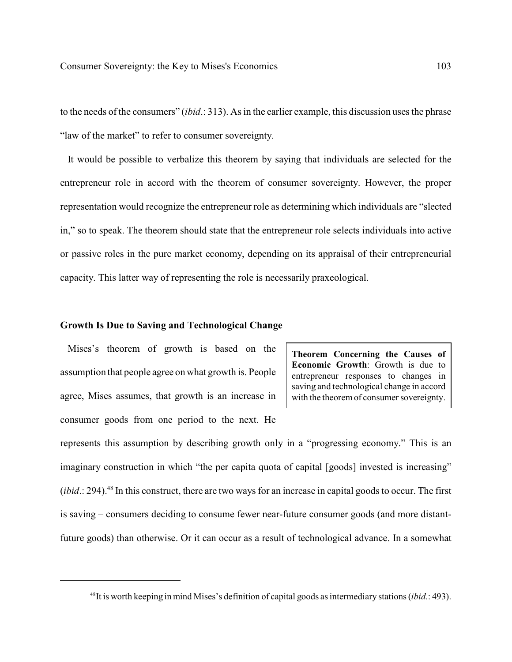to the needs of the consumers" *(ibid.*: 313). As in the earlier example, this discussion uses the phrase "law of the market" to refer to consumer sovereignty.

It would be possible to verbalize this theorem by saying that individuals are selected for the entrepreneur role in accord with the theorem of consumer sovereignty. However, the proper representation would recognize the entrepreneur role as determining which individuals are "slected in," so to speak. The theorem should state that the entrepreneur role selects individuals into active or passive roles in the pure market economy, depending on its appraisal of their entrepreneurial capacity. This latter way of representing the role is necessarily praxeological.

#### **Growth Is Due to Saving and Technological Change**

Mises's theorem of growth is based on the assumption that people agree on what growth is. People agree, Mises assumes, that growth is an increase in consumer goods from one period to the next. He

**Theorem Concerning the Causes of Economic Growth**: Growth is due to entrepreneur responses to changes in saving and technological change in accord with the theorem of consumer sovereignty.

represents this assumption by describing growth only in a "progressing economy." This is an imaginary construction in which "the per capita quota of capital [goods] invested is increasing"  $(ibid.: 294).$ <sup>48</sup> In this construct, there are two ways for an increase in capital goods to occur. The first is saving – consumers deciding to consume fewer near-future consumer goods (and more distantfuture goods) than otherwise. Or it can occur as a result of technological advance. In a somewhat

<sup>&</sup>lt;sup>48</sup>It is worth keeping in mind Mises's definition of capital goods as intermediary stations *(ibid.*: 493).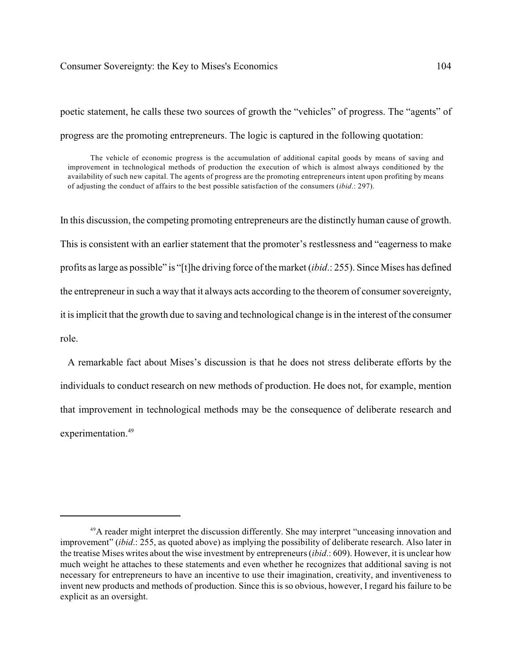poetic statement, he calls these two sources of growth the "vehicles" of progress. The "agents" of progress are the promoting entrepreneurs. The logic is captured in the following quotation:

The vehicle of economic progress is the accumulation of additional capital goods by means of saving and improvement in technological methods of production the execution of which is almost always conditioned by the availability of such new capital. The agents of progress are the promoting entrepreneurs intent upon profiting by means of adjusting the conduct of affairs to the best possible satisfaction of the consumers (*ibid*.: 297).

In this discussion, the competing promoting entrepreneurs are the distinctly human cause of growth. This is consistent with an earlier statement that the promoter's restlessness and "eagerness to make profits as large as possible" is "[t]he driving force of the market (*ibid*.: 255). Since Mises has defined the entrepreneur in such a way that it always acts according to the theorem of consumer sovereignty, it is implicit that the growth due to saving and technological change is in the interest of the consumer role.

A remarkable fact about Mises's discussion is that he does not stress deliberate efforts by the individuals to conduct research on new methods of production. He does not, for example, mention that improvement in technological methods may be the consequence of deliberate research and experimentation.<sup>49</sup>

<sup>&</sup>lt;sup>49</sup>A reader might interpret the discussion differently. She may interpret "unceasing innovation and improvement" (*ibid*.: 255, as quoted above) as implying the possibility of deliberate research. Also later in the treatise Mises writes about the wise investment by entrepreneurs (*ibid*.: 609). However, it is unclear how much weight he attaches to these statements and even whether he recognizes that additional saving is not necessary for entrepreneurs to have an incentive to use their imagination, creativity, and inventiveness to invent new products and methods of production. Since this is so obvious, however, I regard his failure to be explicit as an oversight.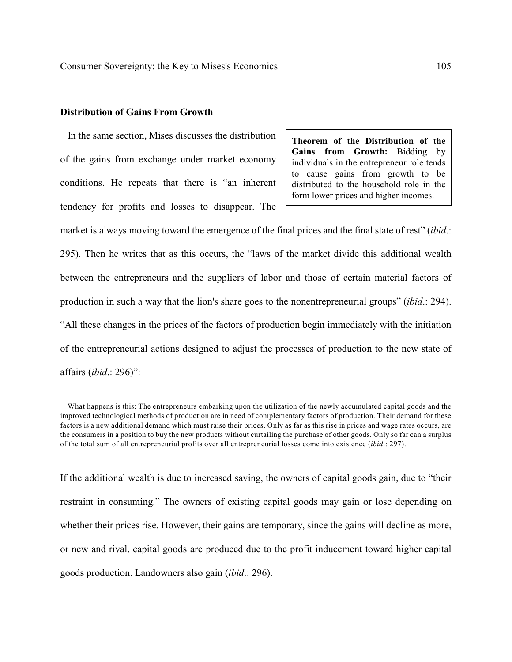# **Distribution of Gains From Growth**

In the same section, Mises discusses the distribution of the gains from exchange under market economy conditions. He repeats that there is "an inherent tendency for profits and losses to disappear. The

**Theorem of the Distribution of the Gains from Growth:** Bidding by individuals in the entrepreneur role tends to cause gains from growth to be distributed to the household role in the form lower prices and higher incomes.

market is always moving toward the emergence of the final prices and the final state of rest" (*ibid*.: 295). Then he writes that as this occurs, the "laws of the market divide this additional wealth between the entrepreneurs and the suppliers of labor and those of certain material factors of production in such a way that the lion's share goes to the nonentrepreneurial groups" (*ibid*.: 294). "All these changes in the prices of the factors of production begin immediately with the initiation of the entrepreneurial actions designed to adjust the processes of production to the new state of affairs (*ibid*.: 296)":

If the additional wealth is due to increased saving, the owners of capital goods gain, due to "their restraint in consuming." The owners of existing capital goods may gain or lose depending on whether their prices rise. However, their gains are temporary, since the gains will decline as more, or new and rival, capital goods are produced due to the profit inducement toward higher capital goods production. Landowners also gain (*ibid*.: 296).

What happens is this: The entrepreneurs embarking upon the utilization of the newly accumulated capital goods and the improved technological methods of production are in need of complementary factors of production. Their demand for these factors is a new additional demand which must raise their prices. Only as far as this rise in prices and wage rates occurs, are the consumers in a position to buy the new products without curtailing the purchase of other goods. Only so far can a surplus of the total sum of all entrepreneurial profits over all entrepreneurial losses come into existence (*ibid*.: 297).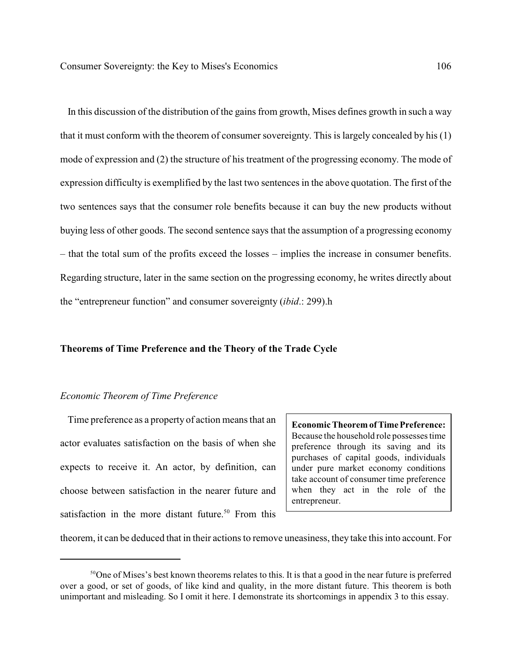In this discussion of the distribution of the gains from growth, Mises defines growth in such a way that it must conform with the theorem of consumer sovereignty. This is largely concealed by his (1) mode of expression and (2) the structure of his treatment of the progressing economy. The mode of expression difficulty is exemplified by the last two sentences in the above quotation. The first of the two sentences says that the consumer role benefits because it can buy the new products without buying less of other goods. The second sentence says that the assumption of a progressing economy – that the total sum of the profits exceed the losses – implies the increase in consumer benefits. Regarding structure, later in the same section on the progressing economy, he writes directly about the "entrepreneur function" and consumer sovereignty (*ibid*.: 299).h

### **Theorems of Time Preference and the Theory of the Trade Cycle**

#### *Economic Theorem of Time Preference*

Time preference as a property of action means that an actor evaluates satisfaction on the basis of when she expects to receive it. An actor, by definition, can choose between satisfaction in the nearer future and satisfaction in the more distant future.<sup>50</sup> From this

**Economic Theorem of Time Preference:** Because the household role possesses time preference through its saving and its purchases of capital goods, individuals under pure market economy conditions take account of consumer time preference when they act in the role of the entrepreneur.

theorem, it can be deduced that in their actions to remove uneasiness, they take this into account. For

 $50$ One of Mises's best known theorems relates to this. It is that a good in the near future is preferred over a good, or set of goods, of like kind and quality, in the more distant future. This theorem is both unimportant and misleading. So I omit it here. I demonstrate its shortcomings in appendix 3 to this essay.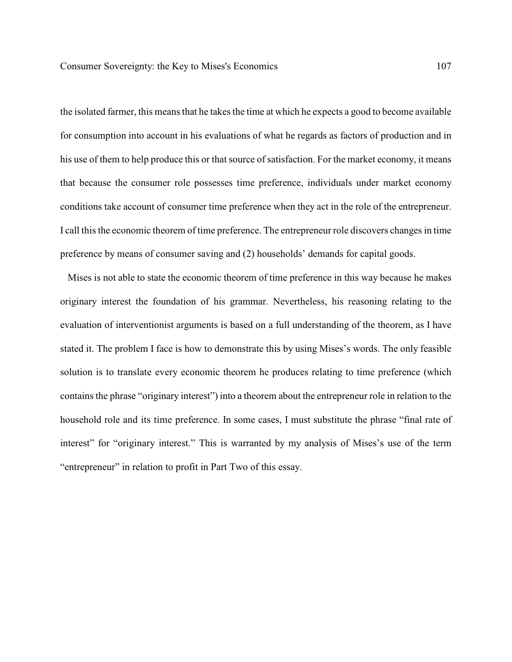the isolated farmer, this meansthat he takes the time at which he expects a good to become available for consumption into account in his evaluations of what he regards as factors of production and in his use of them to help produce this or that source of satisfaction. For the market economy, it means that because the consumer role possesses time preference, individuals under market economy conditions take account of consumer time preference when they act in the role of the entrepreneur. I call this the economic theorem of time preference. The entrepreneur role discovers changes in time preference by means of consumer saving and (2) households' demands for capital goods.

Mises is not able to state the economic theorem of time preference in this way because he makes originary interest the foundation of his grammar. Nevertheless, his reasoning relating to the evaluation of interventionist arguments is based on a full understanding of the theorem, as I have stated it. The problem I face is how to demonstrate this by using Mises's words. The only feasible solution is to translate every economic theorem he produces relating to time preference (which contains the phrase "originary interest") into a theorem about the entrepreneur role in relation to the household role and its time preference. In some cases, I must substitute the phrase "final rate of interest" for "originary interest." This is warranted by my analysis of Mises's use of the term "entrepreneur" in relation to profit in Part Two of this essay.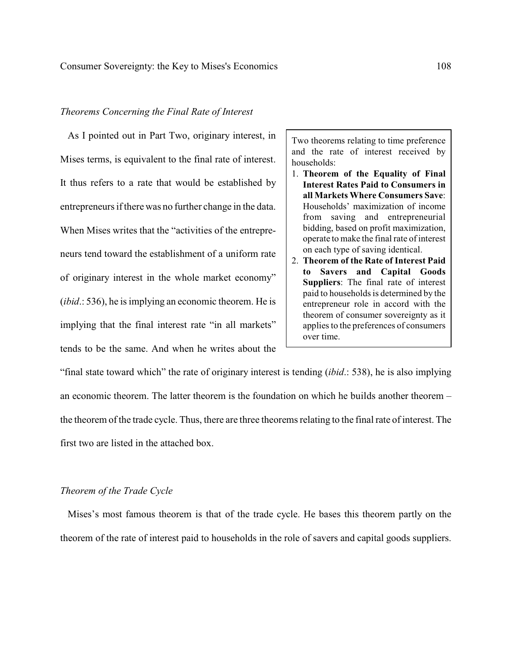# *Theorems Concerning the Final Rate of Interest*

As I pointed out in Part Two, originary interest, in Mises terms, is equivalent to the final rate of interest. It thus refers to a rate that would be established by entrepreneurs if there was no further change in the data. When Mises writes that the "activities of the entrepreneurs tend toward the establishment of a uniform rate of originary interest in the whole market economy" (*ibid*.: 536), he is implying an economic theorem. He is implying that the final interest rate "in all markets" tends to be the same. And when he writes about the

Two theorems relating to time preference and the rate of interest received by households:

- 1. **Theorem of the Equality of Final Interest Rates Paid to Consumers in all Markets Where Consumers Save**: Households' maximization of income from saving and entrepreneurial bidding, based on profit maximization, operate to make the final rate of interest on each type of saving identical.
- 2. **Theorem of the Rate of Interest Paid to Savers and Capital Goods Suppliers**: The final rate of interest paid to households is determined by the entrepreneur role in accord with the theorem of consumer sovereignty as it applies to the preferences of consumers over time.

"final state toward which" the rate of originary interest is tending (*ibid*.: 538), he is also implying an economic theorem. The latter theorem is the foundation on which he builds another theorem – the theorem of the trade cycle. Thus, there are three theorems relating to the final rate of interest. The first two are listed in the attached box.

#### *Theorem of the Trade Cycle*

Mises's most famous theorem is that of the trade cycle. He bases this theorem partly on the theorem of the rate of interest paid to households in the role of savers and capital goods suppliers.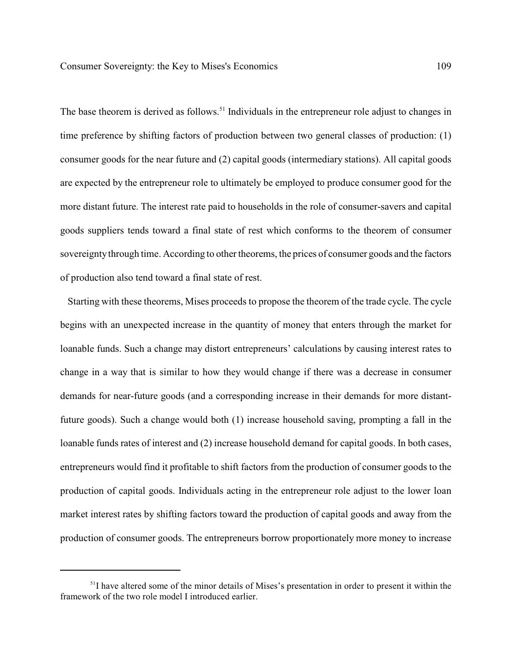The base theorem is derived as follows.<sup>51</sup> Individuals in the entrepreneur role adjust to changes in time preference by shifting factors of production between two general classes of production: (1) consumer goods for the near future and (2) capital goods (intermediary stations). All capital goods are expected by the entrepreneur role to ultimately be employed to produce consumer good for the more distant future. The interest rate paid to households in the role of consumer-savers and capital goods suppliers tends toward a final state of rest which conforms to the theorem of consumer sovereignty through time. According to other theorems, the prices of consumer goods and the factors of production also tend toward a final state of rest.

Starting with these theorems, Mises proceeds to propose the theorem of the trade cycle. The cycle begins with an unexpected increase in the quantity of money that enters through the market for loanable funds. Such a change may distort entrepreneurs' calculations by causing interest rates to change in a way that is similar to how they would change if there was a decrease in consumer demands for near-future goods (and a corresponding increase in their demands for more distantfuture goods). Such a change would both (1) increase household saving, prompting a fall in the loanable funds rates of interest and (2) increase household demand for capital goods. In both cases, entrepreneurs would find it profitable to shift factors from the production of consumer goods to the production of capital goods. Individuals acting in the entrepreneur role adjust to the lower loan market interest rates by shifting factors toward the production of capital goods and away from the production of consumer goods. The entrepreneurs borrow proportionately more money to increase

<sup>&</sup>lt;sup>51</sup>I have altered some of the minor details of Mises's presentation in order to present it within the framework of the two role model I introduced earlier.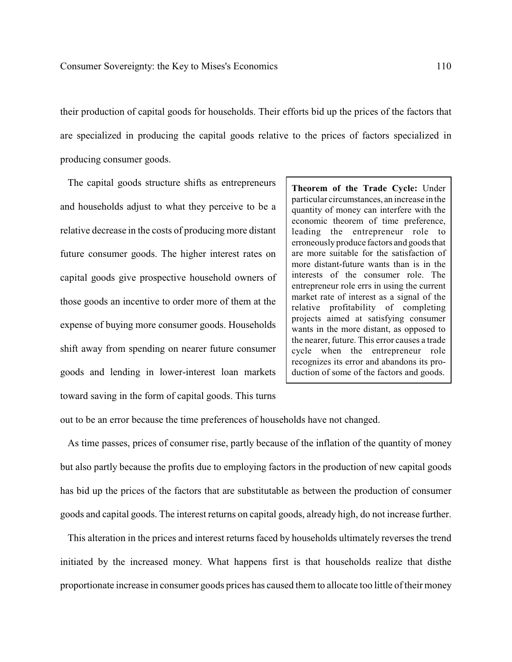their production of capital goods for households. Their efforts bid up the prices of the factors that are specialized in producing the capital goods relative to the prices of factors specialized in producing consumer goods.

The capital goods structure shifts as entrepreneurs and households adjust to what they perceive to be a relative decrease in the costs of producing more distant future consumer goods. The higher interest rates on capital goods give prospective household owners of those goods an incentive to order more of them at the expense of buying more consumer goods. Households shift away from spending on nearer future consumer goods and lending in lower-interest loan markets toward saving in the form of capital goods. This turns

**Theorem of the Trade Cycle:** Under particular circumstances, an increase in the quantity of money can interfere with the economic theorem of time preference, leading the entrepreneur role to erroneously produce factors and goods that are more suitable for the satisfaction of more distant-future wants than is in the interests of the consumer role. The entrepreneur role errs in using the current market rate of interest as a signal of the relative profitability of completing projects aimed at satisfying consumer wants in the more distant, as opposed to the nearer, future. This error causes a trade cycle when the entrepreneur role recognizes its error and abandons its production of some of the factors and goods.

out to be an error because the time preferences of households have not changed.

As time passes, prices of consumer rise, partly because of the inflation of the quantity of money but also partly because the profits due to employing factors in the production of new capital goods has bid up the prices of the factors that are substitutable as between the production of consumer goods and capital goods. The interest returns on capital goods, already high, do not increase further.

This alteration in the prices and interest returns faced by households ultimately reverses the trend initiated by the increased money. What happens first is that households realize that disthe proportionate increase in consumer goods prices has caused them to allocate too little of their money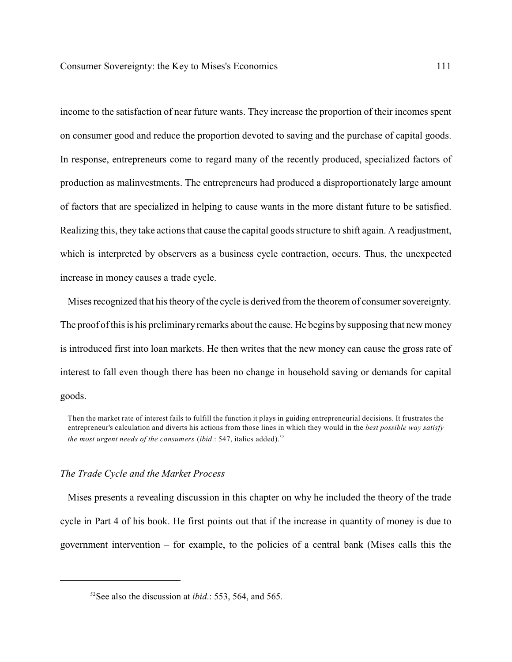income to the satisfaction of near future wants. They increase the proportion of their incomes spent on consumer good and reduce the proportion devoted to saving and the purchase of capital goods. In response, entrepreneurs come to regard many of the recently produced, specialized factors of production as malinvestments. The entrepreneurs had produced a disproportionately large amount of factors that are specialized in helping to cause wants in the more distant future to be satisfied. Realizing this, they take actions that cause the capital goods structure to shift again. A readjustment, which is interpreted by observers as a business cycle contraction, occurs. Thus, the unexpected increase in money causes a trade cycle.

Mises recognized that his theory of the cycle is derived from the theorem of consumer sovereignty. The proof of this is his preliminary remarks about the cause. He begins by supposing that new money is introduced first into loan markets. He then writes that the new money can cause the gross rate of interest to fall even though there has been no change in household saving or demands for capital goods.

## *The Trade Cycle and the Market Process*

Mises presents a revealing discussion in this chapter on why he included the theory of the trade cycle in Part 4 of his book. He first points out that if the increase in quantity of money is due to government intervention – for example, to the policies of a central bank (Mises calls this the

Then the market rate of interest fails to fulfill the function it plays in guiding entrepreneurial decisions. It frustrates the entrepreneur's calculation and diverts his actions from those lines in which they would in the *best possible way satisfy the most urgent needs of the consumers (ibid.: 547, italics added).*<sup>52</sup>

 $52$ See also the discussion at *ibid*.: 553, 564, and 565.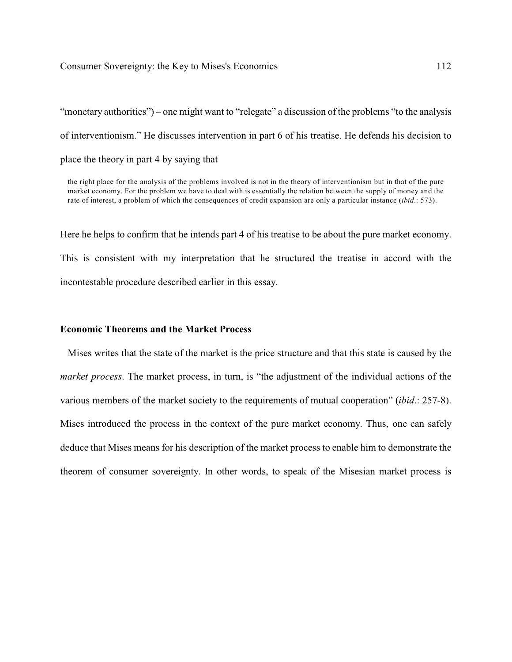"monetary authorities") – one might want to "relegate" a discussion of the problems "to the analysis of interventionism." He discusses intervention in part 6 of his treatise. He defends his decision to place the theory in part 4 by saying that

the right place for the analysis of the problems involved is not in the theory of interventionism but in that of the pure market economy. For the problem we have to deal with is essentially the relation between the supply of money and the rate of interest, a problem of which the consequences of credit expansion are only a particular instance (*ibid*.: 573).

Here he helps to confirm that he intends part 4 of his treatise to be about the pure market economy. This is consistent with my interpretation that he structured the treatise in accord with the incontestable procedure described earlier in this essay.

## **Economic Theorems and the Market Process**

Mises writes that the state of the market is the price structure and that this state is caused by the *market process*. The market process, in turn, is "the adjustment of the individual actions of the various members of the market society to the requirements of mutual cooperation" (*ibid*.: 257-8). Mises introduced the process in the context of the pure market economy. Thus, one can safely deduce that Mises means for his description of the market process to enable him to demonstrate the theorem of consumer sovereignty. In other words, to speak of the Misesian market process is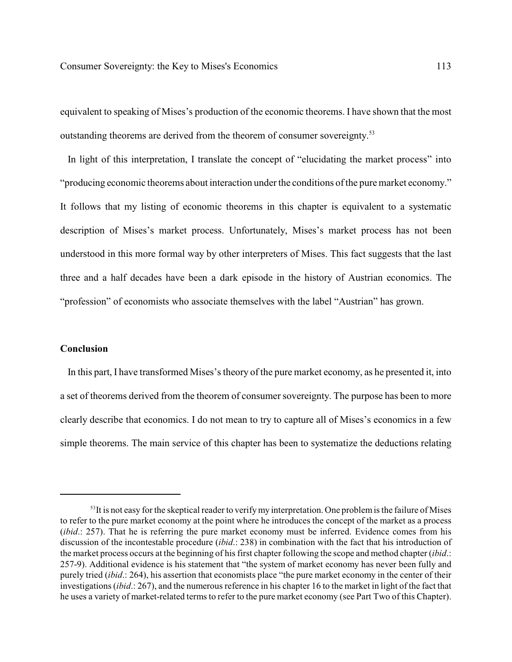equivalent to speaking of Mises's production of the economic theorems. I have shown that the most outstanding theorems are derived from the theorem of consumer sovereignty.<sup>53</sup>

In light of this interpretation, I translate the concept of "elucidating the market process" into "producing economic theorems about interaction under the conditions of the pure market economy." It follows that my listing of economic theorems in this chapter is equivalent to a systematic description of Mises's market process. Unfortunately, Mises's market process has not been understood in this more formal way by other interpreters of Mises. This fact suggests that the last three and a half decades have been a dark episode in the history of Austrian economics. The "profession" of economists who associate themselves with the label "Austrian" has grown.

## **Conclusion**

In this part, I have transformed Mises's theory of the pure market economy, as he presented it, into a set of theorems derived from the theorem of consumer sovereignty. The purpose has been to more clearly describe that economics. I do not mean to try to capture all of Mises's economics in a few simple theorems. The main service of this chapter has been to systematize the deductions relating

<sup>&</sup>lt;sup>53</sup>It is not easy for the skeptical reader to verify my interpretation. One problem is the failure of Mises to refer to the pure market economy at the point where he introduces the concept of the market as a process (*ibid*.: 257). That he is referring the pure market economy must be inferred. Evidence comes from his discussion of the incontestable procedure (*ibid*.: 238) in combination with the fact that his introduction of the market process occurs at the beginning of his first chapter following the scope and method chapter (*ibid*.: 257-9). Additional evidence is his statement that "the system of market economy has never been fully and purely tried (*ibid*.: 264), his assertion that economists place "the pure market economy in the center of their investigations (*ibid*.: 267), and the numerous reference in his chapter 16 to the market in light of the fact that he uses a variety of market-related terms to refer to the pure market economy (see Part Two of this Chapter).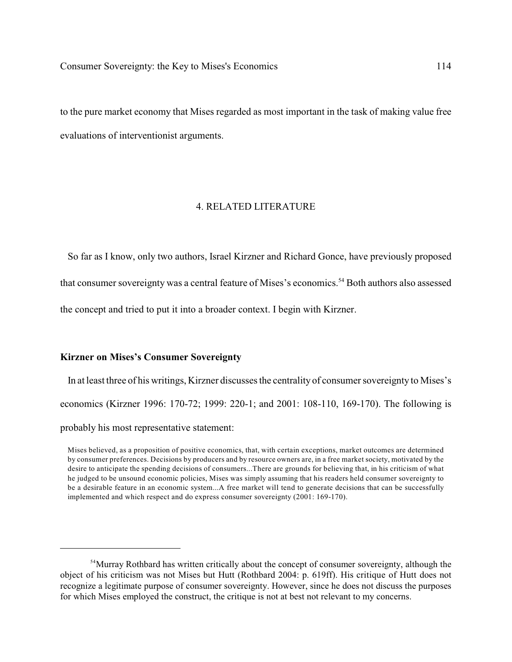to the pure market economy that Mises regarded as most important in the task of making value free evaluations of interventionist arguments.

# 4. RELATED LITERATURE

So far as I know, only two authors, Israel Kirzner and Richard Gonce, have previously proposed that consumer sovereignty was a central feature of Mises's economics.<sup>54</sup> Both authors also assessed the concept and tried to put it into a broader context. I begin with Kirzner.

#### **Kirzner on Mises's Consumer Sovereignty**

In at least three of his writings, Kirzner discusses the centrality of consumer sovereignty to Mises's economics (Kirzner 1996: 170-72; 1999: 220-1; and 2001: 108-110, 169-170). The following is probably his most representative statement:

Mises believed, as a proposition of positive economics, that, with certain exceptions, market outcomes are determined by consumer preferences. Decisions by producers and by resource owners are, in a free market society, motivated by the desire to anticipate the spending decisions of consumers...There are grounds for believing that, in his criticism of what he judged to be unsound economic policies, Mises was simply assuming that his readers held consumer sovereignty to be a desirable feature in an economic system...A free market will tend to generate decisions that can be successfully implemented and which respect and do express consumer sovereignty (2001: 169-170).

 $<sup>54</sup>$ Murray Rothbard has written critically about the concept of consumer sovereignty, although the</sup> object of his criticism was not Mises but Hutt (Rothbard 2004: p. 619ff). His critique of Hutt does not recognize a legitimate purpose of consumer sovereignty. However, since he does not discuss the purposes for which Mises employed the construct, the critique is not at best not relevant to my concerns.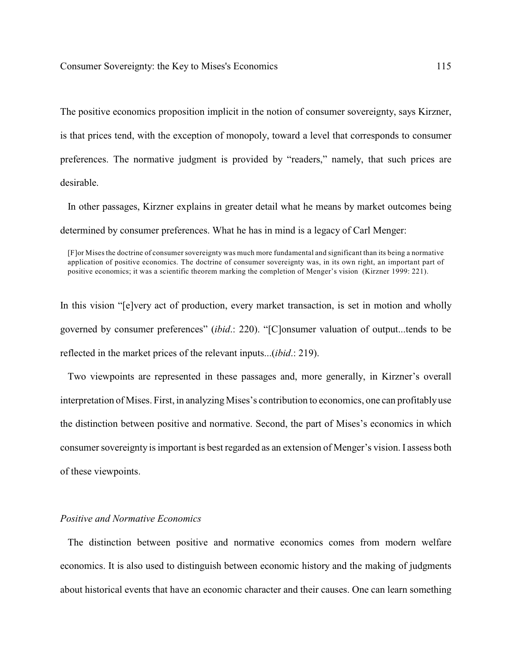The positive economics proposition implicit in the notion of consumer sovereignty, says Kirzner, is that prices tend, with the exception of monopoly, toward a level that corresponds to consumer preferences. The normative judgment is provided by "readers," namely, that such prices are desirable.

In other passages, Kirzner explains in greater detail what he means by market outcomes being determined by consumer preferences. What he has in mind is a legacy of Carl Menger:

[F]or Mises the doctrine of consumer sovereignty was much more fundamental and significant than its being a normative application of positive economics. The doctrine of consumer sovereignty was, in its own right, an important part of positive economics; it was a scientific theorem marking the completion of Menger's vision (Kirzner 1999: 221).

In this vision "[e]very act of production, every market transaction, is set in motion and wholly governed by consumer preferences" (*ibid*.: 220). "[C]onsumer valuation of output...tends to be reflected in the market prices of the relevant inputs...(*ibid*.: 219).

Two viewpoints are represented in these passages and, more generally, in Kirzner's overall interpretation of Mises. First, in analyzing Mises's contribution to economics, one can profitably use the distinction between positive and normative. Second, the part of Mises's economics in which consumer sovereignty is important is best regarded as an extension of Menger's vision. I assess both of these viewpoints.

## *Positive and Normative Economics*

The distinction between positive and normative economics comes from modern welfare economics. It is also used to distinguish between economic history and the making of judgments about historical events that have an economic character and their causes. One can learn something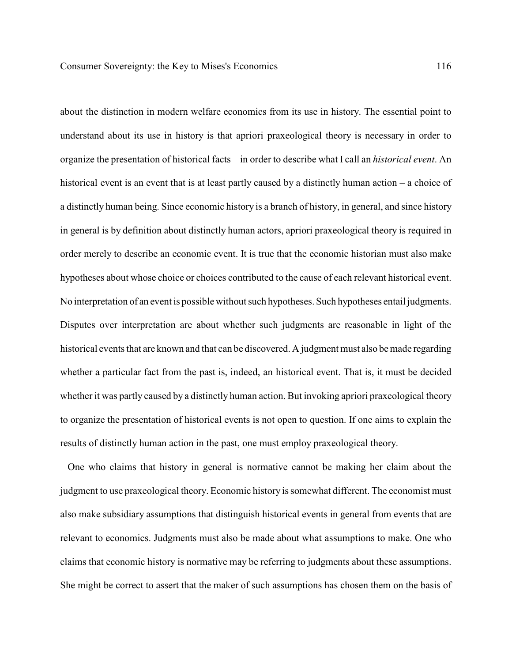about the distinction in modern welfare economics from its use in history. The essential point to understand about its use in history is that apriori praxeological theory is necessary in order to organize the presentation of historical facts – in order to describe what I call an *historical event*. An historical event is an event that is at least partly caused by a distinctly human action – a choice of a distinctly human being. Since economic history is a branch of history, in general, and since history in general is by definition about distinctly human actors, apriori praxeological theory is required in order merely to describe an economic event. It is true that the economic historian must also make hypotheses about whose choice or choices contributed to the cause of each relevant historical event. No interpretation of an event is possible without such hypotheses. Such hypotheses entail judgments. Disputes over interpretation are about whether such judgments are reasonable in light of the historical events that are known and that can be discovered. A judgment must also be made regarding whether a particular fact from the past is, indeed, an historical event. That is, it must be decided whether it was partly caused by a distinctly human action. But invoking apriori praxeological theory to organize the presentation of historical events is not open to question. If one aims to explain the results of distinctly human action in the past, one must employ praxeological theory.

One who claims that history in general is normative cannot be making her claim about the judgment to use praxeological theory. Economic history is somewhat different. The economist must also make subsidiary assumptions that distinguish historical events in general from events that are relevant to economics. Judgments must also be made about what assumptions to make. One who claims that economic history is normative may be referring to judgments about these assumptions. She might be correct to assert that the maker of such assumptions has chosen them on the basis of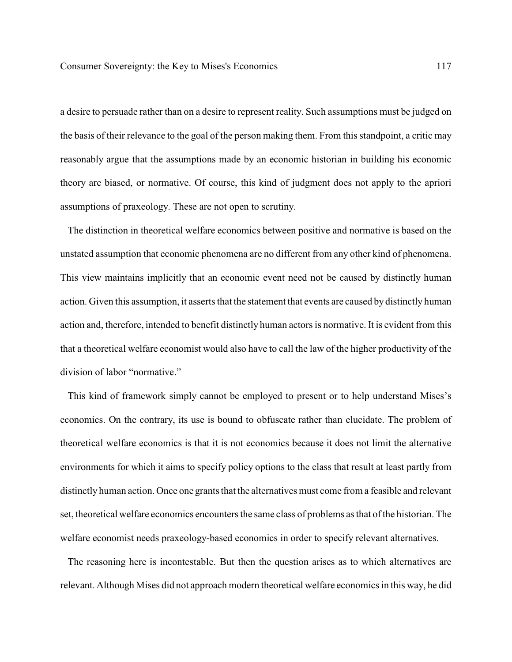a desire to persuade rather than on a desire to represent reality. Such assumptions must be judged on the basis of their relevance to the goal of the person making them. From this standpoint, a critic may reasonably argue that the assumptions made by an economic historian in building his economic theory are biased, or normative. Of course, this kind of judgment does not apply to the apriori assumptions of praxeology. These are not open to scrutiny.

The distinction in theoretical welfare economics between positive and normative is based on the unstated assumption that economic phenomena are no different from any other kind of phenomena. This view maintains implicitly that an economic event need not be caused by distinctly human action. Given this assumption, it asserts that the statement that events are caused by distinctly human action and, therefore, intended to benefit distinctly human actors is normative. It is evident from this that a theoretical welfare economist would also have to call the law of the higher productivity of the division of labor "normative."

This kind of framework simply cannot be employed to present or to help understand Mises's economics. On the contrary, its use is bound to obfuscate rather than elucidate. The problem of theoretical welfare economics is that it is not economics because it does not limit the alternative environments for which it aims to specify policy options to the class that result at least partly from distinctly human action. Once one grants that the alternatives must come from a feasible and relevant set, theoretical welfare economics encounters the same class of problems as that of the historian. The welfare economist needs praxeology-based economics in order to specify relevant alternatives.

The reasoning here is incontestable. But then the question arises as to which alternatives are relevant. Although Mises did not approach modern theoretical welfare economics in this way, he did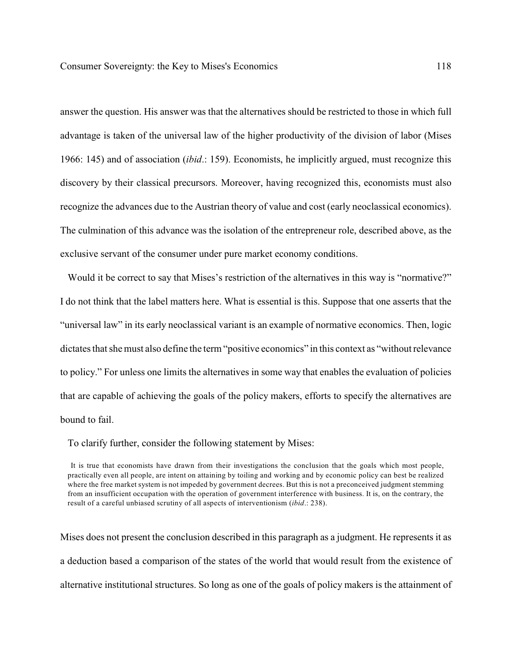answer the question. His answer was that the alternatives should be restricted to those in which full advantage is taken of the universal law of the higher productivity of the division of labor (Mises 1966: 145) and of association (*ibid*.: 159). Economists, he implicitly argued, must recognize this discovery by their classical precursors. Moreover, having recognized this, economists must also recognize the advances due to the Austrian theory of value and cost (early neoclassical economics). The culmination of this advance was the isolation of the entrepreneur role, described above, as the exclusive servant of the consumer under pure market economy conditions.

Would it be correct to say that Mises's restriction of the alternatives in this way is "normative?" I do not think that the label matters here. What is essential is this. Suppose that one asserts that the "universal law" in its early neoclassical variant is an example of normative economics. Then, logic dictates that she must also define the term "positive economics" in this context as "without relevance to policy." For unless one limits the alternatives in some way that enables the evaluation of policies that are capable of achieving the goals of the policy makers, efforts to specify the alternatives are bound to fail.

To clarify further, consider the following statement by Mises:

 It is true that economists have drawn from their investigations the conclusion that the goals which most people, practically even all people, are intent on attaining by toiling and working and by economic policy can best be realized where the free market system is not impeded by government decrees. But this is not a preconceived judgment stemming from an insufficient occupation with the operation of government interference with business. It is, on the contrary, the result of a careful unbiased scrutiny of all aspects of interventionism (*ibid*.: 238).

Mises does not present the conclusion described in this paragraph as a judgment. He represents it as a deduction based a comparison of the states of the world that would result from the existence of alternative institutional structures. So long as one of the goals of policy makers is the attainment of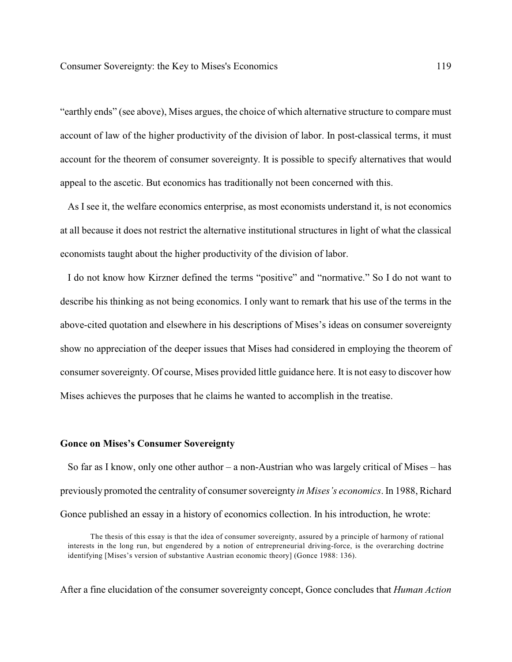"earthly ends" (see above), Mises argues, the choice of which alternative structure to compare must account of law of the higher productivity of the division of labor. In post-classical terms, it must account for the theorem of consumer sovereignty. It is possible to specify alternatives that would appeal to the ascetic. But economics has traditionally not been concerned with this.

As I see it, the welfare economics enterprise, as most economists understand it, is not economics at all because it does not restrict the alternative institutional structures in light of what the classical economists taught about the higher productivity of the division of labor.

I do not know how Kirzner defined the terms "positive" and "normative." So I do not want to describe his thinking as not being economics. I only want to remark that his use of the terms in the above-cited quotation and elsewhere in his descriptions of Mises's ideas on consumer sovereignty show no appreciation of the deeper issues that Mises had considered in employing the theorem of consumer sovereignty. Of course, Mises provided little guidance here. It is not easy to discover how Mises achieves the purposes that he claims he wanted to accomplish in the treatise.

#### **Gonce on Mises's Consumer Sovereignty**

So far as I know, only one other author – a non-Austrian who was largely critical of Mises – has previously promoted the centrality of consumer sovereignty *in Mises's economics*. In 1988, Richard Gonce published an essay in a history of economics collection. In his introduction, he wrote:

After a fine elucidation of the consumer sovereignty concept, Gonce concludes that *Human Action*

The thesis of this essay is that the idea of consumer sovereignty, assured by a principle of harmony of rational interests in the long run, but engendered by a notion of entrepreneurial driving-force, is the overarching doctrine identifying [Mises's version of substantive Austrian economic theory] (Gonce 1988: 136).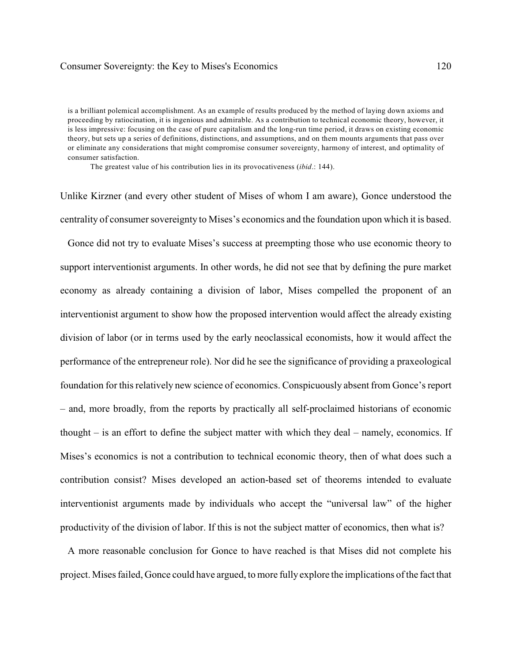#### Consumer Sovereignty: the Key to Mises's Economics 120

is a brilliant polemical accomplishment. As an example of results produced by the method of laying down axioms and proceeding by ratiocination, it is ingenious and admirable. As a contribution to technical economic theory, however, it is less impressive: focusing on the case of pure capitalism and the long-run time period, it draws on existing economic theory, but sets up a series of definitions, distinctions, and assumptions, and on them mounts arguments that pass over or eliminate any considerations that might compromise consumer sovereignty, harmony of interest, and optimality of consumer satisfaction.

The greatest value of his contribution lies in its provocativeness (*ibid*.: 144).

Unlike Kirzner (and every other student of Mises of whom I am aware), Gonce understood the centrality of consumer sovereignty to Mises's economics and the foundation upon which it is based.

Gonce did not try to evaluate Mises's success at preempting those who use economic theory to support interventionist arguments. In other words, he did not see that by defining the pure market economy as already containing a division of labor, Mises compelled the proponent of an interventionist argument to show how the proposed intervention would affect the already existing division of labor (or in terms used by the early neoclassical economists, how it would affect the performance of the entrepreneur role). Nor did he see the significance of providing a praxeological foundation for this relatively new science of economics. Conspicuously absent from Gonce's report – and, more broadly, from the reports by practically all self-proclaimed historians of economic thought – is an effort to define the subject matter with which they deal – namely, economics. If Mises's economics is not a contribution to technical economic theory, then of what does such a contribution consist? Mises developed an action-based set of theorems intended to evaluate interventionist arguments made by individuals who accept the "universal law" of the higher productivity of the division of labor. If this is not the subject matter of economics, then what is?

A more reasonable conclusion for Gonce to have reached is that Mises did not complete his project. Mises failed, Gonce could have argued, to more fullyexplore the implications of the fact that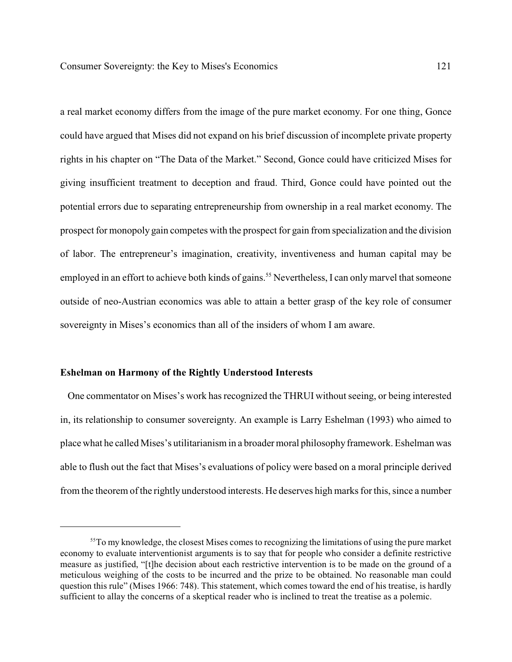a real market economy differs from the image of the pure market economy. For one thing, Gonce could have argued that Mises did not expand on his brief discussion of incomplete private property rights in his chapter on "The Data of the Market." Second, Gonce could have criticized Mises for giving insufficient treatment to deception and fraud. Third, Gonce could have pointed out the potential errors due to separating entrepreneurship from ownership in a real market economy. The prospect for monopoly gain competes with the prospect for gain from specialization and the division of labor. The entrepreneur's imagination, creativity, inventiveness and human capital may be employed in an effort to achieve both kinds of gains.<sup>55</sup> Nevertheless, I can only marvel that someone outside of neo-Austrian economics was able to attain a better grasp of the key role of consumer sovereignty in Mises's economics than all of the insiders of whom I am aware.

## **Eshelman on Harmony of the Rightly Understood Interests**

One commentator on Mises's work has recognized the THRUI without seeing, or being interested in, its relationship to consumer sovereignty. An example is Larry Eshelman (1993) who aimed to place what he called Mises's utilitarianism in a broader moral philosophy framework. Eshelman was able to flush out the fact that Mises's evaluations of policy were based on a moral principle derived from the theorem of the rightly understood interests. He deserves high marks for this, since a number

 $55$ To my knowledge, the closest Mises comes to recognizing the limitations of using the pure market economy to evaluate interventionist arguments is to say that for people who consider a definite restrictive measure as justified, "[t]he decision about each restrictive intervention is to be made on the ground of a meticulous weighing of the costs to be incurred and the prize to be obtained. No reasonable man could question this rule" (Mises 1966: 748). This statement, which comes toward the end of his treatise, is hardly sufficient to allay the concerns of a skeptical reader who is inclined to treat the treatise as a polemic.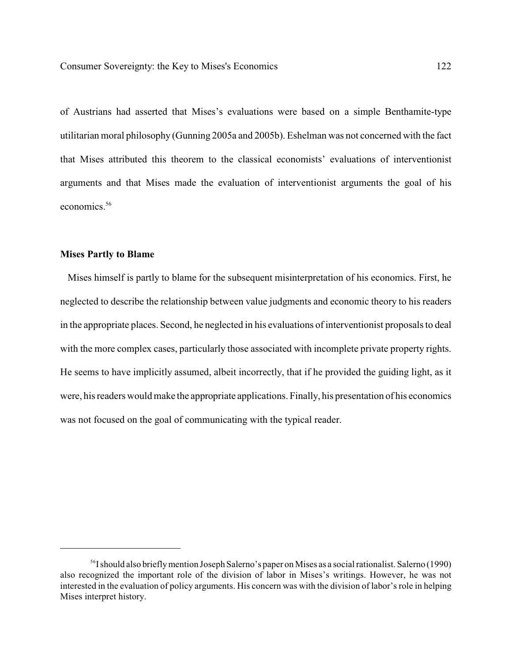of Austrians had asserted that Mises's evaluations were based on a simple Benthamite-type utilitarian moral philosophy (Gunning 2005a and 2005b). Eshelman was not concerned with the fact that Mises attributed this theorem to the classical economists' evaluations of interventionist arguments and that Mises made the evaluation of interventionist arguments the goal of his economics.<sup>56</sup>

### **Mises Partly to Blame**

Mises himself is partly to blame for the subsequent misinterpretation of his economics. First, he neglected to describe the relationship between value judgments and economic theory to his readers in the appropriate places. Second, he neglected in his evaluations of interventionist proposals to deal with the more complex cases, particularly those associated with incomplete private property rights. He seems to have implicitly assumed, albeit incorrectly, that if he provided the guiding light, as it were, his readers would make the appropriate applications. Finally, his presentation of his economics was not focused on the goal of communicating with the typical reader.

<sup>&</sup>lt;sup>56</sup>I should also briefly mention Joseph Salerno's paper on Mises as a social rationalist. Salerno (1990) also recognized the important role of the division of labor in Mises's writings. However, he was not interested in the evaluation of policy arguments. His concern was with the division of labor's role in helping Mises interpret history.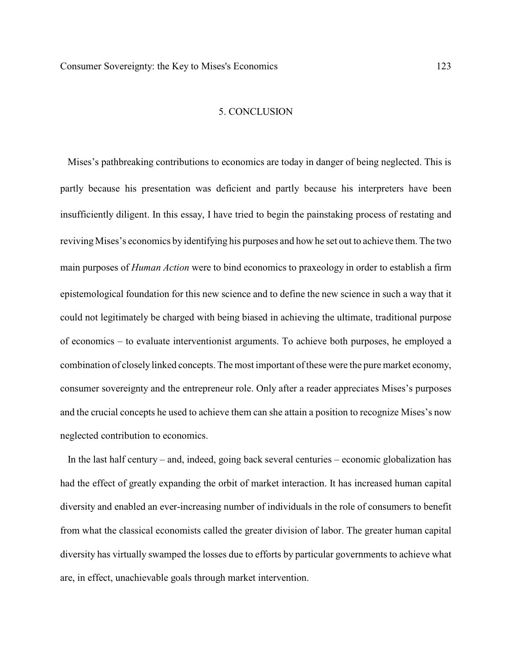# 5. CONCLUSION

Mises's pathbreaking contributions to economics are today in danger of being neglected. This is partly because his presentation was deficient and partly because his interpreters have been insufficiently diligent. In this essay, I have tried to begin the painstaking process of restating and reviving Mises's economics by identifying his purposes and how he set out to achieve them. The two main purposes of *Human Action* were to bind economics to praxeology in order to establish a firm epistemological foundation for this new science and to define the new science in such a way that it could not legitimately be charged with being biased in achieving the ultimate, traditional purpose of economics – to evaluate interventionist arguments. To achieve both purposes, he employed a combination of closely linked concepts. The most important of these were the pure market economy, consumer sovereignty and the entrepreneur role. Only after a reader appreciates Mises's purposes and the crucial concepts he used to achieve them can she attain a position to recognize Mises's now neglected contribution to economics.

In the last half century – and, indeed, going back several centuries – economic globalization has had the effect of greatly expanding the orbit of market interaction. It has increased human capital diversity and enabled an ever-increasing number of individuals in the role of consumers to benefit from what the classical economists called the greater division of labor. The greater human capital diversity has virtually swamped the losses due to efforts by particular governments to achieve what are, in effect, unachievable goals through market intervention.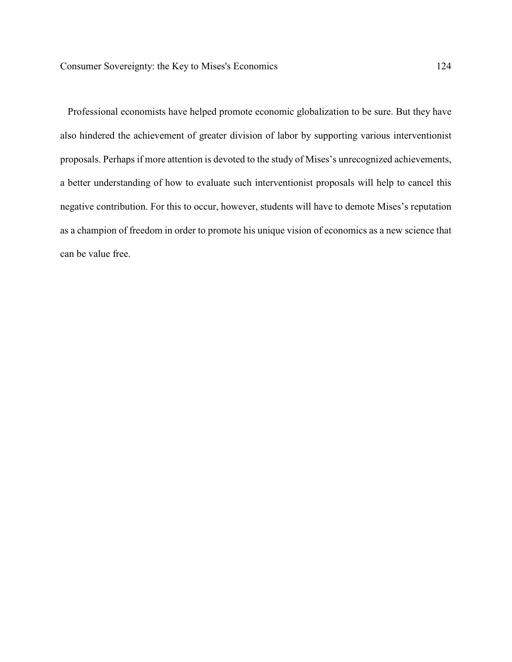Professional economists have helped promote economic globalization to be sure. But they have also hindered the achievement of greater division of labor by supporting various interventionist proposals. Perhaps if more attention is devoted to the study of Mises's unrecognized achievements, a better understanding of how to evaluate such interventionist proposals will help to cancel this negative contribution. For this to occur, however, students will have to demote Mises's reputation as a champion of freedom in order to promote his unique vision of economics as a new science that can be value free.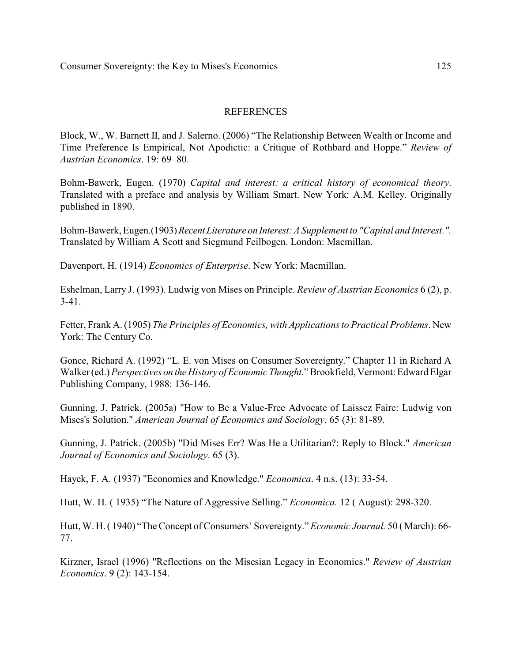# REFERENCES

Block, W., W. Barnett II, and J. Salerno. (2006) "The Relationship Between Wealth or Income and Time Preference Is Empirical, Not Apodictic: a Critique of Rothbard and Hoppe." *Review of Austrian Economics*. 19: 69–80.

Bohm-Bawerk, Eugen. (1970) *Capital and interest: a critical history of economical theory*. Translated with a preface and analysis by William Smart. New York: A.M. Kelley. Originally published in 1890.

Bohm-Bawerk, Eugen.(1903) *Recent Literature on Interest: A Supplement to "Capital and Interest.".* Translated by William A Scott and Siegmund Feilbogen. London: Macmillan.

Davenport, H. (1914) *Economics of Enterprise*. New York: Macmillan.

Eshelman, Larry J. (1993). Ludwig von Mises on Principle. *Review of Austrian Economics* 6 (2), p. 3-41.

Fetter, Frank A. (1905) *The Principles of Economics, with Applications to Practical Problems*. New York: The Century Co.

Gonce, Richard A. (1992) "L. E. von Mises on Consumer Sovereignty." Chapter 11 in Richard A Walker (ed.) *Perspectives on the History of Economic Thought*." Brookfield, Vermont: Edward Elgar Publishing Company, 1988: 136-146.

Gunning, J. Patrick. (2005a) "How to Be a Value-Free Advocate of Laissez Faire: Ludwig von Mises's Solution." *American Journal of Economics and Sociology*. 65 (3): 81-89.

Gunning, J. Patrick. (2005b) "Did Mises Err? Was He a Utilitarian?: Reply to Block." *American Journal of Economics and Sociology*. 65 (3).

Hayek, F. A. (1937) "Economics and Knowledge." *Economica*. 4 n.s. (13): 33-54.

Hutt, W. H. ( 1935) "The Nature of Aggressive Selling." *Economica.* 12 ( August): 298-320.

Hutt, W. H. ( 1940) "TheConcept of Consumers' Sovereignty." *Economic Journal.* 50 ( March): 66- 77.

Kirzner, Israel (1996) "Reflections on the Misesian Legacy in Economics." *Review of Austrian Economics*. 9 (2): 143-154.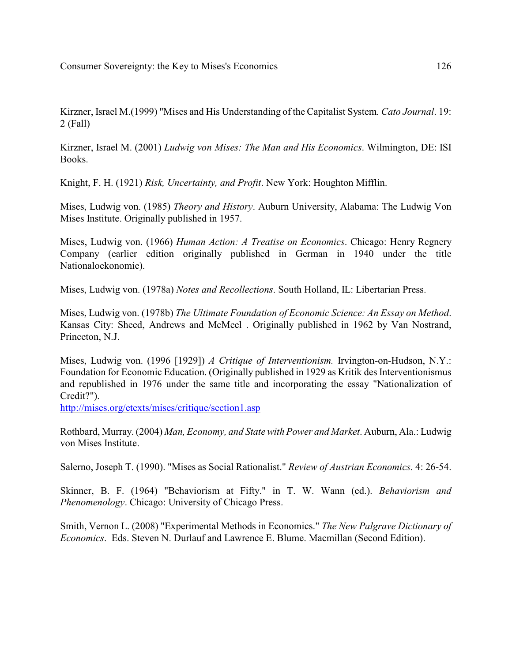Consumer Sovereignty: the Key to Mises's Economics 126

Kirzner, Israel M.(1999) "Mises and His Understanding of the Capitalist System*. Cato Journal*. 19: 2 (Fall)

Kirzner, Israel M. (2001) *Ludwig von Mises: The Man and His Economics*. Wilmington, DE: ISI Books.

Knight, F. H. (1921) *Risk, Uncertainty, and Profit*. New York: Houghton Mifflin.

Mises, Ludwig von. (1985) *Theory and History*. Auburn University, Alabama: The Ludwig Von Mises Institute. Originally published in 1957.

Mises, Ludwig von. (1966) *Human Action: A Treatise on Economics*. Chicago: Henry Regnery Company (earlier edition originally published in German in 1940 under the title Nationaloekonomie).

Mises, Ludwig von. (1978a) *Notes and Recollections*. South Holland, IL: Libertarian Press.

Mises, Ludwig von. (1978b) *The Ultimate Foundation of Economic Science: An Essay on Method*. Kansas City: Sheed, Andrews and McMeel . Originally published in 1962 by Van Nostrand, Princeton, N.J.

Mises, Ludwig von. (1996 [1929]) *A Critique of Interventionism.* Irvington-on-Hudson, N.Y.: Foundation for Economic Education. (Originally published in 1929 as Kritik des Interventionismus and republished in 1976 under the same title and incorporating the essay "Nationalization of Credit?").

<http://mises.org/etexts/mises/critique/section1.asp>

Rothbard, Murray. (2004) *Man, Economy, and State with Power and Market*. Auburn, Ala.: Ludwig von Mises Institute.

Salerno, Joseph T. (1990). "Mises as Social Rationalist." *Review of Austrian Economics*. 4: 26-54.

Skinner, B. F. (1964) "Behaviorism at Fifty." in T. W. Wann (ed.). *Behaviorism and Phenomenology*. Chicago: University of Chicago Press.

Smith, Vernon L. (2008) "Experimental Methods in Economics." *The New Palgrave Dictionary of Economics*. Eds. Steven N. Durlauf and Lawrence E. Blume. Macmillan (Second Edition).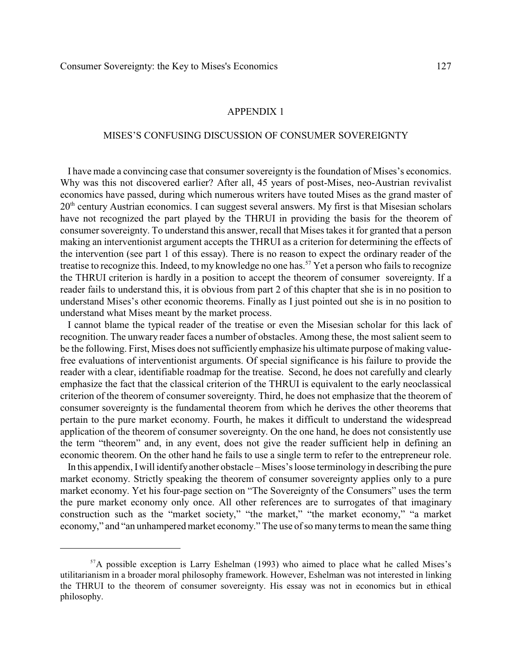## APPENDIX 1

#### MISES'S CONFUSING DISCUSSION OF CONSUMER SOVEREIGNTY

I have made a convincing case that consumer sovereignty is the foundation of Mises's economics. Why was this not discovered earlier? After all, 45 years of post-Mises, neo-Austrian revivalist economics have passed, during which numerous writers have touted Mises as the grand master of  $20<sup>th</sup>$  century Austrian economics. I can suggest several answers. My first is that Misesian scholars have not recognized the part played by the THRUI in providing the basis for the theorem of consumer sovereignty. To understand this answer, recall that Mises takes it for granted that a person making an interventionist argument accepts the THRUI as a criterion for determining the effects of the intervention (see part 1 of this essay). There is no reason to expect the ordinary reader of the treatise to recognize this. Indeed, to my knowledge no one has.<sup>57</sup> Yet a person who fails to recognize the THRUI criterion is hardly in a position to accept the theorem of consumer sovereignty. If a reader fails to understand this, it is obvious from part 2 of this chapter that she is in no position to understand Mises's other economic theorems. Finally as I just pointed out she is in no position to understand what Mises meant by the market process.

I cannot blame the typical reader of the treatise or even the Misesian scholar for this lack of recognition. The unwary reader faces a number of obstacles. Among these, the most salient seem to be the following. First, Mises does not sufficiently emphasize his ultimate purpose of making valuefree evaluations of interventionist arguments. Of special significance is his failure to provide the reader with a clear, identifiable roadmap for the treatise. Second, he does not carefully and clearly emphasize the fact that the classical criterion of the THRUI is equivalent to the early neoclassical criterion of the theorem of consumer sovereignty. Third, he does not emphasize that the theorem of consumer sovereignty is the fundamental theorem from which he derives the other theorems that pertain to the pure market economy. Fourth, he makes it difficult to understand the widespread application of the theorem of consumer sovereignty. On the one hand, he does not consistently use the term "theorem" and, in any event, does not give the reader sufficient help in defining an economic theorem. On the other hand he fails to use a single term to refer to the entrepreneur role.

In this appendix, I will identify another obstacle – Mises's loose terminology in describing the pure market economy. Strictly speaking the theorem of consumer sovereignty applies only to a pure market economy. Yet his four-page section on "The Sovereignty of the Consumers" uses the term the pure market economy only once. All other references are to surrogates of that imaginary construction such as the "market society," "the market," "the market economy," "a market economy," and "an unhampered market economy." The use of so many terms to mean the same thing

<sup>&</sup>lt;sup>57</sup>A possible exception is Larry Eshelman (1993) who aimed to place what he called Mises's utilitarianism in a broader moral philosophy framework. However, Eshelman was not interested in linking the THRUI to the theorem of consumer sovereignty. His essay was not in economics but in ethical philosophy.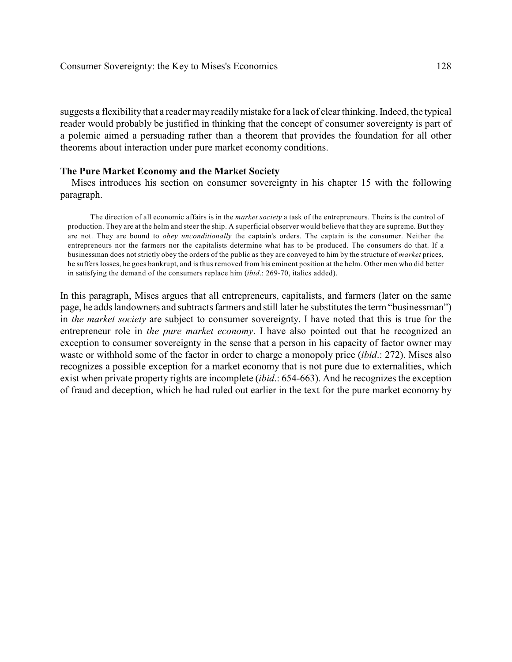suggests a flexibility that a reader may readilymistake for a lack of clear thinking. Indeed, the typical reader would probably be justified in thinking that the concept of consumer sovereignty is part of a polemic aimed a persuading rather than a theorem that provides the foundation for all other theorems about interaction under pure market economy conditions.

# **The Pure Market Economy and the Market Society**

 Mises introduces his section on consumer sovereignty in his chapter 15 with the following paragraph.

The direction of all economic affairs is in the *market society* a task of the entrepreneurs. Theirs is the control of production. They are at the helm and steer the ship. A superficial observer would believe that they are supreme. But they are not. They are bound to *obey unconditionally* the captain's orders. The captain is the consumer. Neither the entrepreneurs nor the farmers nor the capitalists determine what has to be produced. The consumers do that. If a businessman does not strictly obey the orders of the public as they are conveyed to him by the structure of *market* prices, he suffers losses, he goes bankrupt, and is thus removed from his eminent position at the helm. Other men who did better in satisfying the demand of the consumers replace him (*ibid*.: 269-70, italics added).

In this paragraph, Mises argues that all entrepreneurs, capitalists, and farmers (later on the same page, he adds landowners and subtracts farmers and still later he substitutes the term "businessman") in *the market society* are subject to consumer sovereignty. I have noted that this is true for the entrepreneur role in *the pure market economy*. I have also pointed out that he recognized an exception to consumer sovereignty in the sense that a person in his capacity of factor owner may waste or withhold some of the factor in order to charge a monopoly price (*ibid*.: 272). Mises also recognizes a possible exception for a market economy that is not pure due to externalities, which exist when private property rights are incomplete (*ibid*.: 654-663). And he recognizes the exception of fraud and deception, which he had ruled out earlier in the text for the pure market economy by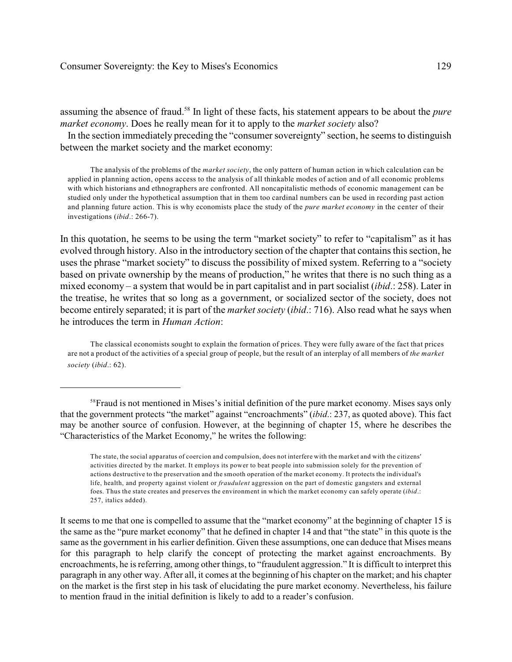assuming the absence of fraud.<sup>58</sup> In light of these facts, his statement appears to be about the *pure market economy*. Does he really mean for it to apply to the *market society* also?

In the section immediately preceding the "consumer sovereignty" section, he seems to distinguish between the market society and the market economy:

The analysis of the problems of the *market society*, the only pattern of human action in which calculation can be applied in planning action, opens access to the analysis of all thinkable modes of action and of all economic problems with which historians and ethnographers are confronted. All noncapitalistic methods of economic management can be studied only under the hypothetical assumption that in them too cardinal numbers can be used in recording past action and planning future action. This is why economists place the study of the *pure market economy* in the center of their investigations (*ibid*.: 266-7).

In this quotation, he seems to be using the term "market society" to refer to "capitalism" as it has evolved through history. Also in the introductory section of the chapter that contains this section, he uses the phrase "market society" to discuss the possibility of mixed system. Referring to a "society based on private ownership by the means of production," he writes that there is no such thing as a mixed economy – a system that would be in part capitalist and in part socialist (*ibid*.: 258). Later in the treatise, he writes that so long as a government, or socialized sector of the society, does not become entirely separated; it is part of the *market society* (*ibid*.: 716). Also read what he says when he introduces the term in *Human Action*:

The classical economists sought to explain the formation of prices. They were fully aware of the fact that prices are not a product of the activities of a special group of people, but the result of an interplay of all members of *the market society* (*ibid*.: 62).

It seems to me that one is compelled to assume that the "market economy" at the beginning of chapter 15 is the same as the "pure market economy" that he defined in chapter 14 and that "the state" in this quote is the same as the government in his earlier definition. Given these assumptions, one can deduce that Mises means for this paragraph to help clarify the concept of protecting the market against encroachments. By encroachments, he is referring, among other things, to "fraudulent aggression." It is difficult to interpret this paragraph in any other way. After all, it comes at the beginning of his chapter on the market; and his chapter on the market is the first step in his task of elucidating the pure market economy. Nevertheless, his failure to mention fraud in the initial definition is likely to add to a reader's confusion.

 $58$  Fraud is not mentioned in Mises's initial definition of the pure market economy. Mises says only that the government protects "the market" against "encroachments" (*ibid*.: 237, as quoted above). This fact may be another source of confusion. However, at the beginning of chapter 15, where he describes the "Characteristics of the Market Economy," he writes the following:

The state, the social apparatus of coercion and compulsion, does not interfere with the market and with the citizens' activities directed by the market. It employs its power to beat people into submission solely for the prevention of actions destructive to the preservation and the smooth operation of the market economy. It protects the individual's life, health, and property against violent or *fraudulent* aggression on the part of domestic gangsters and external foes. Thus the state creates and preserves the environment in which the market economy can safely operate (*ibid*.: 257, italics added).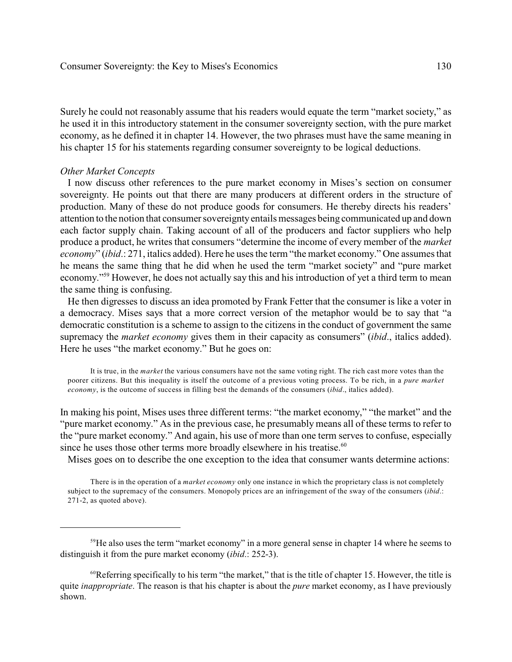Surely he could not reasonably assume that his readers would equate the term "market society," as he used it in this introductory statement in the consumer sovereignty section, with the pure market economy, as he defined it in chapter 14. However, the two phrases must have the same meaning in his chapter 15 for his statements regarding consumer sovereignty to be logical deductions.

#### *Other Market Concepts*

I now discuss other references to the pure market economy in Mises's section on consumer sovereignty. He points out that there are many producers at different orders in the structure of production. Many of these do not produce goods for consumers. He thereby directs his readers' attention to the notion that consumer sovereignty entails messages being communicated up and down each factor supply chain. Taking account of all of the producers and factor suppliers who help produce a product, he writes that consumers "determine the income of every member of the *market economy*" (*ibid*.: 271, italics added). Here he uses the term "the market economy." One assumes that he means the same thing that he did when he used the term "market society" and "pure market economy."<sup>59</sup> However, he does not actually say this and his introduction of yet a third term to mean the same thing is confusing.

He then digresses to discuss an idea promoted by Frank Fetter that the consumer is like a voter in a democracy. Mises says that a more correct version of the metaphor would be to say that "a democratic constitution is a scheme to assign to the citizens in the conduct of government the same supremacy the *market economy* gives them in their capacity as consumers" (*ibid*., italics added). Here he uses "the market economy." But he goes on:

It is true, in the *market* the various consumers have not the same voting right. The rich cast more votes than the poorer citizens. But this inequality is itself the outcome of a previous voting process. To be rich, in a *pure market economy*, is the outcome of success in filling best the demands of the consumers (*ibid*., italics added).

In making his point, Mises uses three different terms: "the market economy," "the market" and the "pure market economy." As in the previous case, he presumably means all of these terms to refer to the "pure market economy." And again, his use of more than one term serves to confuse, especially since he uses those other terms more broadly elsewhere in his treatise.<sup>60</sup>

Mises goes on to describe the one exception to the idea that consumer wants determine actions:

There is in the operation of a *market economy* only one instance in which the proprietary class is not completely subject to the supremacy of the consumers. Monopoly prices are an infringement of the sway of the consumers (*ibid*.: 271-2, as quoted above).

 $<sup>59</sup>$ He also uses the term "market economy" in a more general sense in chapter 14 where he seems to</sup> distinguish it from the pure market economy (*ibid*.: 252-3).

 ${}^{60}$ Referring specifically to his term "the market," that is the title of chapter 15. However, the title is quite *inappropriate*. The reason is that his chapter is about the *pure* market economy, as I have previously shown.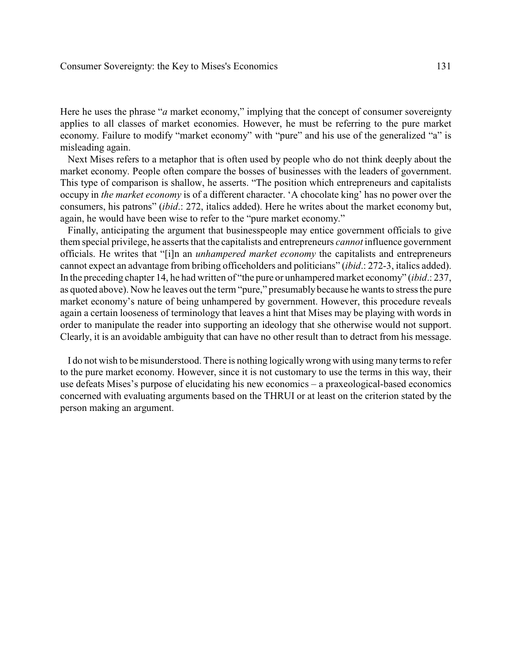Here he uses the phrase "*a* market economy," implying that the concept of consumer sovereignty applies to all classes of market economies. However, he must be referring to the pure market economy. Failure to modify "market economy" with "pure" and his use of the generalized "a" is misleading again.

Next Mises refers to a metaphor that is often used by people who do not think deeply about the market economy. People often compare the bosses of businesses with the leaders of government. This type of comparison is shallow, he asserts. "The position which entrepreneurs and capitalists occupy in *the market economy* is of a different character. 'A chocolate king' has no power over the consumers, his patrons" (*ibid*.: 272, italics added). Here he writes about the market economy but, again, he would have been wise to refer to the "pure market economy."

Finally, anticipating the argument that businesspeople may entice government officials to give them special privilege, he asserts that the capitalists and entrepreneurs *cannot* influence government officials. He writes that "[i]n an *unhampered market economy* the capitalists and entrepreneurs cannot expect an advantage from bribing officeholders and politicians" (*ibid*.: 272-3, italics added). In the preceding chapter 14, he had written of "the pure or unhampered market economy" (*ibid*.: 237, as quoted above). Now he leaves out the term "pure," presumably because he wants to stress the pure market economy's nature of being unhampered by government. However, this procedure reveals again a certain looseness of terminology that leaves a hint that Mises may be playing with words in order to manipulate the reader into supporting an ideology that she otherwise would not support. Clearly, it is an avoidable ambiguity that can have no other result than to detract from his message.

I do not wish to be misunderstood. There is nothing logicallywrong with using many terms to refer to the pure market economy. However, since it is not customary to use the terms in this way, their use defeats Mises's purpose of elucidating his new economics – a praxeological-based economics concerned with evaluating arguments based on the THRUI or at least on the criterion stated by the person making an argument.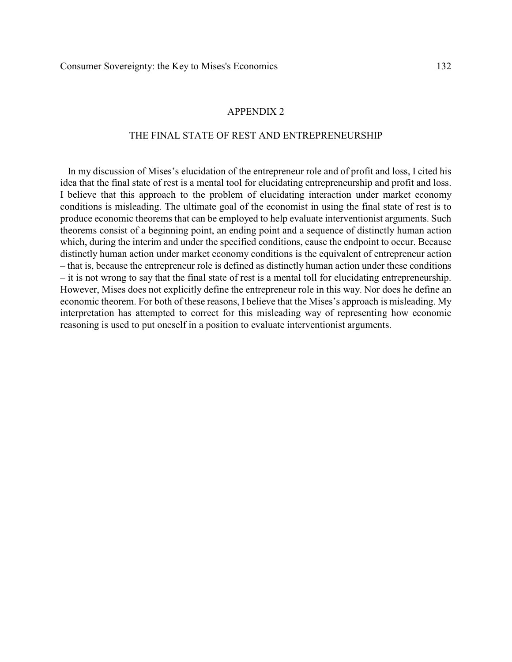# APPENDIX 2

## THE FINAL STATE OF REST AND ENTREPRENEURSHIP

In my discussion of Mises's elucidation of the entrepreneur role and of profit and loss, I cited his idea that the final state of rest is a mental tool for elucidating entrepreneurship and profit and loss. I believe that this approach to the problem of elucidating interaction under market economy conditions is misleading. The ultimate goal of the economist in using the final state of rest is to produce economic theorems that can be employed to help evaluate interventionist arguments. Such theorems consist of a beginning point, an ending point and a sequence of distinctly human action which, during the interim and under the specified conditions, cause the endpoint to occur. Because distinctly human action under market economy conditions is the equivalent of entrepreneur action – that is, because the entrepreneur role is defined as distinctly human action under these conditions – it is not wrong to say that the final state of rest is a mental toll for elucidating entrepreneurship. However, Mises does not explicitly define the entrepreneur role in this way. Nor does he define an economic theorem. For both of these reasons, I believe that the Mises's approach is misleading. My interpretation has attempted to correct for this misleading way of representing how economic reasoning is used to put oneself in a position to evaluate interventionist arguments.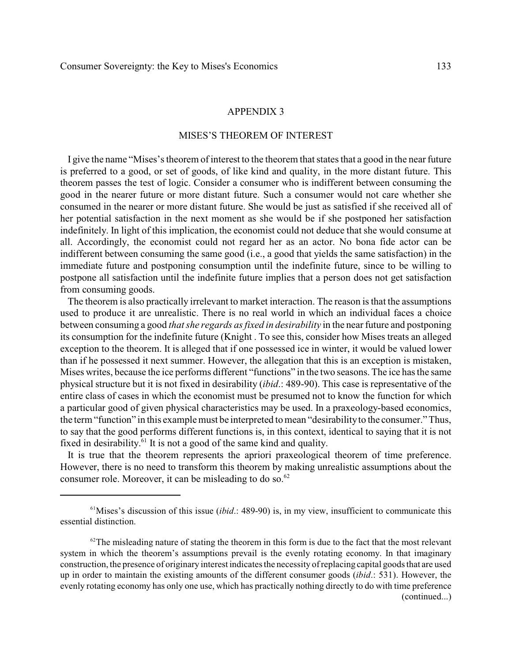# APPENDIX 3

## MISES'S THEOREM OF INTEREST

I give the name "Mises's theorem of interest to the theorem that states that a good in the near future is preferred to a good, or set of goods, of like kind and quality, in the more distant future. This theorem passes the test of logic. Consider a consumer who is indifferent between consuming the good in the nearer future or more distant future. Such a consumer would not care whether she consumed in the nearer or more distant future. She would be just as satisfied if she received all of her potential satisfaction in the next moment as she would be if she postponed her satisfaction indefinitely. In light of this implication, the economist could not deduce that she would consume at all. Accordingly, the economist could not regard her as an actor. No bona fide actor can be indifferent between consuming the same good (i.e., a good that yields the same satisfaction) in the immediate future and postponing consumption until the indefinite future, since to be willing to postpone all satisfaction until the indefinite future implies that a person does not get satisfaction from consuming goods.

The theorem is also practically irrelevant to market interaction. The reason is that the assumptions used to produce it are unrealistic. There is no real world in which an individual faces a choice between consuming a good *that she regards as fixed in desirability* in the nearfuture and postponing its consumption for the indefinite future (Knight . To see this, consider how Mises treats an alleged exception to the theorem. It is alleged that if one possessed ice in winter, it would be valued lower than if he possessed it next summer. However, the allegation that this is an exception is mistaken, Mises writes, because the ice performs different "functions" in the two seasons. The ice has the same physical structure but it is not fixed in desirability (*ibid*.: 489-90). This case is representative of the entire class of cases in which the economist must be presumed not to know the function for which a particular good of given physical characteristics may be used. In a praxeology-based economics, the term "function" in this example must be interpreted to mean "desirability to the consumer." Thus, to say that the good performs different functions is, in this context, identical to saying that it is not fixed in desirability. $^{61}$  It is not a good of the same kind and quality.

It is true that the theorem represents the apriori praxeological theorem of time preference. However, there is no need to transform this theorem by making unrealistic assumptions about the consumer role. Moreover, it can be misleading to do so.<sup>62</sup>

<sup>&</sup>lt;sup>61</sup>Mises's discussion of this issue *(ibid.*: 489-90) is, in my view, insufficient to communicate this essential distinction.

 $62$ The misleading nature of stating the theorem in this form is due to the fact that the most relevant system in which the theorem's assumptions prevail is the evenly rotating economy. In that imaginary construction, the presence of originary interest indicates the necessity of replacing capital goods that are used up in order to maintain the existing amounts of the different consumer goods (*ibid*.: 531). However, the evenly rotating economy has only one use, which has practically nothing directly to do with time preference (continued...)